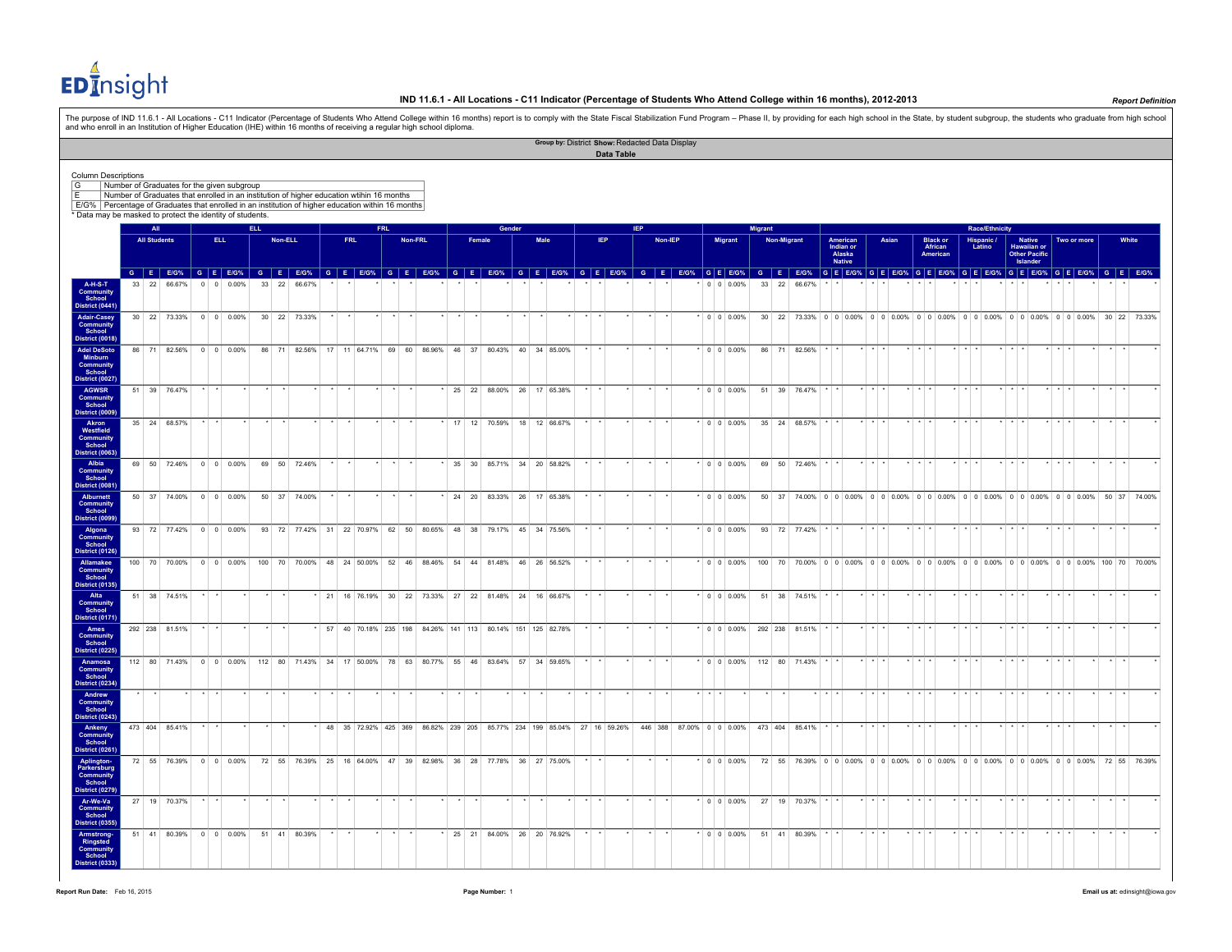EDInsight

The purpose of IND 11.6.1 - All Locations - C11 Indicator (Percentage of Students Who Attend College within 16 months) report is to comply with the State Fiscal Stabilization Fund Program – Phase II, by providing for each

|                                                                                                   |                     |                                            |         |      |                    |      |         |                                                                                                                         |            |                                                                                                                |            |         |  |        |        | Group by: District Show: Redacted Data Display |         |            |     |         |   |                     |                  |             |           |                                                  |                         |       |                         |                                         |                         |                      |                       |                                                           |  |                                                                                         |  |       |  |
|---------------------------------------------------------------------------------------------------|---------------------|--------------------------------------------|---------|------|--------------------|------|---------|-------------------------------------------------------------------------------------------------------------------------|------------|----------------------------------------------------------------------------------------------------------------|------------|---------|--|--------|--------|------------------------------------------------|---------|------------|-----|---------|---|---------------------|------------------|-------------|-----------|--------------------------------------------------|-------------------------|-------|-------------------------|-----------------------------------------|-------------------------|----------------------|-----------------------|-----------------------------------------------------------|--|-----------------------------------------------------------------------------------------|--|-------|--|
|                                                                                                   |                     |                                            |         |      |                    |      |         |                                                                                                                         |            |                                                                                                                |            |         |  |        |        |                                                |         | Data Table |     |         |   |                     |                  |             |           |                                                  |                         |       |                         |                                         |                         |                      |                       |                                                           |  |                                                                                         |  |       |  |
| <b>Column Descriptions</b>                                                                        |                     |                                            |         |      |                    |      |         |                                                                                                                         |            |                                                                                                                |            |         |  |        |        |                                                |         |            |     |         |   |                     |                  |             |           |                                                  |                         |       |                         |                                         |                         |                      |                       |                                                           |  |                                                                                         |  |       |  |
| G<br>F                                                                                            |                     | Number of Graduates for the given subgroup |         |      |                    |      |         | Number of Graduates that enrolled in an institution of higher education wtihin 16 months                                |            |                                                                                                                |            |         |  |        |        |                                                |         |            |     |         |   |                     |                  |             |           |                                                  |                         |       |                         |                                         |                         |                      |                       |                                                           |  |                                                                                         |  |       |  |
| E/G% Percentage of Graduates that enrolled in an institution of higher education within 16 months |                     |                                            |         |      |                    |      |         |                                                                                                                         |            |                                                                                                                |            |         |  |        |        |                                                |         |            |     |         |   |                     |                  |             |           |                                                  |                         |       |                         |                                         |                         |                      |                       |                                                           |  |                                                                                         |  |       |  |
| * Data may be masked to protect the identity of students.                                         |                     |                                            |         |      |                    |      |         |                                                                                                                         |            |                                                                                                                |            |         |  |        |        |                                                |         |            |     |         |   |                     |                  |             |           |                                                  |                         |       |                         |                                         |                         |                      |                       |                                                           |  |                                                                                         |  |       |  |
|                                                                                                   | <b>All</b>          |                                            |         |      |                    | ELL. |         |                                                                                                                         |            |                                                                                                                | <b>FRL</b> |         |  |        | Gender |                                                |         |            | IEP |         |   |                     | <b>Migrant</b>   |             |           |                                                  |                         |       |                         |                                         |                         |                      | <b>Race/Ethnicity</b> |                                                           |  |                                                                                         |  |       |  |
|                                                                                                   | <b>All Students</b> |                                            |         | ELL. |                    |      | Non-ELL |                                                                                                                         | <b>FRL</b> |                                                                                                                |            | Non-FRL |  | Female |        | <b>Male</b>                                    |         | <b>IEP</b> |     | Non-IEP |   | <b>Migrant</b>      |                  | Non-Migrant |           | American<br>Indian or<br>Alaska<br><b>Native</b> |                         | Asian |                         | <b>Black or<br/>African</b><br>American |                         | Hispanic /<br>Latino |                       | Native<br>Hawaiian or<br><b>Other Pacific</b><br>Islander |  | Two or more                                                                             |  | White |  |
|                                                                                                   |                     |                                            |         |      |                    |      |         | GEEOS GEEOS GEEOS GEEOS GEEOS GEEOS GEEOS GEEOS GEEOS GEEOS GEEOS GEEOS GEEOS GEEOS GEEOS GEEOS GEEOS GEEOS GEEOS GEEOS |            |                                                                                                                |            |         |  |        |        |                                                |         |            |     |         |   |                     |                  |             |           |                                                  |                         |       |                         |                                         |                         |                      |                       |                                                           |  |                                                                                         |  |       |  |
| <b>A-H-S-T</b><br>Communit<br><b>District (0441)</b>                                              |                     | 33 22 66.67%                               |         |      | $0 \t 0 \t 0.00\%$ |      |         | 33 22 66.67%                                                                                                            |            |                                                                                                                |            |         |  |        |        |                                                |         |            |     |         |   | $0 \t 0 \t 0.00\%$  | 33 22 66.67%     |             |           |                                                  |                         |       |                         |                                         |                         |                      |                       |                                                           |  |                                                                                         |  |       |  |
| <b>Adair-Casey</b><br>Community<br>School                                                         |                     |                                            |         |      |                    |      |         | 30 22 73.33% 0 0 0.00% 30 22 73.33%                                                                                     |            |                                                                                                                |            |         |  |        |        |                                                |         |            |     |         |   | $\cdot$ 0 0 0 0 0 % |                  |             |           |                                                  |                         |       |                         |                                         |                         |                      |                       |                                                           |  | 30 22 73.33% 0 0 0 0.00% 0 0 0.00% 0 0 0.00% 0 0 0.00% 0 0 0.00% 0 0 0.00% 30 22 73.33% |  |       |  |
| District (0018)<br><b>Adel DeSoto</b><br>Minburn                                                  |                     | 86 71 82.56% 0 0 0.00%                     |         |      |                    |      |         | 86 71 82.56% 17 11 64.71% 69 60 86.96% 46 37 80.43% 40 34 85.00%                                                        |            |                                                                                                                |            |         |  |        |        |                                                |         |            |     |         |   | $*$ 0 0 0.00%       | 86 71 82.56%     |             |           |                                                  | $+$ $+$                 |       |                         |                                         |                         |                      |                       |                                                           |  |                                                                                         |  |       |  |
| Community<br>School<br>District (0027)<br><b>AGWSR</b>                                            |                     | 51 39 76.47%                               |         |      |                    |      |         |                                                                                                                         |            |                                                                                                                |            |         |  |        |        | 25 22 88.00% 26 17 65.38%                      | $\star$ |            |     |         |   | $*$ 0 0 0.00%       | 51 39 76.47%     |             |           |                                                  | $\star$ $\star$ $\star$ |       | $\star$ $\star$ $\star$ |                                         | $\star$ $\star$ $\star$ |                      |                       |                                                           |  |                                                                                         |  |       |  |
| Community<br>School<br><b>District (0009)</b>                                                     |                     |                                            |         |      |                    |      |         |                                                                                                                         |            |                                                                                                                |            |         |  |        |        |                                                |         |            |     |         |   |                     |                  |             |           |                                                  |                         |       |                         |                                         |                         |                      |                       |                                                           |  |                                                                                         |  |       |  |
| Akron<br>Westfield<br>Community<br>School                                                         |                     | 35 24 68.57%                               |         |      |                    |      |         |                                                                                                                         |            |                                                                                                                |            |         |  |        |        | 17 12 70.59% 18 12 66.67%                      |         |            |     |         |   | $*$ 0 0 0.00%       | 35 24 68.57%     |             |           |                                                  |                         |       |                         |                                         |                         |                      |                       |                                                           |  |                                                                                         |  |       |  |
| <b>District (0063)</b><br>Albia                                                                   |                     | 69 50 72.46% 0 0 0.00%                     |         |      |                    |      |         | 69 50 72.46%                                                                                                            |            |                                                                                                                |            |         |  | 35 30  |        | 85.71% 34 20 58.82%                            |         |            |     |         |   | $\cdot$ 0 0 0.00%   | 69               |             | 50 72.46% |                                                  |                         |       |                         |                                         |                         |                      |                       |                                                           |  |                                                                                         |  |       |  |
| <b>Community</b><br>School<br>District (0081<br>Alburnett                                         |                     | 50 37 74.00% 0 0 0.00%                     |         |      |                    |      |         | 50 37 74.00%                                                                                                            |            |                                                                                                                |            |         |  |        |        | 24 20 83.33% 26 17 65.38%                      | $\star$ |            |     |         |   | $*$ 0 0 0.00%       |                  |             |           |                                                  |                         |       |                         |                                         |                         |                      |                       |                                                           |  | 50 37 74.00% 0 0 0.00% 0 0 0.00% 0 0 0.00% 0 0 0.00% 0 0 0.00% 0 0 0.00% 50 37 74.00%   |  |       |  |
| Community<br>School<br><b>District (0099)</b>                                                     |                     |                                            |         |      |                    |      |         |                                                                                                                         |            |                                                                                                                |            |         |  |        |        |                                                |         |            |     |         |   |                     |                  |             |           |                                                  |                         |       |                         |                                         |                         |                      |                       |                                                           |  |                                                                                         |  |       |  |
| Algona<br>Community<br>School<br><b>District (0126)</b>                                           |                     | 93 72 77.42% 0 0 0.00%                     |         |      |                    |      |         | 93 72 77.42% 31 22 70.97% 62 50 80.65% 48 38 79.17% 45 34 75.56%                                                        |            |                                                                                                                |            |         |  |        |        |                                                |         |            |     |         |   | $* 0 0 0.00%$       | 93 72 77.42%     |             |           |                                                  |                         |       |                         |                                         |                         |                      |                       |                                                           |  |                                                                                         |  |       |  |
| Allamakee<br>Community<br>School                                                                  |                     | 100 70 70.00% 0 0 0.00%                    |         |      |                    |      |         | 100 70 70.00% 48 24 50.00% 52 46 88.46% 54 44 81.48% 46 26 56.52%                                                       |            |                                                                                                                |            |         |  |        |        |                                                |         |            |     |         |   | $^*$ 0 0 0.00%      |                  |             |           |                                                  |                         |       |                         |                                         |                         |                      |                       |                                                           |  | 100 70 70.00% 0 0 0.00% 0 0 0.00% 0 0 0.00% 0 0 0.00% 0 0 0.00% 0 0 0.00% 100 70 70.00% |  |       |  |
| <b>District (0135)</b><br>Alta<br>Community<br>School                                             |                     | 51 38 74.51%                               |         |      |                    |      |         |                                                                                                                         |            | 21 16 76.19% 30 22 73.33% 27 22 81.48% 24 16 66.67%                                                            |            |         |  |        |        |                                                |         |            |     |         |   | $*$ 0 0 0.00%       | 51 38 74.51% * * |             |           |                                                  | $\star$ $\star$ $\cdot$ |       |                         |                                         |                         |                      |                       |                                                           |  |                                                                                         |  |       |  |
| <b>District (0171)</b><br>Ames<br><b>Community</b>                                                |                     | 292 238 81.51%                             |         |      |                    |      |         |                                                                                                                         |            | 57 40 70.18% 235 198 84.26% 141 113 80.14% 151 125 82.78%                                                      |            |         |  |        |        |                                                |         |            |     |         |   | $\star$ 0 0 0.00%   | 292 238 81.51%   |             |           |                                                  | $\star$ $\star$ $\star$ |       |                         |                                         |                         |                      |                       |                                                           |  |                                                                                         |  |       |  |
| School<br>District (0225)<br>Anamosa                                                              |                     | 112 80 71.43% 0 0 0.00%                    |         |      |                    |      |         | 112 80 71.43% 34 17 50.00% 78 63 80.77% 55 46                                                                           |            |                                                                                                                |            |         |  |        |        | 83.64% 57 34 59.65%                            |         |            |     |         |   | $*$ 0 0 0.00%       | 112 80 71.43%    |             |           |                                                  |                         |       |                         |                                         |                         |                      |                       |                                                           |  |                                                                                         |  |       |  |
| Community<br>School<br>District (0234)                                                            |                     |                                            |         |      |                    |      |         |                                                                                                                         |            |                                                                                                                |            |         |  |        |        |                                                |         |            |     |         |   |                     |                  |             |           |                                                  |                         |       |                         |                                         |                         |                      |                       |                                                           |  |                                                                                         |  |       |  |
| Andrew<br>Community<br>School<br>District (0243)                                                  |                     |                                            |         |      |                    |      |         |                                                                                                                         |            |                                                                                                                |            |         |  |        |        |                                                |         |            |     |         | . |                     |                  |             |           |                                                  | $\star$ $\star$         |       |                         |                                         |                         |                      |                       |                                                           |  |                                                                                         |  |       |  |
| <b>Ankeny</b><br>Community<br>School                                                              |                     | 473 404 85.41%                             |         |      |                    |      |         |                                                                                                                         |            | 48 35 72.92% 425 369 86.82% 239 205 85.77% 234 199 85.04% 27 16 59.26% 446 388 87.00% 0 0 0.00% 473 404 85.41% |            |         |  |        |        |                                                |         |            |     |         |   |                     |                  |             |           |                                                  | $+$ $+$ $+$             |       | $+$ $+$ $+$             |                                         |                         |                      |                       |                                                           |  |                                                                                         |  |       |  |
| District (0261<br>Aplington-<br>Parkersburg<br>Community                                          |                     | 72 55 76.39% 0 0 0.00%                     |         |      |                    |      |         | 72 55 76.39% 25 16 64.00% 47 39 82.98% 36 28                                                                            |            |                                                                                                                |            |         |  |        |        | 77.78% 36 27 75.00%                            |         |            |     |         |   | $\cdot$ 0 0 0.00%   |                  |             |           |                                                  |                         |       |                         |                                         |                         |                      |                       |                                                           |  | 72 55 76.39% 0 0 0.00% 0 0 0.00% 0 0 0.00% 0 0 0.00% 0 0 0.00% 0 0 0.00% 72 55 76.39%   |  |       |  |
| School<br><b>District (0279)</b>                                                                  |                     |                                            |         |      |                    |      |         |                                                                                                                         |            |                                                                                                                |            |         |  |        |        |                                                |         |            |     |         |   |                     |                  |             |           |                                                  |                         |       |                         |                                         |                         |                      |                       |                                                           |  |                                                                                         |  |       |  |
| Ar-We-Va<br>Community<br>School<br><b>District (0355)</b>                                         |                     | 27 19 70.37%                               | $\star$ |      |                    |      |         |                                                                                                                         |            |                                                                                                                |            |         |  |        |        |                                                |         |            |     |         |   | $*$ 0 0 0.00%       | 27 19 70.37%     |             |           |                                                  | $\left  \cdot \right $  |       |                         |                                         |                         |                      |                       |                                                           |  |                                                                                         |  |       |  |
| Armstrong-<br>Ringsted<br>Community                                                               |                     | 51 41 80.39% 0 0 0.00%                     |         |      |                    |      |         | 51 41 80.39%                                                                                                            |            |                                                                                                                |            |         |  |        |        | 25 21 84.00% 26 20 76.92%                      |         |            |     |         |   | $\cdot$ 0 0 0.00%   | 51 41 80.39%     |             |           |                                                  | $+ + +$                 |       |                         |                                         |                         |                      |                       |                                                           |  |                                                                                         |  |       |  |
| School<br><b>District (0333)</b>                                                                  |                     |                                            |         |      |                    |      |         |                                                                                                                         |            |                                                                                                                |            |         |  |        |        |                                                |         |            |     |         |   |                     |                  |             |           |                                                  |                         |       |                         |                                         |                         |                      |                       |                                                           |  |                                                                                         |  |       |  |

 $\overline{\phantom{a}}$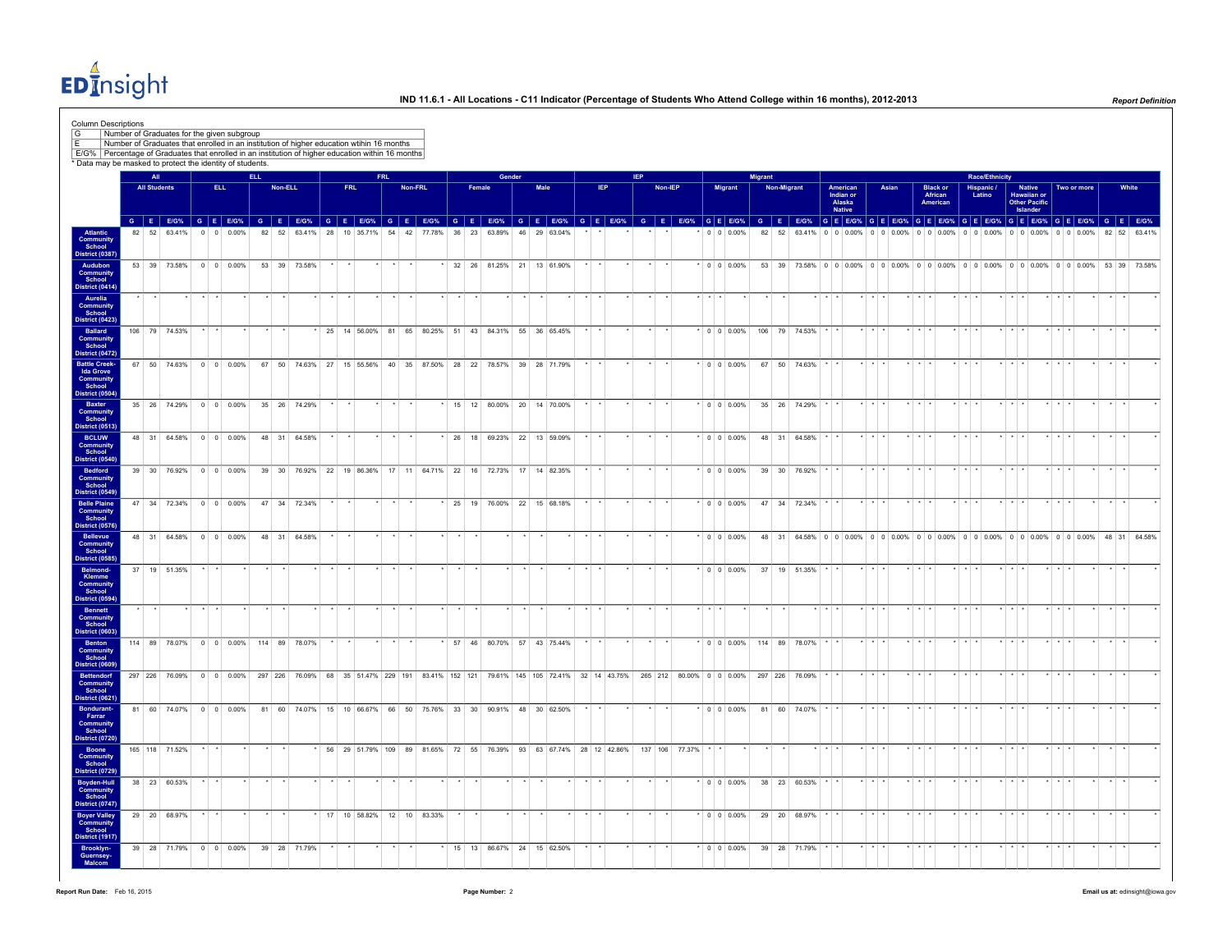EDInsight

| * Data may be masked to protect the identity of students.<br>AT<br><b>ELL</b><br><b>Race/Ethnicity</b><br><b>FRL</b><br>Gender<br><b>IEP</b><br>Migrant<br><b>All Students</b><br>ELL.<br>Non-ELL<br><b>FRL</b><br>Non-FRL<br>Male<br>IEP<br>Non-IEP<br>Migrant<br>Non-Migrant<br>Female<br>American<br>Indian or<br>Asian<br>Hispanic /<br>Latino<br>Native<br>Hawaiian or<br><b>Black or</b><br>African<br>Alaska<br>American<br><b>Other Pacific</b><br><b>Native</b><br>Islander<br>GEEGS GEEGS GEEGS GEEGS GEEGS GEEGS GEEGS GEEGS GEEGS GEEGS GEEGS GEEGS GEEGS GEEGS GEEGS GEEGS GEEGS GEEGS GEEGS GEEGS GEEGS GEEGS GEEGS GEEGS GEEGS<br>54 42 77.78% 36 23 63.89% 46 29 63.04%<br>Atlantic<br>Community<br>School<br>District (0387)<br>82 52 63.41%<br>$0 \ 0 \ 0.00\%$<br>82 52 63.41% 28 10 35.71%<br>$0 \t0 \t0.00\%$<br>82 52<br>63.41% 0 0 0.00% 0 0 0.00% 0 0 0.00%<br>$0$ 0 0.00% 0 0 0.00% 0 0 0.00%<br>Audubon<br>53 39 73.58% 0 0 0.00%<br>53 39 73.58%<br>32 26 81.25% 21 13 61.90%<br>$\cdot$ 0 0 0.00%<br>53 39 73.58% 0 0 0 0.00% 0 0 0.00% 0 0 0.00% 0 0 0.00% 0 0 0.00% 0 0 0.00% 53 39 73.58%<br>Community<br>School<br>District (0414)<br>Aurelia<br><b>Community</b><br>School<br>District (0423)<br>Ballard<br>25 14 56.00% 81 65 80.25% 51 43 84.31% 55 36 65.45%<br>$\cdot$ 0 0 0.00%<br>106 79 74.53%<br>106 79 74.53%<br><b>Community</b><br>School<br>District (0472<br><b>Battle Creek-</b><br>67<br>50 74.63%<br>$0 \ 0 \ 0.00\%$<br>67<br>50 74.63%<br>27<br>15 55.56%<br>40 35 87.50%<br>28 22 78.57% 39<br>28 71.79%<br>$\cdot$ 0 0 0.00%<br>67 50 74.63%<br><b>Ida Grove</b><br><b>Community</b><br>School<br>District (0504)<br>Baxter<br>35 26 74.29% 0 0 0.00%<br>15 12 80.00% 20 14 70.00%<br>$0 \t 0 \t 0.00\%$<br>35 26 74.29%<br>35 26 74.29%<br>Community<br>School<br>District (0513)<br><b>BCLUW</b><br>48 31 64.58% 0 0 0.00%<br>48 31 64.58%<br>26 18 69.23% 22 13 59.09%<br>$\cdot$ 0 0 0.00%<br>48 31 64.58%<br><b>Community</b><br>School<br>District (0540<br>39 30 76.92% 22 19 86.36% 17 11 64.71% 22 16 72.73% 17 14 82.35%<br>$\cdot$ 0 0 0.00%<br><b>Bedford</b><br>39 30 76.92% 0 0 0.00%<br>39 30 76.92%<br><b>Community</b><br>School<br>District (0549)<br>47 34 72.34% 0 0 0.00%<br><b>Belle Plaine</b><br>47 34 72.34%<br>25 19 76.00% 22 15 68.18%<br>$\cdot$ 0 0 0.00%<br>47 34 72.34%<br><b>Community</b><br>School<br>District (0576)<br>Bellevue<br>48 31 64.58% 0 0 0.00%<br>48 31 64.58%<br>$*$ 0 0 0.00%<br>48 31 64.58% 0 0 0.00% 0 0 0.00% 0 0 0.00% 0 0 0.00% 0 0 0.00% 0 0 0.00% 48 31 64.58%<br>Community<br>School<br>District (0585)<br>Belmond-<br>37 19 51.35%<br>$*$ 0 0 0.00%<br>37 19 51.35%<br>Klemme<br>Community<br>School<br>District (0594<br><b>Bennett</b><br>$\cdot$ $\cdot$ $\cdot$<br>Community<br>School<br>District (0603)<br>Benton<br>114 89 78.07% 0 0 0.00%<br>114 89 78.07%<br>* 57 46 80.70% 57 43 75.44%<br>$*$ 0 0 0.00% 114 89 78.07%<br>Community<br>School<br>District (0609)<br>35 51.47% 229 191<br>83.41% 152 121<br>265 212 80.00% 0 0 0.00%<br><b>Bettendorf</b><br>297 226 76.09%<br>$0 \ 0 \ 0.00\%$<br>297 226<br>76.09%<br>68<br>79.61% 145 105 72.41%<br>32 14 43.75%<br>297 226<br>76.09%<br><b>Community</b><br>School<br>District (0621)<br>Bondurant-<br>81 60 74.07% 0 0 0.00%<br>81 60 74 07% 15 10 66 67% 66 50 75 76% 33 30 90 91% 48 30 62 50%<br>$\cdot$ 0 0 0 0 0 %<br>81 60 74.07%<br>Farrar<br><b>Community</b><br>School<br>District (0720)<br>165 118 71.52%<br>56 29 51.79% 109 89 81.65% 72 55 76.39% 93 63 67.74% 28 12 42.86% 137 106 77.37%<br>$+$ $+$ $+$<br>$+$ $+$<br>Boone<br>Community<br>School<br>District (0729<br>Boyden-Hull<br>38 23 60.53%<br>$\cdot$ 0 0 0 0 0 %<br>38 23 60.53%<br>Community<br>School |                      |
|-------------------------------------------------------------------------------------------------------------------------------------------------------------------------------------------------------------------------------------------------------------------------------------------------------------------------------------------------------------------------------------------------------------------------------------------------------------------------------------------------------------------------------------------------------------------------------------------------------------------------------------------------------------------------------------------------------------------------------------------------------------------------------------------------------------------------------------------------------------------------------------------------------------------------------------------------------------------------------------------------------------------------------------------------------------------------------------------------------------------------------------------------------------------------------------------------------------------------------------------------------------------------------------------------------------------------------------------------------------------------------------------------------------------------------------------------------------------------------------------------------------------------------------------------------------------------------------------------------------------------------------------------------------------------------------------------------------------------------------------------------------------------------------------------------------------------------------------------------------------------------------------------------------------------------------------------------------------------------------------------------------------------------------------------------------------------------------------------------------------------------------------------------------------------------------------------------------------------------------------------------------------------------------------------------------------------------------------------------------------------------------------------------------------------------------------------------------------------------------------------------------------------------------------------------------------------------------------------------------------------------------------------------------------------------------------------------------------------------------------------------------------------------------------------------------------------------------------------------------------------------------------------------------------------------------------------------------------------------------------------------------------------------------------------------------------------------------------------------------------------------------------------------------------------------------------------------------------------------------------------------------------------------------------------------------------------------------------------------------------------------------------------------------------------------------------------------------------------------------------------------------------------------------------------------------------------------------------------------------------------------------------------------------------------------------------------------------------------------------------------------------------|----------------------|
|                                                                                                                                                                                                                                                                                                                                                                                                                                                                                                                                                                                                                                                                                                                                                                                                                                                                                                                                                                                                                                                                                                                                                                                                                                                                                                                                                                                                                                                                                                                                                                                                                                                                                                                                                                                                                                                                                                                                                                                                                                                                                                                                                                                                                                                                                                                                                                                                                                                                                                                                                                                                                                                                                                                                                                                                                                                                                                                                                                                                                                                                                                                                                                                                                                                                                                                                                                                                                                                                                                                                                                                                                                                                                                                                                                   | Two or more<br>White |
|                                                                                                                                                                                                                                                                                                                                                                                                                                                                                                                                                                                                                                                                                                                                                                                                                                                                                                                                                                                                                                                                                                                                                                                                                                                                                                                                                                                                                                                                                                                                                                                                                                                                                                                                                                                                                                                                                                                                                                                                                                                                                                                                                                                                                                                                                                                                                                                                                                                                                                                                                                                                                                                                                                                                                                                                                                                                                                                                                                                                                                                                                                                                                                                                                                                                                                                                                                                                                                                                                                                                                                                                                                                                                                                                                                   | 82 52 63.41%         |
|                                                                                                                                                                                                                                                                                                                                                                                                                                                                                                                                                                                                                                                                                                                                                                                                                                                                                                                                                                                                                                                                                                                                                                                                                                                                                                                                                                                                                                                                                                                                                                                                                                                                                                                                                                                                                                                                                                                                                                                                                                                                                                                                                                                                                                                                                                                                                                                                                                                                                                                                                                                                                                                                                                                                                                                                                                                                                                                                                                                                                                                                                                                                                                                                                                                                                                                                                                                                                                                                                                                                                                                                                                                                                                                                                                   |                      |
|                                                                                                                                                                                                                                                                                                                                                                                                                                                                                                                                                                                                                                                                                                                                                                                                                                                                                                                                                                                                                                                                                                                                                                                                                                                                                                                                                                                                                                                                                                                                                                                                                                                                                                                                                                                                                                                                                                                                                                                                                                                                                                                                                                                                                                                                                                                                                                                                                                                                                                                                                                                                                                                                                                                                                                                                                                                                                                                                                                                                                                                                                                                                                                                                                                                                                                                                                                                                                                                                                                                                                                                                                                                                                                                                                                   |                      |
|                                                                                                                                                                                                                                                                                                                                                                                                                                                                                                                                                                                                                                                                                                                                                                                                                                                                                                                                                                                                                                                                                                                                                                                                                                                                                                                                                                                                                                                                                                                                                                                                                                                                                                                                                                                                                                                                                                                                                                                                                                                                                                                                                                                                                                                                                                                                                                                                                                                                                                                                                                                                                                                                                                                                                                                                                                                                                                                                                                                                                                                                                                                                                                                                                                                                                                                                                                                                                                                                                                                                                                                                                                                                                                                                                                   |                      |
|                                                                                                                                                                                                                                                                                                                                                                                                                                                                                                                                                                                                                                                                                                                                                                                                                                                                                                                                                                                                                                                                                                                                                                                                                                                                                                                                                                                                                                                                                                                                                                                                                                                                                                                                                                                                                                                                                                                                                                                                                                                                                                                                                                                                                                                                                                                                                                                                                                                                                                                                                                                                                                                                                                                                                                                                                                                                                                                                                                                                                                                                                                                                                                                                                                                                                                                                                                                                                                                                                                                                                                                                                                                                                                                                                                   |                      |
|                                                                                                                                                                                                                                                                                                                                                                                                                                                                                                                                                                                                                                                                                                                                                                                                                                                                                                                                                                                                                                                                                                                                                                                                                                                                                                                                                                                                                                                                                                                                                                                                                                                                                                                                                                                                                                                                                                                                                                                                                                                                                                                                                                                                                                                                                                                                                                                                                                                                                                                                                                                                                                                                                                                                                                                                                                                                                                                                                                                                                                                                                                                                                                                                                                                                                                                                                                                                                                                                                                                                                                                                                                                                                                                                                                   |                      |
|                                                                                                                                                                                                                                                                                                                                                                                                                                                                                                                                                                                                                                                                                                                                                                                                                                                                                                                                                                                                                                                                                                                                                                                                                                                                                                                                                                                                                                                                                                                                                                                                                                                                                                                                                                                                                                                                                                                                                                                                                                                                                                                                                                                                                                                                                                                                                                                                                                                                                                                                                                                                                                                                                                                                                                                                                                                                                                                                                                                                                                                                                                                                                                                                                                                                                                                                                                                                                                                                                                                                                                                                                                                                                                                                                                   |                      |
|                                                                                                                                                                                                                                                                                                                                                                                                                                                                                                                                                                                                                                                                                                                                                                                                                                                                                                                                                                                                                                                                                                                                                                                                                                                                                                                                                                                                                                                                                                                                                                                                                                                                                                                                                                                                                                                                                                                                                                                                                                                                                                                                                                                                                                                                                                                                                                                                                                                                                                                                                                                                                                                                                                                                                                                                                                                                                                                                                                                                                                                                                                                                                                                                                                                                                                                                                                                                                                                                                                                                                                                                                                                                                                                                                                   |                      |
|                                                                                                                                                                                                                                                                                                                                                                                                                                                                                                                                                                                                                                                                                                                                                                                                                                                                                                                                                                                                                                                                                                                                                                                                                                                                                                                                                                                                                                                                                                                                                                                                                                                                                                                                                                                                                                                                                                                                                                                                                                                                                                                                                                                                                                                                                                                                                                                                                                                                                                                                                                                                                                                                                                                                                                                                                                                                                                                                                                                                                                                                                                                                                                                                                                                                                                                                                                                                                                                                                                                                                                                                                                                                                                                                                                   |                      |
|                                                                                                                                                                                                                                                                                                                                                                                                                                                                                                                                                                                                                                                                                                                                                                                                                                                                                                                                                                                                                                                                                                                                                                                                                                                                                                                                                                                                                                                                                                                                                                                                                                                                                                                                                                                                                                                                                                                                                                                                                                                                                                                                                                                                                                                                                                                                                                                                                                                                                                                                                                                                                                                                                                                                                                                                                                                                                                                                                                                                                                                                                                                                                                                                                                                                                                                                                                                                                                                                                                                                                                                                                                                                                                                                                                   |                      |
|                                                                                                                                                                                                                                                                                                                                                                                                                                                                                                                                                                                                                                                                                                                                                                                                                                                                                                                                                                                                                                                                                                                                                                                                                                                                                                                                                                                                                                                                                                                                                                                                                                                                                                                                                                                                                                                                                                                                                                                                                                                                                                                                                                                                                                                                                                                                                                                                                                                                                                                                                                                                                                                                                                                                                                                                                                                                                                                                                                                                                                                                                                                                                                                                                                                                                                                                                                                                                                                                                                                                                                                                                                                                                                                                                                   |                      |
|                                                                                                                                                                                                                                                                                                                                                                                                                                                                                                                                                                                                                                                                                                                                                                                                                                                                                                                                                                                                                                                                                                                                                                                                                                                                                                                                                                                                                                                                                                                                                                                                                                                                                                                                                                                                                                                                                                                                                                                                                                                                                                                                                                                                                                                                                                                                                                                                                                                                                                                                                                                                                                                                                                                                                                                                                                                                                                                                                                                                                                                                                                                                                                                                                                                                                                                                                                                                                                                                                                                                                                                                                                                                                                                                                                   | $\cdot$ $\cdot$      |
|                                                                                                                                                                                                                                                                                                                                                                                                                                                                                                                                                                                                                                                                                                                                                                                                                                                                                                                                                                                                                                                                                                                                                                                                                                                                                                                                                                                                                                                                                                                                                                                                                                                                                                                                                                                                                                                                                                                                                                                                                                                                                                                                                                                                                                                                                                                                                                                                                                                                                                                                                                                                                                                                                                                                                                                                                                                                                                                                                                                                                                                                                                                                                                                                                                                                                                                                                                                                                                                                                                                                                                                                                                                                                                                                                                   | $\sim$ $\sim$        |
|                                                                                                                                                                                                                                                                                                                                                                                                                                                                                                                                                                                                                                                                                                                                                                                                                                                                                                                                                                                                                                                                                                                                                                                                                                                                                                                                                                                                                                                                                                                                                                                                                                                                                                                                                                                                                                                                                                                                                                                                                                                                                                                                                                                                                                                                                                                                                                                                                                                                                                                                                                                                                                                                                                                                                                                                                                                                                                                                                                                                                                                                                                                                                                                                                                                                                                                                                                                                                                                                                                                                                                                                                                                                                                                                                                   |                      |
|                                                                                                                                                                                                                                                                                                                                                                                                                                                                                                                                                                                                                                                                                                                                                                                                                                                                                                                                                                                                                                                                                                                                                                                                                                                                                                                                                                                                                                                                                                                                                                                                                                                                                                                                                                                                                                                                                                                                                                                                                                                                                                                                                                                                                                                                                                                                                                                                                                                                                                                                                                                                                                                                                                                                                                                                                                                                                                                                                                                                                                                                                                                                                                                                                                                                                                                                                                                                                                                                                                                                                                                                                                                                                                                                                                   |                      |
|                                                                                                                                                                                                                                                                                                                                                                                                                                                                                                                                                                                                                                                                                                                                                                                                                                                                                                                                                                                                                                                                                                                                                                                                                                                                                                                                                                                                                                                                                                                                                                                                                                                                                                                                                                                                                                                                                                                                                                                                                                                                                                                                                                                                                                                                                                                                                                                                                                                                                                                                                                                                                                                                                                                                                                                                                                                                                                                                                                                                                                                                                                                                                                                                                                                                                                                                                                                                                                                                                                                                                                                                                                                                                                                                                                   | $+$ $+$              |
| District (0747)                                                                                                                                                                                                                                                                                                                                                                                                                                                                                                                                                                                                                                                                                                                                                                                                                                                                                                                                                                                                                                                                                                                                                                                                                                                                                                                                                                                                                                                                                                                                                                                                                                                                                                                                                                                                                                                                                                                                                                                                                                                                                                                                                                                                                                                                                                                                                                                                                                                                                                                                                                                                                                                                                                                                                                                                                                                                                                                                                                                                                                                                                                                                                                                                                                                                                                                                                                                                                                                                                                                                                                                                                                                                                                                                                   |                      |
| <b>Boyer Valley</b><br>Community<br>29 20 68.97%<br>17 10 58.82% 12 10 83.33%<br>$0 \t 0 \t 0.00\%$<br>29 20 68.97%<br>School<br>District (1917                                                                                                                                                                                                                                                                                                                                                                                                                                                                                                                                                                                                                                                                                                                                                                                                                                                                                                                                                                                                                                                                                                                                                                                                                                                                                                                                                                                                                                                                                                                                                                                                                                                                                                                                                                                                                                                                                                                                                                                                                                                                                                                                                                                                                                                                                                                                                                                                                                                                                                                                                                                                                                                                                                                                                                                                                                                                                                                                                                                                                                                                                                                                                                                                                                                                                                                                                                                                                                                                                                                                                                                                                   |                      |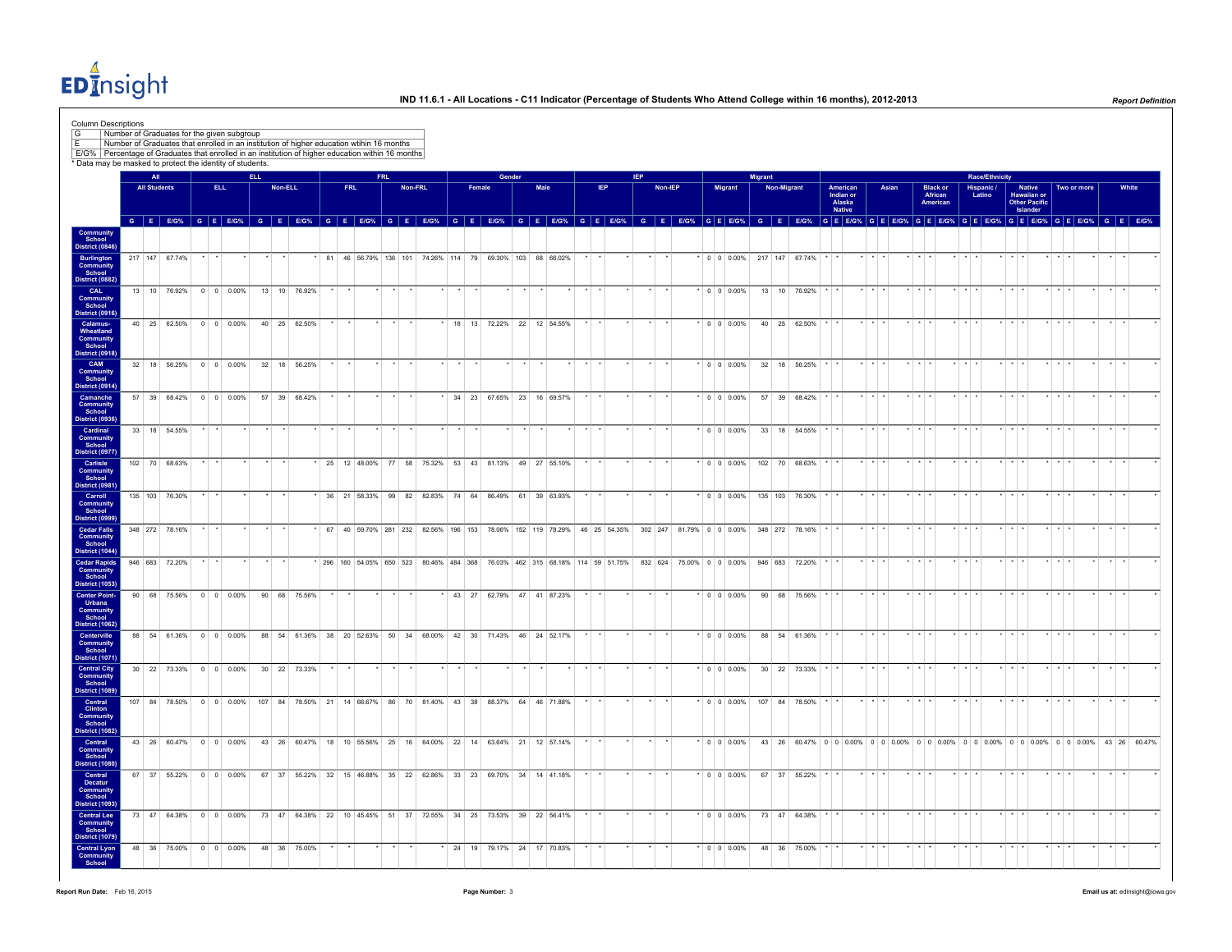EDInsight

| <b>Column Descriptions</b><br>G<br>ΙF<br>E/G% Percentage of Graduates that enrolled in an institution of higher education within 16 months<br>* Data may be masked to protect the identity of students. |                     | Number of Graduates for the given subgroup<br>Number of Graduates that enrolled in an institution of higher education wtihin 16 months |      |            |                                                                   |  |            |            |         |                                                           |                             |                           |        |      |                 |            |            |         |  |                   |         |                    |                                                                                                                     |                                                  |                 |       |             |                                               |                         |                       |             |                                                                         |             |             |                 |                                                                                                                                                                                                                                |  |
|---------------------------------------------------------------------------------------------------------------------------------------------------------------------------------------------------------|---------------------|----------------------------------------------------------------------------------------------------------------------------------------|------|------------|-------------------------------------------------------------------|--|------------|------------|---------|-----------------------------------------------------------|-----------------------------|---------------------------|--------|------|-----------------|------------|------------|---------|--|-------------------|---------|--------------------|---------------------------------------------------------------------------------------------------------------------|--------------------------------------------------|-----------------|-------|-------------|-----------------------------------------------|-------------------------|-----------------------|-------------|-------------------------------------------------------------------------|-------------|-------------|-----------------|--------------------------------------------------------------------------------------------------------------------------------------------------------------------------------------------------------------------------------|--|
|                                                                                                                                                                                                         | All                 |                                                                                                                                        |      | <b>ELL</b> |                                                                   |  |            | <b>FRL</b> |         |                                                           |                             |                           | Gender |      |                 |            | <b>IFP</b> |         |  |                   | Migrant |                    |                                                                                                                     |                                                  |                 |       |             |                                               |                         | <b>Race/Ethnicity</b> |             |                                                                         |             |             |                 |                                                                                                                                                                                                                                |  |
|                                                                                                                                                                                                         | <b>All Students</b> |                                                                                                                                        | ELL. |            | Non-ELL                                                           |  | <b>FRL</b> |            | Non-FRL |                                                           |                             | Female                    |        | Male |                 | <b>IEP</b> |            | Non-IEP |  | Migrant           |         | <b>Non-Migrant</b> |                                                                                                                     | American<br>Indian or<br>Alaska<br><b>Native</b> |                 | Asian |             | <b>Black or</b><br>African<br><b>American</b> | Hispanic /<br>Latino    |                       |             | <b>Native</b><br><b>Hawaiian or</b><br><b>Other Pacific</b><br>Islander |             | Two or more |                 | White                                                                                                                                                                                                                          |  |
|                                                                                                                                                                                                         |                     |                                                                                                                                        |      |            |                                                                   |  |            |            |         |                                                           |                             |                           |        |      |                 |            |            |         |  |                   |         |                    |                                                                                                                     |                                                  |                 |       |             |                                               |                         |                       |             |                                                                         |             |             |                 | G E EG% G E EG% G E EG% G E EG% G E EG% G E EG% G E EG% G E EG% G E EG% G E EG% G E EG% G E EG% G E EG% G E EG% G E EG% G E EG% G E EG% G E EG% G E EG% G E EG% G E EG% G E EG% G E EG% G E EG% G E EG% G E EG% G E EG% G E EG |  |
| Community<br>School<br>District (0846)                                                                                                                                                                  |                     |                                                                                                                                        |      |            |                                                                   |  |            |            |         |                                                           |                             |                           |        |      |                 |            |            |         |  |                   |         |                    |                                                                                                                     |                                                  |                 |       |             |                                               |                         |                       |             |                                                                         |             |             |                 |                                                                                                                                                                                                                                |  |
| <b>Burlington</b><br>Community<br>School                                                                                                                                                                |                     | 217 147 67.74%                                                                                                                         |      |            |                                                                   |  |            |            |         | * 81 46 56.79% 136 101 74.26% 114 79 69.30% 103 68 66.02% |                             |                           |        |      | $\star$ $\star$ |            | $\star$    |         |  |                   |         |                    | * 0 0 0.00% 217 147 67.74% $\cdot$ $\cdot$                                                                          |                                                  | $+ + +$         |       | $*$ $*$ $*$ |                                               | $\star$ $\star$ $\star$ |                       | $*$ $*$ $*$ |                                                                         | $*$ $*$ $*$ |             | $\star$ $\star$ |                                                                                                                                                                                                                                |  |
| <b>District (0882)</b><br>CAL<br>Community<br>School                                                                                                                                                    |                     | 13 10 76.92% 0 0 0.00%                                                                                                                 |      |            | 13 10 76.92%                                                      |  |            |            |         |                                                           |                             |                           |        |      |                 |            |            |         |  | $*$ 0 0 0.00%     |         |                    | 13 10 76.92%                                                                                                        |                                                  |                 |       |             |                                               |                         |                       |             |                                                                         |             |             |                 |                                                                                                                                                                                                                                |  |
| <b>District (0916)</b><br>Calamus-<br>Wheatland                                                                                                                                                         |                     | 40 25 62.50% 0 0 0.00%                                                                                                                 |      |            | 40 25 62.50%                                                      |  |            |            |         |                                                           |                             | 18 13 72.22% 22 12 54.55% |        |      |                 |            |            |         |  | $*$ 0 0 0.00%     |         |                    | 40 25 62.50%                                                                                                        |                                                  |                 |       |             |                                               |                         |                       |             |                                                                         |             |             |                 |                                                                                                                                                                                                                                |  |
| Community<br>School<br><b>District (0918)</b><br>CAM                                                                                                                                                    |                     | 32 18 56.25% 0 0 0.00%                                                                                                                 |      |            | 32 18 56.25%                                                      |  |            |            |         |                                                           |                             |                           |        |      |                 |            |            |         |  |                   |         |                    | $*$ 0 0 0.00% 32 18 56.25%                                                                                          |                                                  |                 |       | $+$ $+$ $+$ |                                               | $\star$ $\star$ $\star$ |                       |             |                                                                         |             |             |                 |                                                                                                                                                                                                                                |  |
| <b>Community</b><br>School<br><b>District (0914)</b>                                                                                                                                                    |                     |                                                                                                                                        |      |            |                                                                   |  |            |            |         |                                                           |                             |                           |        |      |                 |            |            |         |  |                   |         |                    |                                                                                                                     |                                                  |                 |       |             |                                               |                         |                       |             |                                                                         |             |             |                 |                                                                                                                                                                                                                                |  |
| Camanche<br>Community<br>School<br><b>District (0936)</b>                                                                                                                                               |                     | 57 39 68.42% 0 0 0.00%                                                                                                                 |      |            | 57 39 68.42%                                                      |  |            |            |         |                                                           | * 34 23 67.65% 23 16 69.57% |                           |        |      |                 |            |            |         |  | $*$ 0 0 0.00%     |         |                    | 57 39 68.42%                                                                                                        |                                                  | $\cdot$ $\cdot$ |       | $+$ $+$ $+$ |                                               |                         |                       | .           |                                                                         |             |             |                 |                                                                                                                                                                                                                                |  |
| Cardinal<br><b>Community</b><br>School                                                                                                                                                                  |                     | 33 18 54.55%                                                                                                                           |      |            |                                                                   |  |            |            |         |                                                           |                             |                           |        |      |                 |            |            |         |  | $\cdot$ 0 0 0.00% |         |                    | 33 18 54.55%                                                                                                        |                                                  |                 |       |             |                                               |                         |                       |             |                                                                         |             |             |                 |                                                                                                                                                                                                                                |  |
| District (0977<br>Carlisle<br><b>Community</b><br>School                                                                                                                                                |                     | 102 70 68.63%                                                                                                                          |      |            |                                                                   |  |            |            |         | 25 12 48.00% 77 58 75.32% 53 43 81.13% 49 27 55.10%       |                             |                           |        |      |                 |            |            |         |  | $0 \t0 \t0.00\%$  |         | 102 70             | 68.63%                                                                                                              |                                                  |                 |       |             |                                               |                         |                       |             |                                                                         |             |             |                 |                                                                                                                                                                                                                                |  |
| District (0981<br>Carroll<br>Community                                                                                                                                                                  |                     | 135 103 76.30%                                                                                                                         |      |            |                                                                   |  |            |            |         | 36 21 58.33% 99 82 82.83% 74 64 86.49% 61 39 63.93%       |                             |                           |        |      |                 |            |            |         |  |                   |         |                    | $\cdot$ 0 0 0.00% 135 103 76.30%                                                                                    |                                                  |                 |       |             |                                               |                         |                       |             |                                                                         |             |             |                 |                                                                                                                                                                                                                                |  |
| School<br>District (0999)<br><b>Cedar Falls</b>                                                                                                                                                         |                     | 348 272 78.16%                                                                                                                         |      |            |                                                                   |  |            |            |         |                                                           |                             |                           |        |      |                 |            |            |         |  |                   |         |                    | 67 40 59.70% 281 232 82.56% 196 153 78.06% 152 119 78.29% 46 25 54.35% 302 247 81.79% 0 0 0.00% 348 272 78.16%      |                                                  |                 |       |             |                                               |                         |                       |             |                                                                         |             |             |                 |                                                                                                                                                                                                                                |  |
| <b>Community</b><br>School<br>District (1044)<br><b>Cedar Rapids</b>                                                                                                                                    |                     | 946 683 72.20%                                                                                                                         |      |            |                                                                   |  |            |            |         |                                                           |                             |                           |        |      |                 |            |            |         |  |                   |         |                    | 296 160 54.05% 650 523 80.46% 484 368 76.03% 462 315 68.18% 114 59 51.75% 832 624 75.00% 0 0 0 0.00% 946 683 72.20% |                                                  |                 |       |             |                                               |                         |                       |             |                                                                         |             |             |                 |                                                                                                                                                                                                                                |  |
| Community<br>School<br>District (1053)                                                                                                                                                                  |                     |                                                                                                                                        |      |            |                                                                   |  |            |            |         |                                                           |                             |                           |        |      |                 |            |            |         |  |                   |         |                    |                                                                                                                     |                                                  |                 |       |             |                                               |                         |                       |             |                                                                         |             |             |                 |                                                                                                                                                                                                                                |  |
| <b>Center Point-</b><br>Urbana<br><b>Community</b><br>School<br><b>District (1062)</b>                                                                                                                  |                     | 90 68 75.56% 0 0 0.00%                                                                                                                 |      |            | 90 68 75.56%                                                      |  |            |            |         |                                                           |                             | 43 27 62.79% 47 41 87.23% |        |      |                 |            |            |         |  | $^*$ 0 0 0.00%    |         |                    | 90 68 75.56%                                                                                                        |                                                  |                 |       |             |                                               |                         |                       |             |                                                                         |             |             |                 |                                                                                                                                                                                                                                |  |
| Centerville<br>Community<br>School                                                                                                                                                                      |                     | 88 54 61.36% 0 0 0.00%                                                                                                                 |      |            | 88 54 61.36% 38 20 52.63% 50 34 68.00% 42 30 71.43% 46 24 52.17%  |  |            |            |         |                                                           |                             |                           |        |      |                 |            |            |         |  | $\cdot$ 0 0 0.00% |         |                    | 88 54 61.36%                                                                                                        |                                                  |                 |       |             |                                               |                         |                       |             |                                                                         |             |             |                 |                                                                                                                                                                                                                                |  |
| District (1071)<br><b>Central City<br/>Community<br/>School</b>                                                                                                                                         |                     | 30 22 73.33% 0 0 0.00%                                                                                                                 |      |            | 30 22 73.33%                                                      |  |            |            |         |                                                           |                             |                           |        |      |                 |            |            |         |  | $*$ 0 0 0.00%     |         |                    | 30 22 73.33%                                                                                                        |                                                  |                 |       |             |                                               |                         |                       |             |                                                                         |             |             |                 |                                                                                                                                                                                                                                |  |
| District (1089)<br>Central<br>Clinton                                                                                                                                                                   |                     | 107 84 78.50% 0 0 0.00%                                                                                                                |      |            | 107 84 78.50% 21 14 66.67% 86 70 81.40% 43 38 88.37% 64 46 71.88% |  |            |            |         |                                                           |                             |                           |        |      |                 |            |            |         |  | $\cdot$ 0 0 0.00% |         |                    | 107 84 78.50%                                                                                                       |                                                  |                 |       |             |                                               |                         |                       |             |                                                                         |             |             |                 |                                                                                                                                                                                                                                |  |
| Community<br>School<br>District (1082)                                                                                                                                                                  |                     |                                                                                                                                        |      |            |                                                                   |  |            |            |         |                                                           |                             |                           |        |      |                 |            |            |         |  |                   |         |                    |                                                                                                                     |                                                  |                 |       |             |                                               |                         |                       |             |                                                                         |             |             |                 |                                                                                                                                                                                                                                |  |
| Central<br><b>Community</b><br>School<br><b>District (1080)</b>                                                                                                                                         |                     | 43 26 60.47% 0 0 0.00%                                                                                                                 |      |            | 43 26 60.47% 18 10 55.56% 25 16 64.00% 22 14 63.64% 21 12 57.14%  |  |            |            |         |                                                           |                             |                           |        |      |                 |            |            |         |  | $*$ 0 0 0.00%     |         |                    |                                                                                                                     |                                                  |                 |       |             |                                               |                         |                       |             |                                                                         |             |             |                 | 43 26 60.47% 0 0 0.00% 0 0 0.00% 0 0 0.00% 0 0 0.00% 0 0 0.00% 0 0 0.00% 43 26 60.47%                                                                                                                                          |  |
| Central<br>Decatur<br>Community<br>School                                                                                                                                                               |                     | 67 37 55.22% 0 0 0.00%                                                                                                                 |      |            | 67 37 55.22% 32 15 46.88% 35 22 62.86% 33 23 69.70% 34 14 41.18%  |  |            |            |         |                                                           |                             |                           |        |      |                 |            |            |         |  | $^*$ 0 0 0.00%    |         |                    | 67 37 55.22%                                                                                                        |                                                  |                 |       |             |                                               |                         |                       |             |                                                                         |             |             |                 |                                                                                                                                                                                                                                |  |
| <b>District (1093)</b><br><b>Central Lee</b><br>Community                                                                                                                                               |                     | 73 47 64.38% 0 0 0.00%                                                                                                                 |      |            | 73 47 64.38% 22 10 45.45% 51 37 72.55% 34 25 73.53% 39 22 56.41%  |  |            |            |         |                                                           |                             |                           |        |      |                 |            |            |         |  | $*$ 0 0 0.00%     |         |                    | 73 47 64.38%                                                                                                        |                                                  |                 |       |             |                                               |                         |                       |             |                                                                         |             |             |                 |                                                                                                                                                                                                                                |  |
| School<br>District (1079<br><b>Central Lyon</b>                                                                                                                                                         |                     | 48 36 75.00% 0 0 0.00%                                                                                                                 |      |            | 48 36 75.00%                                                      |  |            |            |         |                                                           | 24 19 79.17% 24 17 70.83%   |                           |        |      |                 |            |            |         |  | $*$ 0 0 0.00%     |         |                    | 48 36 75.00%                                                                                                        |                                                  |                 |       | $+ + + +$   |                                               | $+ + + +$               |                       |             |                                                                         |             |             |                 |                                                                                                                                                                                                                                |  |
| <b>Community</b><br>School                                                                                                                                                                              |                     |                                                                                                                                        |      |            |                                                                   |  |            |            |         |                                                           |                             |                           |        |      |                 |            |            |         |  |                   |         |                    |                                                                                                                     |                                                  |                 |       |             |                                               |                         |                       |             |                                                                         |             |             |                 |                                                                                                                                                                                                                                |  |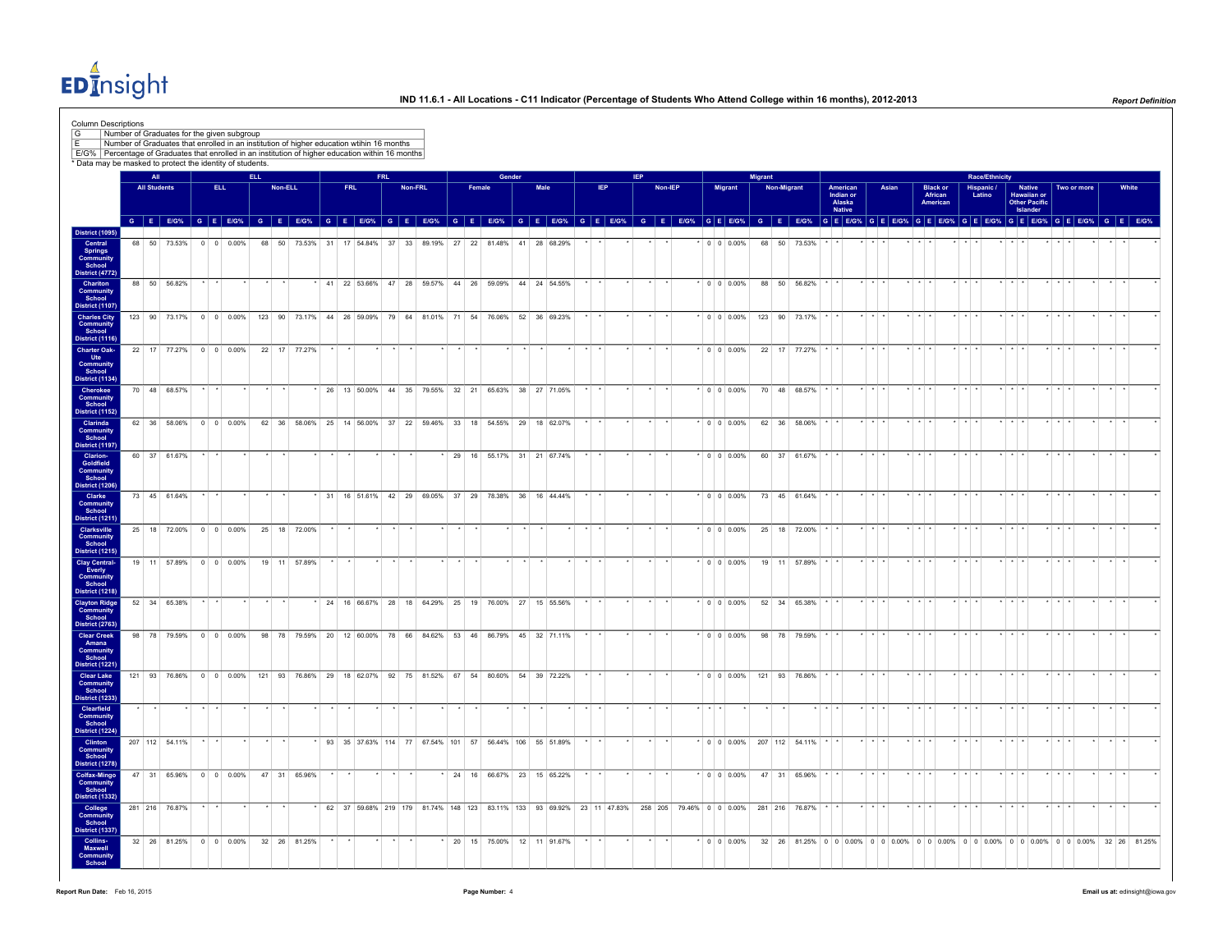EDInsight

| Number of Graduates for the given subgroup<br>Number of Graduates that enrolled in an institution of higher education wtihin 16 months<br>E/G% Percentage of Graduates that enrolled in an institution of higher education within 16 months<br>* Data may be masked to protect the identity of students. |                     |                |                                                     |      |         |                 |      |                                                                                           |            |         |  |        |        |      |                             |            |            |         |  |                                                                                                                                                         |         |             |               |                                           |       |       |                                         |                       |                                                    |             |                       |       |
|----------------------------------------------------------------------------------------------------------------------------------------------------------------------------------------------------------------------------------------------------------------------------------------------------------|---------------------|----------------|-----------------------------------------------------|------|---------|-----------------|------|-------------------------------------------------------------------------------------------|------------|---------|--|--------|--------|------|-----------------------------|------------|------------|---------|--|---------------------------------------------------------------------------------------------------------------------------------------------------------|---------|-------------|---------------|-------------------------------------------|-------|-------|-----------------------------------------|-----------------------|----------------------------------------------------|-------------|-----------------------|-------|
|                                                                                                                                                                                                                                                                                                          | <b>All</b>          |                |                                                     | ELL. |         |                 |      |                                                                                           | <b>FRL</b> |         |  |        | Gender |      |                             |            | <b>IEP</b> |         |  |                                                                                                                                                         | Migrant |             |               |                                           |       |       |                                         | <b>Race/Ethnicity</b> |                                                    |             |                       |       |
|                                                                                                                                                                                                                                                                                                          | <b>All Students</b> |                | ELL.                                                |      | Non-ELL |                 | FRL. |                                                                                           |            | Non-FRL |  | Female |        | Male |                             | <b>IEP</b> |            | Non-IEP |  | Migrant                                                                                                                                                 |         | Non-Migrant |               | American<br>Indian or<br>Alaska<br>Native |       | Asian | <b>Black or<br/>African</b><br>American | Hispanic /<br>Latino  | Native<br>Hawaiian or<br>Other Pacific<br>Islander | Two or more |                       | White |
|                                                                                                                                                                                                                                                                                                          |                     |                |                                                     |      |         |                 |      |                                                                                           |            |         |  |        |        |      |                             |            |            |         |  | GEEG% GEEG% GEEG% GEEG% GEEG% GEEG% GEEG% GEEG% GEEG% GEEG% GEEG% GEEG% GEEG% GEEG% GEEG% GEEGG% GEEGG% GEEGG% GEEGG% GEEGG% GEEGG% GEEGG% GEEGG% GEEGG |         |             |               |                                           |       |       |                                         |                       |                                                    |             |                       |       |
| <b>District (1095)</b><br>Central<br>Springs<br>Community<br>School                                                                                                                                                                                                                                      |                     |                | 68 50 73.53% 0 0 0.00%                              |      |         |                 |      | 68 50 73.53% 31 17 54.84% 37 33 89.19% 27 22 81.48% 41 28 68.29%                          |            |         |  |        |        |      |                             |            |            |         |  | $*$ 0 0 0.00%                                                                                                                                           |         |             | 68 50 73.53%  |                                           |       |       |                                         |                       |                                                    |             |                       |       |
| District (4772)<br>Chariton<br>Community<br>School                                                                                                                                                                                                                                                       |                     | 88 50 56.82%   |                                                     |      |         |                 |      | * 41 22 53.66% 47 28 59.57% 44 26 59.09% 44 24 54.55%                                     |            |         |  |        |        |      |                             |            |            |         |  | $\cdot$ 0 0 0.00%                                                                                                                                       |         |             | 88 50 56.82%  |                                           |       |       |                                         |                       |                                                    |             |                       |       |
| District (1107)<br><b>Charles City</b><br>Community<br>School<br>District (1116)                                                                                                                                                                                                                         |                     |                |                                                     |      |         |                 |      | 123 90 73.17% 0 0 0.00% 123 90 73.17% 44 26 59.09% 79 64 81.01% 71 54 76.06% 52 36 69.23% |            |         |  |        |        |      |                             |            |            |         |  | * 0 0 0 00% 123 90 73.17%                                                                                                                               |         |             |               |                                           |       |       |                                         |                       |                                                    |             |                       |       |
| <b>Charter Oak-</b><br><b>Ute</b><br>Community<br>School                                                                                                                                                                                                                                                 |                     |                | 22 17 77.27% 0 0 0.00%                              |      |         | 22 17 77.27%    |      |                                                                                           |            |         |  |        |        |      |                             |            |            |         |  | $*$ 0 0 0.00%                                                                                                                                           |         |             | 22 17 77.27%  |                                           |       |       |                                         |                       |                                                    |             |                       |       |
| District (1134)<br>Cherokee<br><b>Community</b><br>School                                                                                                                                                                                                                                                |                     | 70 48 68.57%   |                                                     |      |         |                 |      | * 26 13 50.00% 44 35 79.55% 32 21 65.63% 38 27 71.05%                                     |            |         |  |        |        |      |                             |            |            |         |  | $\cdot$ 0 0 0.00%                                                                                                                                       |         |             | 70 48 68.57%  |                                           |       |       |                                         |                       |                                                    |             |                       |       |
| District (1152)<br>Clarinda<br>Community<br>School<br>District (1197)                                                                                                                                                                                                                                    |                     | 62 36 58 06%   | 0 0 0 0 0 0 %                                       |      |         | 62 36 58 06% 25 |      | 14 56 00% 37 22 59 46% 33 18 54 55% 29 18 62 07%                                          |            |         |  |        |        |      |                             |            |            |         |  | $\cdot$ 0 0 0 0 0 %                                                                                                                                     |         |             | 62 36 58.06%  |                                           |       |       |                                         |                       |                                                    |             |                       |       |
| <b>Clarion-</b><br>Goldfield<br>Community<br>School                                                                                                                                                                                                                                                      |                     | 60 37 61.67%   |                                                     |      |         |                 |      |                                                                                           |            |         |  |        |        |      | * 29 16 55.17% 31 21 67.74% |            |            |         |  | $\cdot$ 0 0 0.00%                                                                                                                                       |         |             | 60 37 61.67%  |                                           |       |       |                                         |                       |                                                    |             |                       |       |
| District (1206)<br>Clarke<br>Community<br>School                                                                                                                                                                                                                                                         |                     | 73 45 61.64%   |                                                     |      |         |                 |      | * 31 16 51.61% 42 29 69.05% 37 29 78.38% 36 16 44.44%                                     |            |         |  |        |        |      |                             |            |            |         |  | $*$ 0 0 0 0 0 %                                                                                                                                         |         |             | 73 45 61.64%  |                                           |       |       |                                         |                       |                                                    |             |                       |       |
| District (1211)<br>Clarksville<br><b>Community</b><br>School                                                                                                                                                                                                                                             |                     |                | 25   18   72.00%   0   0   0.00%   25   18   72.00% |      |         |                 |      |                                                                                           |            |         |  |        |        |      |                             |            |            |         |  | $*$ 0 0 0.00%                                                                                                                                           |         |             | 25 18 72.00%  |                                           |       |       |                                         |                       |                                                    |             |                       |       |
| <b>District (1215)</b><br><b>Clay Central-</b><br>Everly<br>Community<br>School                                                                                                                                                                                                                          |                     |                | 19 11 57.89% 0 0 0.00%                              |      |         | 19 11 57.89%    |      |                                                                                           |            |         |  |        |        |      |                             |            |            |         |  | $\cdot$ 0 0 0.00%                                                                                                                                       |         |             | 19 11 57.89%  |                                           |       |       |                                         |                       |                                                    |             |                       |       |
| District (1218)<br><b>Clayton Ridge</b><br>Community<br>School                                                                                                                                                                                                                                           |                     | 52 34 65.38%   |                                                     |      |         |                 |      | 24 16 66.67% 28 18 64.29% 25 19 76.00% 27 15 55.56%                                       |            |         |  |        |        |      |                             |            |            |         |  | $\cdot$ 0 0 0.00%                                                                                                                                       |         |             | 52 34 65.38%  |                                           |       |       |                                         |                       |                                                    |             |                       |       |
| District (2763)<br>Clear Creek<br>Amana<br>Community<br>School                                                                                                                                                                                                                                           |                     |                | 98 78 79 59% 0 0 0 00%                              |      |         |                 |      | 98 78 79.59% 20 12 60.00% 78 66 84.62% 53 46 86.79% 45 32 71.11%                          |            |         |  |        |        |      |                             |            |            |         |  | $*$ 0 0 0.00%                                                                                                                                           |         |             | 98 78 79.59%  |                                           |       |       |                                         |                       |                                                    |             |                       |       |
| District (1221)<br><b>Clear Lake</b><br>Community<br>School                                                                                                                                                                                                                                              |                     |                | 121 93 76.86% 0 0 0.00%                             |      |         |                 |      | 121 93 76.86% 29 18 62.07% 92 75 81.52% 67 54 80.60% 54 39 72.22%                         |            |         |  |        |        |      |                             |            |            |         |  | $\cdot$ 0 0 0.00%                                                                                                                                       |         |             | 121 93 76.86% |                                           |       |       |                                         |                       |                                                    |             |                       |       |
| District (1233)<br>Clearfield<br><b>Community</b><br>School<br>District (1224)                                                                                                                                                                                                                           |                     |                |                                                     |      |         |                 |      |                                                                                           |            |         |  |        |        |      |                             |            |            |         |  |                                                                                                                                                         |         |             |               |                                           |       |       |                                         |                       |                                                    |             |                       |       |
| Clinton<br><b>Community</b><br>School<br><b>District (1278)</b>                                                                                                                                                                                                                                          |                     | 207 112 54.11% |                                                     |      |         |                 |      | 93 35 37.63% 114 77 67.54% 101 57 56.44% 106 55 51.89%                                    |            |         |  |        |        |      |                             |            |            |         |  | $*$ 0 0 0.00% 207 112 54.11%                                                                                                                            |         |             |               |                                           |       |       |                                         |                       |                                                    |             |                       |       |
| <b>Colfax-Mingo</b><br>Community<br>School<br><b>District (1332)</b>                                                                                                                                                                                                                                     |                     |                | 47 31 65.96% 0 0 0.00%                              |      |         | 47 31 65.96%    |      |                                                                                           |            |         |  |        |        |      | * 24 16 66.67% 23 15 65.22% |            |            |         |  | $*$ 0 0 0.00%                                                                                                                                           |         |             | 47 31 65.96%  |                                           |       |       |                                         |                       |                                                    |             | $\star$ $\rightarrow$ |       |
| College<br>Community<br>School<br><b>District (1337)</b>                                                                                                                                                                                                                                                 |                     | 281 216 76.87% |                                                     |      |         |                 |      |                                                                                           |            |         |  |        |        |      |                             |            |            |         |  | * 62 37 59.68% 219 179 81.74% 148 123 83.11% 133 93 69.92% 23 11 47.83% 258 205 79.46% 0 0 0.00% 281 216 76.87% * *                                     |         |             |               |                                           | $+ +$ |       |                                         |                       | $+ + + +$                                          |             |                       |       |
| Collins-<br>Maxwell<br><b>Community</b><br>School                                                                                                                                                                                                                                                        |                     |                | 32 26 81.25% 0 0 0.00% 32 26 81.25%                 |      |         |                 |      |                                                                                           |            |         |  |        |        |      | 20 15 75.00% 12 11 91.67%   |            |            |         |  |                                                                                                                                                         |         |             |               |                                           |       |       |                                         |                       |                                                    |             |                       |       |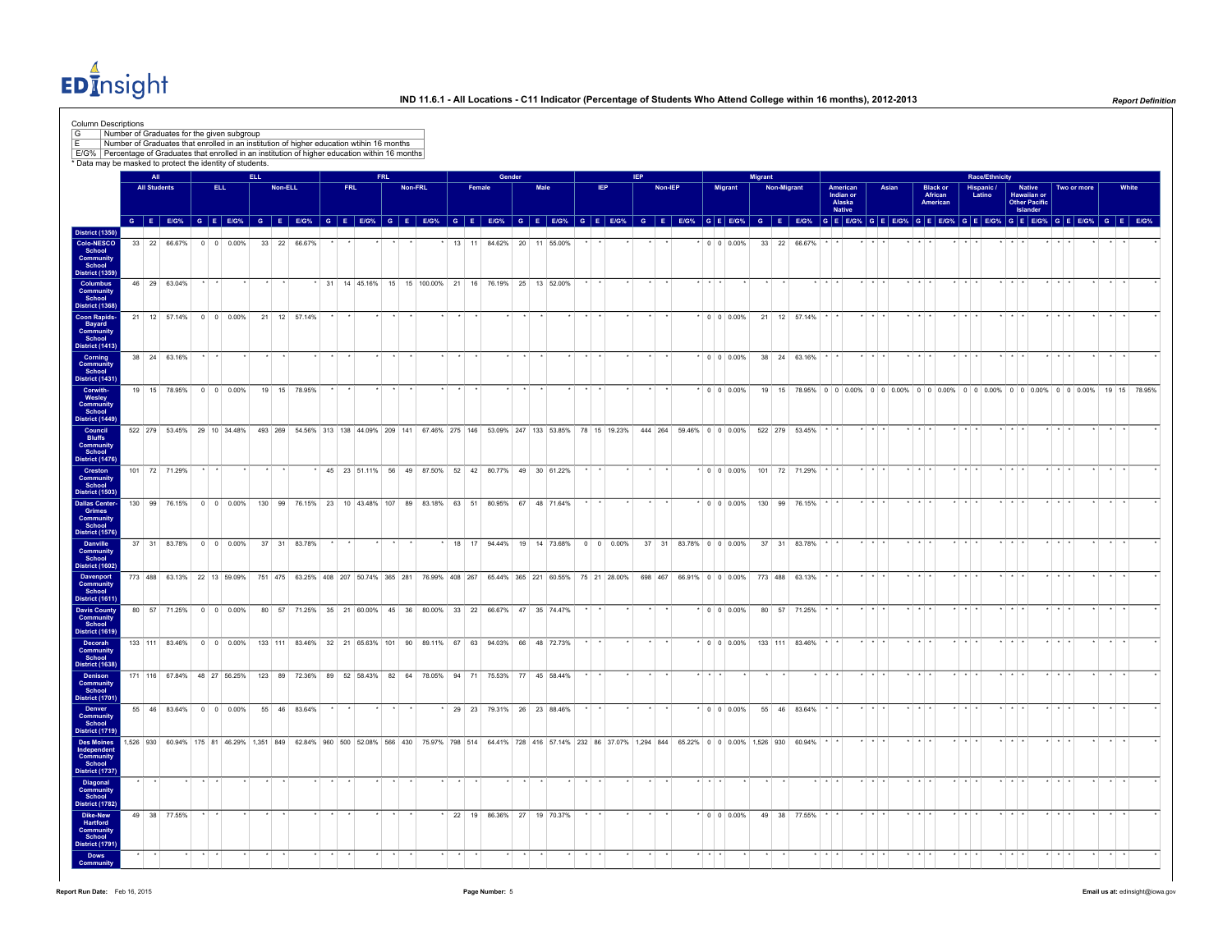EDInsight

| <b>Column Descriptions</b><br>Number of Graduates for the given subgroup<br>Number of Graduates that enrolled in an institution of higher education wtihin 16 months<br>E/G% Percentage of Graduates that enrolled in an institution of higher education within 16 months<br>* Data may be masked to protect the identity of students. |                     |               |      |                                                                                                                                                                                                                                |      |         |                                                                     |    |                                                        |            |         |              |        |        |      |                             |         |      |                                                                                                |            |         |                                         |                   |         |             |                             |                                                  |                         |       |                      |                     |                 |             |                       |                         |                                                                                       |                         |             |                 |       |
|----------------------------------------------------------------------------------------------------------------------------------------------------------------------------------------------------------------------------------------------------------------------------------------------------------------------------------------|---------------------|---------------|------|--------------------------------------------------------------------------------------------------------------------------------------------------------------------------------------------------------------------------------|------|---------|---------------------------------------------------------------------|----|--------------------------------------------------------|------------|---------|--------------|--------|--------|------|-----------------------------|---------|------|------------------------------------------------------------------------------------------------|------------|---------|-----------------------------------------|-------------------|---------|-------------|-----------------------------|--------------------------------------------------|-------------------------|-------|----------------------|---------------------|-----------------|-------------|-----------------------|-------------------------|---------------------------------------------------------------------------------------|-------------------------|-------------|-----------------|-------|
|                                                                                                                                                                                                                                                                                                                                        | <b>All</b>          |               |      |                                                                                                                                                                                                                                | ELL. |         |                                                                     |    |                                                        | <b>FRL</b> |         |              |        | Gender |      |                             |         |      |                                                                                                | <b>IEP</b> |         |                                         |                   | Migrant |             |                             |                                                  |                         |       |                      |                     |                 |             | <b>Race/Ethnicity</b> |                         |                                                                                       |                         |             |                 |       |
|                                                                                                                                                                                                                                                                                                                                        | <b>All Students</b> |               | ELL. |                                                                                                                                                                                                                                |      | Non-ELL |                                                                     |    | <b>FRL</b>                                             |            | Non-FRL |              | Female |        | Male |                             |         | IEP. |                                                                                                |            | Non-IEP |                                         | <b>Migrant</b>    |         | Non-Migrant |                             | American<br>Indian or<br>Alaska<br><b>Native</b> |                         | Asian |                      | African<br>American | <b>Black or</b> |             | Hispanic /<br>Latino  |                         | <b>Native</b><br>Hawaiian or<br>Other Pacific<br>Islander                             |                         | Two or more |                 | White |
|                                                                                                                                                                                                                                                                                                                                        |                     |               |      | G E EIG% G E EIG% G E EIG% G E EIG% G E EIG% G E EIG% G E EIG% G E EIG% G E EIG% G E EIG% G E EIG% G E EIG% G E EIG% G E EIG% G E EIG% G E EIG% G E EIG% G E EIG% G E EIG% G E EIG% G E EIG% G E EIG% G E EIG% G E EIG% G E EI |      |         |                                                                     |    |                                                        |            |         |              |        |        |      |                             |         |      |                                                                                                |            |         |                                         |                   |         |             |                             |                                                  |                         |       |                      |                     |                 |             |                       |                         |                                                                                       |                         |             |                 |       |
| <b>District (1350)</b><br>Colo-NESCO<br>School<br><b>Community</b><br>School                                                                                                                                                                                                                                                           |                     |               |      | 33 22 66.67% 0 0 0.00%                                                                                                                                                                                                         |      |         | 33 22 66.67%                                                        |    |                                                        |            |         |              |        |        |      | 13 11 84.62% 20 11 55.00%   |         |      |                                                                                                |            |         |                                         | $\cdot$ 0 0 0.00% |         |             | 33 22 66.67%                |                                                  |                         |       |                      |                     |                 |             |                       |                         |                                                                                       |                         |             |                 |       |
| <b>District (1359)</b><br>Columbus                                                                                                                                                                                                                                                                                                     |                     | 46 29 63.04%  |      |                                                                                                                                                                                                                                |      |         |                                                                     |    | * 31 14 45.16% 15 15 100.00% 21 16 76.19% 25 13 52.00% |            |         |              |        |        |      |                             |         |      |                                                                                                |            |         |                                         |                   |         |             |                             |                                                  |                         |       |                      |                     |                 |             |                       |                         |                                                                                       |                         |             |                 |       |
| Community<br>School<br><b>District (1368)</b><br><b>Coon Rapids-</b>                                                                                                                                                                                                                                                                   |                     |               |      | 21 12 57.14% 0 0 0.00%                                                                                                                                                                                                         |      |         | 21 12 57.14%                                                        |    |                                                        |            |         |              |        |        |      |                             |         |      |                                                                                                |            |         |                                         | $\cdot$ 0 0 0.00% |         |             | 21 12 57.14%                |                                                  |                         |       |                      |                     |                 |             |                       |                         |                                                                                       |                         |             |                 |       |
| <b>Bayard</b><br>Community<br>School<br>District (1413)                                                                                                                                                                                                                                                                                |                     |               |      |                                                                                                                                                                                                                                |      |         |                                                                     |    |                                                        |            |         |              |        |        |      |                             |         |      |                                                                                                |            |         |                                         |                   |         |             |                             |                                                  |                         |       |                      |                     |                 |             |                       |                         |                                                                                       |                         |             |                 |       |
| Corning<br>Community<br>School<br>District (1431)                                                                                                                                                                                                                                                                                      |                     | 38 24 63.16%  |      |                                                                                                                                                                                                                                |      |         |                                                                     |    |                                                        |            |         |              |        |        |      |                             |         |      |                                                                                                |            |         |                                         | $\cdot$ 0 0 0.00% |         |             | 38 24 63.16%                |                                                  |                         |       |                      |                     |                 |             |                       |                         |                                                                                       |                         |             |                 |       |
| Corwith-<br>Wesley<br>Community<br>School                                                                                                                                                                                                                                                                                              |                     |               |      | 19 15 78.95% 0 0 0.00%                                                                                                                                                                                                         |      |         | 19  15  78.95%                                                      |    |                                                        |            |         |              |        |        |      |                             |         |      |                                                                                                |            |         |                                         | $*$ 0 0 0.00%     |         |             |                             |                                                  |                         |       |                      |                     |                 |             |                       |                         | 19 15 78.95% 0 0 0.00% 0 0 0.00% 0 0 0.00% 0 0 0.00% 0 0 0.00% 0 0 0.00% 19 15 78.95% |                         |             |                 |       |
| District (1449)<br>Council<br><b>Bluffs</b>                                                                                                                                                                                                                                                                                            |                     |               |      | 522 279 53.45% 29 10 34.48% 493 269 54.56% 313 138 44.09% 209 141 67.46% 275 146 53.09% 247 133 53.85% 78 15 19.23% 444 264 59.46% 0 0 0.00% 522 279 53.45%                                                                    |      |         |                                                                     |    |                                                        |            |         |              |        |        |      |                             |         |      |                                                                                                |            |         |                                         |                   |         |             |                             |                                                  | $\cdot$ $\cdot$         |       |                      |                     |                 |             |                       |                         |                                                                                       |                         |             | $\cdot$ $\cdot$ |       |
| Community<br>School<br>District (1476)<br>Creston                                                                                                                                                                                                                                                                                      |                     | 101 72 71.29% |      |                                                                                                                                                                                                                                |      |         |                                                                     |    | * 45 23 51.11% 56 49 87.50% 52 42 80.77% 49 30 61.22%  |            |         |              |        |        |      |                             | $\star$ |      |                                                                                                |            | $\star$ |                                         |                   |         |             | $*$ 0 0 0.00% 101 72 71.29% |                                                  | $\star$ $\star$ $\star$ |       |                      | $+$ $+$ $+$         |                 | $+$ $+$ $+$ |                       | $\star$ $\star$ $\star$ |                                                                                       | $\star$ $\star$ $\star$ |             | $\star$ $\star$ |       |
| Community<br>School<br><b>District (1503)</b><br><b>Dallas Center-</b>                                                                                                                                                                                                                                                                 |                     |               |      | 130 99 76.15% 0 0 0.00%                                                                                                                                                                                                        |      |         | 130 99 76.15% 23 10 43.48% 107 89 83.18% 63 51                      |    |                                                        |            |         |              |        |        |      | 80.95% 67 48 71.64%         |         |      |                                                                                                |            |         |                                         | $0 \t0 \t0.00\%$  |         |             | 130 99 76.15%               |                                                  |                         |       |                      |                     |                 |             |                       |                         |                                                                                       |                         |             |                 |       |
| Grimes<br>Community<br>School<br><b>District (1576)</b>                                                                                                                                                                                                                                                                                |                     |               |      |                                                                                                                                                                                                                                |      |         |                                                                     |    |                                                        |            |         |              |        |        |      |                             |         |      |                                                                                                |            |         |                                         |                   |         |             |                             |                                                  |                         |       |                      |                     |                 |             |                       |                         |                                                                                       |                         |             |                 |       |
| Danville<br>Community<br>School<br>District (1602)                                                                                                                                                                                                                                                                                     |                     |               |      | 37 31 83.78% 0 0 0.00%                                                                                                                                                                                                         |      |         | 37 31 83.78%                                                        |    |                                                        |            |         |              |        |        |      | 18 17 94.44% 19 14 73.68%   |         |      | $0 \t 0 \t 0.00\%$                                                                             |            |         | 37 31 83.78% 0 0 0.00%                  |                   |         |             | 37 31 83.78%                |                                                  |                         |       | $\sim$ $\sim$ $\sim$ |                     |                 |             |                       | $\cdot$ $\cdot$ $\cdot$ |                                                                                       |                         |             | $\cdot$ $\cdot$ |       |
| <b>Davenport</b><br>Community<br>School<br><b>District (1611)</b>                                                                                                                                                                                                                                                                      |                     |               |      | 773 488 63.13% 22 13 59.09% 751 475 63.25% 408 207 50.74% 365 281 76.99% 408 267 65.44% 365 221 60.55% 75 21 28.00%                                                                                                            |      |         |                                                                     |    |                                                        |            |         |              |        |        |      |                             |         |      |                                                                                                |            |         | 698 467 66.91% 0 0 0.00% 773 488 63.13% |                   |         |             |                             |                                                  |                         |       |                      |                     |                 |             |                       |                         |                                                                                       |                         |             |                 |       |
| <b>Davis County</b><br>Community<br>School<br><b>District (1619)</b>                                                                                                                                                                                                                                                                   |                     |               |      | 80 57 71.25% 0 0 0.00%                                                                                                                                                                                                         |      |         | 80 57 71.25% 35 21 60.00% 45 36 80.00% 33 22 66.67% 47 35 74.47%    |    |                                                        |            |         |              |        |        |      |                             |         |      |                                                                                                |            |         |                                         | $\cdot$ 0 0 0.00% |         |             | 80 57 71.25%                |                                                  |                         |       |                      |                     |                 |             |                       |                         |                                                                                       |                         |             | $\sim$ $\sim$   |       |
| Decorah<br>Community<br>School                                                                                                                                                                                                                                                                                                         |                     |               |      | 133 111 83.46% 0 0 0.00%                                                                                                                                                                                                       |      |         | 133 111 83.46% 32 21 65.63% 101 90 89.11% 67 63 94.03% 66 48 72.73% |    |                                                        |            |         |              |        |        |      |                             |         |      |                                                                                                |            |         |                                         | $\cdot$ 0 0 0.00% |         |             | 133 111 83.46%              |                                                  | $\cdot$ $\cdot$         |       |                      |                     |                 |             |                       |                         |                                                                                       |                         |             | $\sim$ $\sim$   |       |
| District (1638)<br>Denison<br><b>Community</b><br>School                                                                                                                                                                                                                                                                               |                     |               |      | 171 116 67.84% 48 27 56.25%                                                                                                                                                                                                    |      |         | 123 89 72.36%                                                       | 89 | 52 58.43% 82 64                                        |            |         | 78.05% 94 71 |        |        |      | 75.53% 77 45 58.44%         |         |      |                                                                                                |            |         |                                         |                   |         |             |                             |                                                  |                         |       |                      |                     |                 |             |                       |                         |                                                                                       |                         |             |                 |       |
| District (1701)<br>Denver<br>Community<br>School                                                                                                                                                                                                                                                                                       |                     |               |      | 55 46 83.64% 0 0 0.00%                                                                                                                                                                                                         |      |         | 55 46 83.64%                                                        |    |                                                        |            |         |              |        |        |      | * 29 23 79.31% 26 23 88.46% |         |      |                                                                                                |            |         |                                         | $*$ 0 0 0.00%     |         |             | 55 46 83.64%                |                                                  |                         |       | $-1$                 |                     |                 |             |                       |                         |                                                                                       |                         |             |                 |       |
| District (1719)<br><b>Des Moines</b><br>Independent<br>Community                                                                                                                                                                                                                                                                       |                     |               |      | 1.526 930 60.94% 175 81 46.29% 1.351 849 62.84% 960 500 52.08% 566 430                                                                                                                                                         |      |         |                                                                     |    |                                                        |            |         |              |        |        |      |                             |         |      | 75.97% 798 514 64.41% 728 416 57.14% 232 86 37.07% 1.294 844 65.22% 0 0 0.00% 1.526 930 60.94% |            |         |                                         |                   |         |             |                             |                                                  |                         |       |                      |                     |                 |             |                       |                         |                                                                                       |                         |             |                 |       |
| School<br>District (1737)                                                                                                                                                                                                                                                                                                              |                     |               |      |                                                                                                                                                                                                                                |      |         |                                                                     |    |                                                        |            |         |              |        |        |      |                             |         |      |                                                                                                |            |         |                                         |                   |         |             |                             |                                                  |                         |       |                      |                     |                 |             |                       |                         |                                                                                       |                         |             |                 |       |
| <b>Diagonal</b><br><b>Community</b><br>School<br>District (1782)                                                                                                                                                                                                                                                                       |                     |               |      |                                                                                                                                                                                                                                |      |         |                                                                     |    |                                                        |            |         |              |        |        |      |                             |         |      |                                                                                                |            |         |                                         |                   |         |             |                             |                                                  |                         |       |                      |                     |                 |             |                       |                         |                                                                                       |                         |             |                 |       |
| Dike-New<br>Hartford<br><b>Community</b><br>School<br>District (1791)                                                                                                                                                                                                                                                                  |                     | 49 38 77.55%  |      |                                                                                                                                                                                                                                |      |         |                                                                     |    |                                                        |            |         |              |        |        |      | 22 19 86.36% 27 19 70.37%   |         |      |                                                                                                |            |         |                                         | $0 \t0 \t0.00\%$  |         |             | 49 38 77.55%                |                                                  |                         |       |                      |                     |                 |             |                       |                         |                                                                                       |                         |             |                 |       |
| Dows<br>Communit                                                                                                                                                                                                                                                                                                                       |                     |               |      |                                                                                                                                                                                                                                |      |         |                                                                     |    |                                                        |            |         |              |        |        |      |                             |         |      |                                                                                                |            |         |                                         |                   |         |             |                             |                                                  |                         |       |                      |                     |                 |             |                       |                         |                                                                                       |                         |             |                 |       |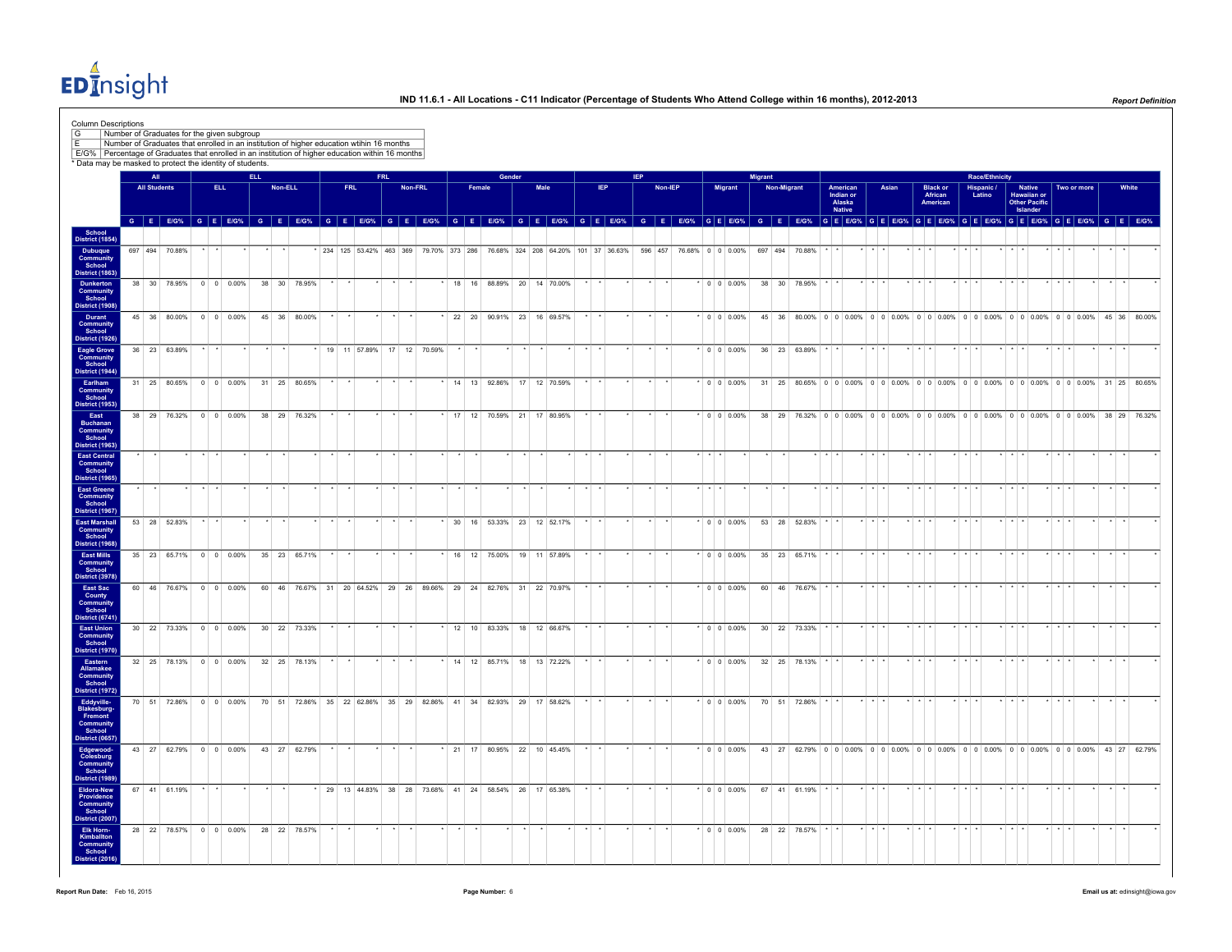EDInsight

|                                                                                                  |                     | All |              | * Data may be masked to protect the identity of students. | ELL. |         |              | E/G% Percentage of Graduates that enrolled in an institution of higher education within 16 months |         |            | <b>FRL</b> |         |         |                           |        | Gender |                                                                                                                               |                 |     | <b>IEP</b> |         |                   |                          | Migrant |             |                            |                                                                                                   |                         |       |                         |                                        |             |                      | <b>Race/Ethnicity</b> |                         |                                                           |                         |             |                             |       |
|--------------------------------------------------------------------------------------------------|---------------------|-----|--------------|-----------------------------------------------------------|------|---------|--------------|---------------------------------------------------------------------------------------------------|---------|------------|------------|---------|---------|---------------------------|--------|--------|-------------------------------------------------------------------------------------------------------------------------------|-----------------|-----|------------|---------|-------------------|--------------------------|---------|-------------|----------------------------|---------------------------------------------------------------------------------------------------|-------------------------|-------|-------------------------|----------------------------------------|-------------|----------------------|-----------------------|-------------------------|-----------------------------------------------------------|-------------------------|-------------|-----------------------------|-------|
|                                                                                                  | <b>All Students</b> |     |              | ELL.                                                      |      |         | Non-ELL      |                                                                                                   |         | <b>FRL</b> |            |         | Non-FRL |                           | Female |        | Male                                                                                                                          |                 | IEP |            | Non-IEP |                   | Migrant                  |         | Non-Migrant |                            | American<br>Indian or<br>Alaska<br><b>Native</b>                                                  |                         | Asian |                         | <b>Black or</b><br>African<br>American |             | Hispanic /<br>Latino |                       |                         | <b>Native</b><br>Hawaiian or<br>Other Pacific<br>Islander |                         | Two or more |                             | White |
| School<br>District (1854)                                                                        |                     |     |              |                                                           |      |         |              |                                                                                                   |         |            |            |         |         |                           |        |        | GEEOS GEEOS GEEOS GEEOS GEEOS GEEOS GEEOS GEEOS GEEOS GEEOS GEEOS GEEOS GEEOS GEEOS GEEOS GEEOS GEEOS GEEOS GEEOS GEEOS GEEOS |                 |     |            |         |                   |                          |         |             |                            |                                                                                                   |                         |       |                         |                                        |             |                      |                       |                         |                                                           |                         |             |                             |       |
| Dubuque<br>Community<br>School                                                                   | 697 494 70.88%      |     |              |                                                           |      |         |              |                                                                                                   |         |            |            |         |         |                           |        |        | 234 125 53.42% 463 369 79.70% 373 286 76.68% 324 208 64.20% 101 37 36.63%                                                     |                 |     |            |         |                   | 596 457 76.68% 0 0 0.00% |         | 697 494     | 7088%                      |                                                                                                   |                         |       |                         |                                        |             |                      |                       |                         |                                                           |                         |             |                             |       |
| District (1863)<br><b>Dunkerton</b><br><b>Community</b><br>School                                |                     |     |              | 38 30 78.95% 0 0 0.00%                                    |      |         | 38 30 78.95% |                                                                                                   |         |            |            |         |         |                           |        |        | 18 16 88.89% 20 14 70.00%                                                                                                     |                 |     |            |         |                   | $\cdot$ 0 0 0 0 0 %      |         |             | 38 30 78.95%               |                                                                                                   |                         |       |                         |                                        |             |                      |                       |                         |                                                           |                         |             |                             |       |
| District (1908)<br>Durant<br>Community<br>School                                                 |                     |     |              | 45 36 80.00% 0 0 0.00%                                    |      |         | 45 36 80,00% |                                                                                                   |         |            |            |         |         |                           |        |        | $*$ 22 20 90.91% 23 16 69.57%                                                                                                 |                 |     |            |         |                   | $*$ 0 0 0 0 0 %          |         |             |                            | 45 36 80.00% 0 0 0.00% 0 0 0.00% 0 0 0.00% 0 0 0.00% 0 0 0.00% 0 0 0.00% 45 36 80.00%             |                         |       |                         |                                        |             |                      |                       |                         |                                                           |                         |             |                             |       |
| <b>District (1926)</b><br>Eagle Grove<br>Community<br>School                                     | 36 23 63.89%        |     |              |                                                           |      |         |              |                                                                                                   |         |            |            |         |         | 19 11 57.89% 17 12 70.59% |        |        |                                                                                                                               |                 |     |            |         |                   | $\cdot$ 0 0 0.00%        |         |             | 36 23 63.89%               |                                                                                                   |                         |       |                         |                                        |             |                      |                       |                         |                                                           |                         |             |                             |       |
| <b>District (1944)</b><br>Earlham<br>Community<br>School                                         |                     |     |              | 31 25 80.65% 0 0 0.00%                                    |      |         | 31 25 80.65% |                                                                                                   |         |            |            |         |         |                           |        |        | * 14 13 92.86% 17 12 70.59%                                                                                                   |                 |     |            |         |                   | $\cdot$ 0 0 0.00%        |         |             |                            | 31 25 80.65% 0 0 0.00% 0 0 0.00% 0 0 0.00% 0 0 0.00% 0 0 0.00% 0 0 0.00% 31 25 80.65%             |                         |       |                         |                                        |             |                      |                       |                         |                                                           |                         |             |                             |       |
| <b>District (1953)</b><br>East<br><b>Buchanan</b><br>Community<br>School                         |                     |     |              | 38 29 76.32% 0 0 0.00%                                    |      |         | 38 29 76.32% |                                                                                                   |         |            |            |         |         |                           |        |        | * 17 12 70.59% 21 17 80.95%                                                                                                   |                 |     |            |         |                   | $\cdot$ 0 0 0.00%        |         |             |                            | 38 29 76.32% 0 0 0.00% 0 0 0.00% 0 0 0.00% 0 0 0.00% 0 0 0.00% 0 0 0.00% 38 29 76.32%             |                         |       |                         |                                        |             |                      |                       |                         |                                                           |                         |             |                             |       |
| <b>District (1963)</b><br><b>East Central</b><br>Community<br>School                             |                     |     |              |                                                           |      |         |              |                                                                                                   |         |            |            |         |         |                           |        |        |                                                                                                                               |                 |     |            |         | .                 |                          |         |             |                            |                                                                                                   |                         |       | $+ + + +$               |                                        |             |                      |                       | .                       |                                                           |                         |             |                             |       |
| <b>District (1965)</b><br>East Greene<br>Community<br>School                                     |                     |     |              |                                                           |      |         |              |                                                                                                   |         |            |            |         |         |                           |        |        |                                                                                                                               |                 |     |            |         |                   |                          |         |             |                            |                                                                                                   |                         |       |                         |                                        |             |                      |                       |                         |                                                           |                         |             |                             |       |
| District (1967)<br><b>East Marshall</b><br>Community<br>School                                   |                     |     | 53 28 52 83% |                                                           |      |         |              |                                                                                                   |         |            |            |         |         |                           |        |        | 30 16 53.33% 23 12 52.17%                                                                                                     |                 |     |            |         |                   | $\cdot$ 0 0 0 0 0 %      |         |             | 53 28 52.83%               |                                                                                                   |                         |       |                         |                                        |             |                      |                       |                         |                                                           |                         |             |                             |       |
| District (1968)<br><b>East Mills</b><br>Community<br>School                                      |                     |     |              | 35 23 65.71% 0 0 0.00%                                    |      |         | 35 23 65.71% |                                                                                                   |         |            |            |         |         |                           |        |        | 16 12 75.00% 19 11 57.89%                                                                                                     |                 |     |            |         |                   | $*$ 0 0 0.00%            |         |             | 35 23 65.71%               |                                                                                                   |                         |       |                         |                                        |             |                      |                       |                         |                                                           |                         |             |                             |       |
| <b>District (3978)</b><br>East Sac<br>County                                                     |                     |     |              | 60 46 76.67% 0 0 0.00%                                    |      |         |              |                                                                                                   |         |            |            |         |         |                           |        |        | 60 46 76.67% 31 20 64.52% 29 26 89.66% 29 24 82.76% 31 22 70.97%                                                              |                 |     |            |         |                   | $*$ 0 0 0.00%            |         |             | 60 46 76.67%               |                                                                                                   |                         |       | $+ + +$                 |                                        |             |                      |                       |                         |                                                           |                         |             |                             |       |
| Community<br>School<br><b>District (6741)</b><br><b>East Union</b><br><b>Community</b><br>School |                     |     |              | 30 22 73.33% 0 0 0.00%                                    |      |         | 30 22 73.33% |                                                                                                   |         |            |            |         |         |                           |        |        | $\cdot$ 12 10 83.33% 18 12 66.67%                                                                                             | $+$             |     | $\star$    | $\star$ |                   |                          |         |             | $*$ 0 0 0.00% 30 22 73.33% |                                                                                                   | $+$ $+$ $+$             |       | $\star$ $\star$ $\star$ |                                        | $*$ $*$ $*$ |                      |                       | $\star$ $\star$ $\star$ |                                                           | $\star$ $\star$ $\star$ |             | $\rightarrow$ $\rightarrow$ |       |
| <b>District (1970)</b><br>Eastern<br>Allamakee                                                   |                     |     |              | 32 25 78.13% 0 0 0.00%                                    |      |         | 32 25 78.13% |                                                                                                   |         |            |            |         |         |                           |        |        | * 14 12 85.71% 18 13 72.22%                                                                                                   |                 |     |            |         |                   | $\cdot$ 0 0 0.00%        |         |             | 32 25 78.13%               |                                                                                                   |                         |       |                         |                                        |             |                      |                       |                         |                                                           |                         |             |                             |       |
| <b>Community</b><br>School<br><b>District (1972)</b>                                             |                     |     |              | 70 51 72.86% 0 0 0.00%                                    |      |         |              |                                                                                                   |         |            |            |         |         |                           |        |        | 70 51 72.86% 35 22 62.86% 35 29 82.86% 41 34 82.93% 29 17 58.62%                                                              |                 |     |            |         |                   | $\cdot$ 0 0 0.00%        |         |             | 70 51 72.86%               |                                                                                                   |                         |       |                         |                                        |             |                      |                       |                         |                                                           |                         |             |                             |       |
| Eddyville-<br>Blakesburg-<br>Fremont<br>Community<br>School<br>District (0657)                   |                     |     |              |                                                           |      |         |              |                                                                                                   |         |            |            |         |         |                           |        |        |                                                                                                                               |                 |     |            |         |                   |                          |         |             |                            |                                                                                                   |                         |       |                         |                                        |             |                      |                       |                         |                                                           |                         |             |                             |       |
| Edgewood-<br>Colesburg<br><b>Community</b><br>School                                             |                     |     |              | 43 27 62.79% 0 0 0.00% 43 27 62.79%                       |      |         |              |                                                                                                   | $\star$ | $\star$    | $\star$    | $\star$ |         |                           |        |        | * 21 17 80.95% 22 10 45.45%                                                                                                   | $\star$ $\star$ |     | $\star$    | $\star$ |                   |                          |         |             |                            | * 0 0 0.00% 43 27 62.79% 0 0 0.00% 0 0 0.00% 0 0 0.00% 0 0 0.00% 0 0 0.00% 0 0 0.00% 43 27 62.79% |                         |       |                         |                                        |             |                      |                       |                         |                                                           |                         |             |                             |       |
| District (1989)<br>Eldora-New<br>Providence<br><b>Community</b><br>School                        |                     |     | 67 41 61.19% |                                                           |      | $\star$ |              |                                                                                                   |         |            |            |         |         |                           |        |        | 29 13 44.83% 38 28 73.68% 41 24 58.54% 26 17 65.38%                                                                           |                 |     | $\star$    | $\star$ |                   | $\cdot$ 0 0 0.00%        |         |             | 67 41 61.19% * *           |                                                                                                   | $+$ $+$                 |       | $\star$ $\star$ $\star$ |                                        |             |                      |                       |                         |                                                           |                         |             | $\cdot$ $\cdot$             |       |
| <b>District (2007)</b><br><b>Elk Horn-</b><br>Kimballton                                         |                     |     |              | 28 22 78.57% 0 0 0.00%                                    |      |         | 28 22 78.57% |                                                                                                   |         |            |            |         |         |                           |        |        |                                                                                                                               |                 |     |            |         | $\cdot$ 0 0 0.00% |                          |         |             | 28 22 78.57% * *           |                                                                                                   | $\star$ $\star$ $\star$ |       | $\star$ $\star$ $\star$ |                                        | $+$ $+$ $+$ |                      |                       | $\star$ $\star$ $\star$ |                                                           | $\star$ $\star$ $\star$ |             | $\cdot$ $\cdot$             |       |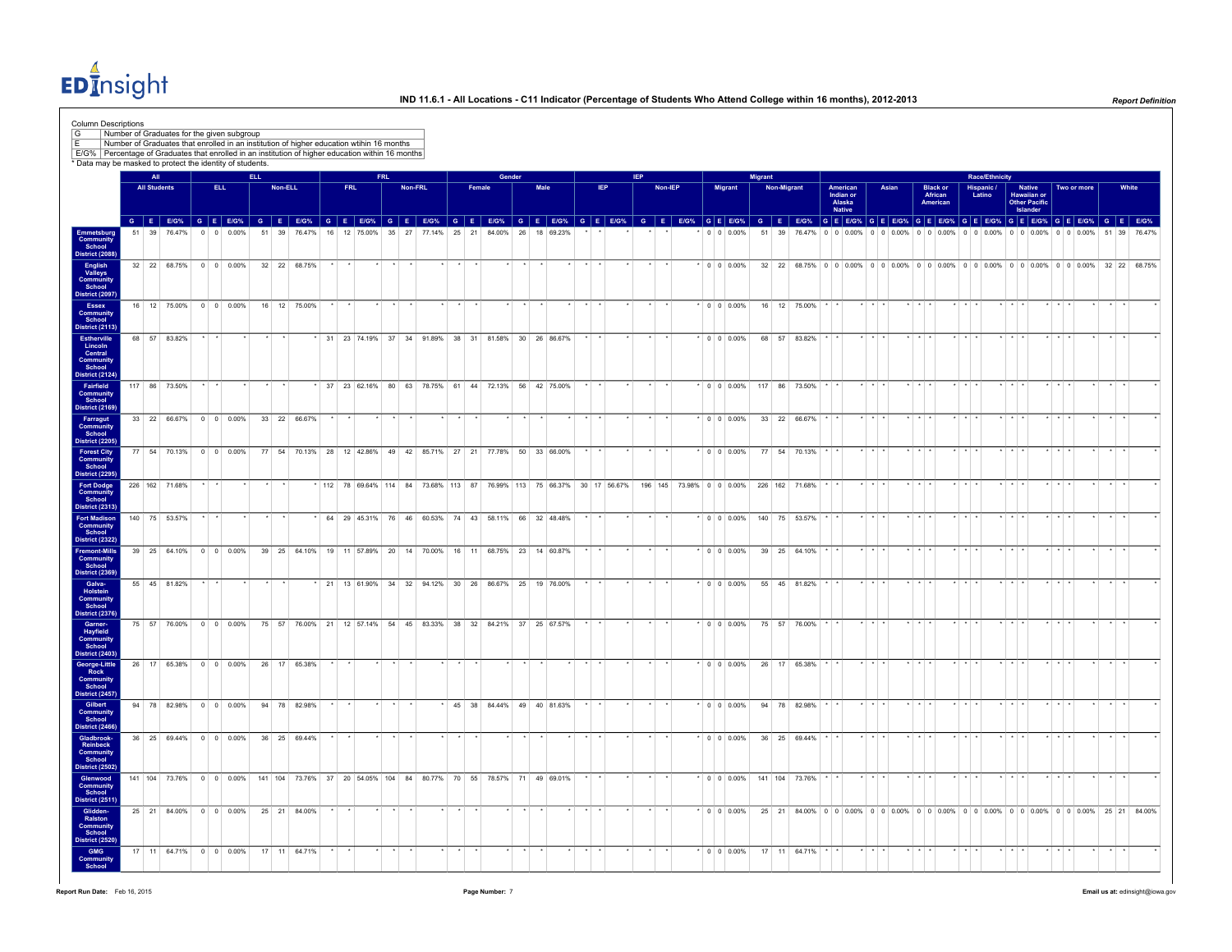EDInsight

|                                                                                  |                     | Number of Graduates for the given subgroup<br>Number of Graduates that enrolled in an institution of higher education wtihin 16 months                                                                                                  |         |                    |            |         |                                                                  |            |                                                                        |            |         |  |        |                               |               |      |                 |               |            |               |  |                    |         |             |                                                                                         |                 |                                           |                         |       |                         |                                        |                         |                       |                         |                                                                  |                         |             |               |                 |  |
|----------------------------------------------------------------------------------|---------------------|-----------------------------------------------------------------------------------------------------------------------------------------------------------------------------------------------------------------------------------------|---------|--------------------|------------|---------|------------------------------------------------------------------|------------|------------------------------------------------------------------------|------------|---------|--|--------|-------------------------------|---------------|------|-----------------|---------------|------------|---------------|--|--------------------|---------|-------------|-----------------------------------------------------------------------------------------|-----------------|-------------------------------------------|-------------------------|-------|-------------------------|----------------------------------------|-------------------------|-----------------------|-------------------------|------------------------------------------------------------------|-------------------------|-------------|---------------|-----------------|--|
|                                                                                  |                     | E/G% Percentage of Graduates that enrolled in an institution of higher education within 16 months<br>* Data may be masked to protect the identity of students.                                                                          |         |                    |            |         |                                                                  |            |                                                                        |            |         |  |        |                               |               |      |                 |               |            |               |  |                    |         |             |                                                                                         |                 |                                           |                         |       |                         |                                        |                         |                       |                         |                                                                  |                         |             |               |                 |  |
|                                                                                  | AT                  |                                                                                                                                                                                                                                         |         |                    | <b>ELL</b> |         |                                                                  |            |                                                                        | <b>FRL</b> |         |  |        | Gender                        |               |      |                 |               | <b>IEP</b> |               |  |                    | Migrant |             |                                                                                         |                 |                                           |                         |       |                         |                                        |                         | <b>Race/Ethnicity</b> |                         |                                                                  |                         |             |               |                 |  |
|                                                                                  | <b>All Students</b> |                                                                                                                                                                                                                                         |         | ELL.               |            | Non-ELL |                                                                  | <b>FRL</b> |                                                                        |            | Non-FRL |  | Female |                               |               | Male |                 | IEP           |            | Non-IEP       |  | Migrant            |         | Non-Migrant |                                                                                         |                 | American<br>Indian or<br>Alaska<br>Native |                         | Asian |                         | <b>Black or</b><br>African<br>American |                         | Hispanic /<br>Latino  |                         | Native<br><b>Hawaiian or</b><br><b>Other Pacific</b><br>Islander |                         | Two or more |               | White           |  |
|                                                                                  |                     | G E EIG% G E EIG% G E EIG% G E EIG% G E EIG% G E EIG% G E EIG% G E EIG% G E EIG% G E EIG% G E EIG% G E EIG% G E EIG% G E EIG% G E EIG% G E EIG% G E EIG% G E EIG% G E EIG% G E EIG% G E EIG% G E EIG% G E EIG% G E EIG%<br>51 39 76.47% |         | $0 \t 0 \t 0.00\%$ |            |         | 51 39 76.47% 16 12 75.00% 35 27 77.14% 25 21 84.00% 26 18 69.23% |            |                                                                        |            |         |  |        |                               |               |      |                 |               |            |               |  | $0 \t 0 \t 0.00\%$ |         |             | 51 39 76.47% 0 0 0.00% 0 0 0.00% 0 0 0.00% 0 0 0.00% 0 0 0.00% 0 0 0.00% 51 39 76.47%   |                 |                                           |                         |       |                         |                                        |                         |                       |                         |                                                                  |                         |             |               |                 |  |
| Emmetsburg<br>Community<br>School<br>District (2088)                             |                     |                                                                                                                                                                                                                                         |         |                    |            |         |                                                                  |            |                                                                        |            |         |  |        |                               |               |      |                 |               |            |               |  |                    |         |             |                                                                                         |                 |                                           |                         |       |                         |                                        |                         |                       |                         |                                                                  |                         |             |               |                 |  |
| <b>Community</b><br>School<br>District (2097)                                    |                     | 32 22 68.75% 0 0 0.00%                                                                                                                                                                                                                  |         |                    |            |         | 32 22 68.75%                                                     |            |                                                                        |            |         |  |        |                               |               |      |                 |               |            |               |  | $\cdot$ 0 0 0.00%  |         |             | 32 22 68.75% 0 0 0 0.00% 0 0 0.00% 0 0 0.00% 0 0 0.00% 0 0 0.00% 0 0 0.00% 32 22 68.75% |                 |                                           |                         |       |                         |                                        |                         |                       |                         |                                                                  |                         |             |               |                 |  |
| <b>District (2113)</b>                                                           |                     | 16 12 75 00% 0 0 0 00%                                                                                                                                                                                                                  |         |                    |            |         | 16 12 75 00%                                                     |            |                                                                        |            |         |  |        |                               |               |      |                 |               |            |               |  | 0000006            |         |             | 16 12 75.00%                                                                            |                 |                                           |                         |       |                         |                                        |                         |                       |                         |                                                                  |                         |             |               |                 |  |
|                                                                                  |                     | 68 57 83.82%                                                                                                                                                                                                                            |         |                    |            |         |                                                                  |            | * 31 23 74.19% 37 34 91.89% 38 31 81.58% 30 26 86.67%                  |            |         |  |        |                               |               |      |                 |               |            |               |  | $\cdot$ 0 0 0.00%  |         |             | 68 57 83.82%                                                                            |                 |                                           | $\star$ $\star$ $\star$ |       |                         |                                        |                         |                       | $\star$                 |                                                                  |                         |             |               |                 |  |
| listrict (2124)                                                                  |                     | 117 86 73.50%                                                                                                                                                                                                                           |         |                    |            |         |                                                                  |            | * 37 23 62.16% 80 63 78.75% 61 44 72.13% 56 42 75.00%                  |            |         |  |        |                               |               |      |                 |               |            |               |  |                    |         |             | $*$ 0 0 0.00% 117 86 73.50%                                                             |                 |                                           | $\star$ $\star$         |       |                         |                                        |                         |                       |                         |                                                                  |                         |             |               |                 |  |
|                                                                                  |                     | 33 22 66.67% 0 0 0.00%                                                                                                                                                                                                                  |         |                    |            |         | 33 22 66.67%                                                     |            |                                                                        |            |         |  |        |                               |               |      |                 |               |            |               |  |                    |         |             | $\bullet$ 0 0 0.00% 33 22 66.67%                                                        |                 |                                           |                         |       |                         |                                        |                         |                       |                         |                                                                  |                         |             |               |                 |  |
| Community<br>School<br>District (2205)<br>Community<br>School<br>District (2295) |                     | 77 54 70.13% 0 0 0.00%                                                                                                                                                                                                                  |         |                    |            |         | 77 54 70.13% 28 12 42.86% 49 42 85.71% 27 21 77.78% 50 33 66.00% |            |                                                                        |            |         |  |        |                               |               |      |                 |               |            |               |  | $\cdot$ 0 0 0.00%  |         |             | 77 54 70.13%                                                                            |                 |                                           | $\star$ $\star$ $\star$ |       |                         |                                        |                         |                       | $\star$                 |                                                                  |                         |             |               |                 |  |
|                                                                                  |                     | 226 162 71.68%                                                                                                                                                                                                                          | $\cdot$ |                    |            |         |                                                                  |            | * 112 78 69.64% 114 84 73.68% 113 87 76.99% 113 75 66.37% 30 17 56.67% |            |         |  |        |                               |               |      |                 |               |            |               |  |                    |         |             | 196 145 73.98% 0 0 0.00% 226 162 71.68%                                                 |                 |                                           | $\star$ $\star$ $\star$ |       | $+ + +$                 |                                        | $\star$ $\star$ $\star$ |                       | $\star$ $\star$ $\star$ |                                                                  | $+$ $+$ $+$             |             | $\cdot$       | $\star$ $\star$ |  |
| <b>Fort Madison</b><br><b>District (2322)</b>                                    |                     | 140 75 53.57%                                                                                                                                                                                                                           |         |                    |            |         |                                                                  |            | 64 29 45.31% 76 46 60.53% 74 43 58.11% 66 32 48.48%                    |            |         |  |        |                               |               |      |                 |               |            |               |  |                    |         |             | $*$ 0 0 0.00% 140 75 53.57%                                                             |                 |                                           | $\cdot$ $\cdot$         |       |                         |                                        |                         |                       | $\star$ $\star$         |                                                                  |                         |             |               |                 |  |
| <b>Fremont-Mills</b><br>Community<br>School<br>District (2369)                   |                     | 39 25 64.10% 0 0 0.00%                                                                                                                                                                                                                  |         |                    |            |         | 39 25 64.10% 19 11 57.89% 20 14 70.00% 16 11 68.75% 23 14 60.87% |            |                                                                        |            |         |  |        |                               |               |      |                 |               |            |               |  | $\cdot$ 0 0 0.00%  |         |             | 39 25 64.10%                                                                            |                 |                                           | $\star$ $\star$         |       |                         |                                        | .                       |                       | .                       |                                                                  |                         |             |               |                 |  |
| Community<br>School<br>District (2376)                                           |                     | 55 45 81.82%                                                                                                                                                                                                                            |         |                    |            |         |                                                                  |            | * 21 13 61.90% 34 32 94.12% 30 26 86.67% 25 19 76.00%                  |            |         |  |        |                               |               |      |                 |               |            |               |  | $\cdot$ 0 0 0.00%  |         |             | 55 45 81.82%                                                                            |                 |                                           | .                       |       | .                       |                                        | .                       |                       | $+ + +$                 |                                                                  |                         |             |               | $\cdot$ $\cdot$ |  |
| Community<br>School<br>District (2403)                                           |                     | 75 57 76.00% 0 0 0.00%                                                                                                                                                                                                                  |         |                    |            |         | 75 57 76.00% 21 12 57.14% 54 45 83.33% 38 32 84.21% 37 25 67.57% |            |                                                                        |            |         |  |        |                               |               |      | $+$ $+$         |               | $\star$    | $\rightarrow$ |  | $\cdot$ 0 0 0.00%  |         |             | 75 57 76.00%                                                                            |                 |                                           | $+$ $+$ $+$             |       | $+ + + +$               |                                        | $+ + +$                 |                       | $+ + +$                 |                                                                  | $+$ $+$ $+$             |             | $\rightarrow$ | $\cdots$        |  |
| George-Little<br>Community<br>School<br>District (2457)                          |                     | 26 17 65.38% 0 0 0.00%                                                                                                                                                                                                                  |         |                    |            |         | 26 17 65.38%                                                     |            |                                                                        |            |         |  |        |                               | $\rightarrow$ |      | $\sim$          | $\rightarrow$ | $\star$    |               |  | $\cdot$ 0 0 0.00%  |         |             | 26 17 65.38%                                                                            | $\cdot$ $\cdot$ |                                           | $\star$ $\star$ $\star$ |       | $\star$ $\star$ $\star$ |                                        | $\star$ $\star$ $\star$ |                       | $\star$ $\star$ $\star$ |                                                                  | $\star$ $\star$ $\star$ |             | $\sim$        | $\star$ $\star$ |  |
| District (2466)                                                                  |                     | 94 78 82.98% 0 0 0.00%                                                                                                                                                                                                                  |         |                    |            |         | 94 78 82.98%                                                     |            |                                                                        |            |         |  |        | $*$ 45 38 84.44% 49 40 81.63% |               |      | $\star$ $\star$ |               | $\star$    |               |  | $\cdot$ 0 0 0.00%  |         |             | 94 78 82.98%                                                                            |                 |                                           | $\star$ $\star$ $\star$ |       | $\star$ $\star$ $\star$ |                                        | $\star$ $\star$ $\star$ |                       | $\star$ $\star$ $\star$ |                                                                  | $*$ $*$ $*$             |             |               | $\cdot$ $\cdot$ |  |
| Gladbrook-<br>Community<br>School<br><b>District (2502)</b>                      |                     | 36 25 69.44% 0 0 0.00%                                                                                                                                                                                                                  |         |                    |            |         | 36 25 69.44%                                                     |            |                                                                        |            |         |  |        |                               |               |      |                 |               |            |               |  | $^*$ 0 0 0.00%     |         |             | 36 25 69.44%                                                                            |                 |                                           | $+$ $+$                 |       |                         |                                        | $\cdot$ $\cdot$         |                       | $\star$                 |                                                                  |                         |             |               | $\cdot$         |  |
| Glenwood<br>Community<br>School<br><b>District (2511)</b>                        |                     | 141 104 73.76% 0 0 0 0.00% 141 104 73.76% 37 20 54.05% 104 84 80.77% 70 55 78.57% 71 49 69.01%                                                                                                                                          |         |                    |            |         |                                                                  |            |                                                                        |            |         |  |        |                               |               |      |                 |               |            |               |  |                    |         |             | $*$ 0 0 0.00% 141 104 73.76%                                                            |                 |                                           | $\star$ $\star$ $\star$ |       |                         |                                        |                         |                       |                         |                                                                  |                         |             |               |                 |  |
| Community<br>School<br>District (2520)                                           |                     | 25 21 84.00% 0 0 0.00% 25 21 84.00%                                                                                                                                                                                                     |         |                    |            |         |                                                                  |            |                                                                        |            |         |  |        |                               |               |      |                 |               |            |               |  | $\cdot$ 0 0 0.00%  |         |             | 25 21 84.00% 0 0 0.00% 0 0 0.00% 0 0 0.00% 0 0 0.00% 0 0 0.00% 0 0 0.00% 25 21 84.00%   |                 |                                           |                         |       |                         |                                        |                         |                       |                         |                                                                  |                         |             |               |                 |  |
|                                                                                  |                     | 17 11 64.71% 0 0 0.00%                                                                                                                                                                                                                  |         |                    |            |         | 17 11 64.71%                                                     |            |                                                                        |            |         |  |        |                               |               |      |                 |               |            |               |  |                    |         |             | $*$ 0 0 0.00% 17 11 64.71% $*$ $*$                                                      |                 |                                           |                         |       |                         |                                        |                         |                       |                         |                                                                  |                         |             |               |                 |  |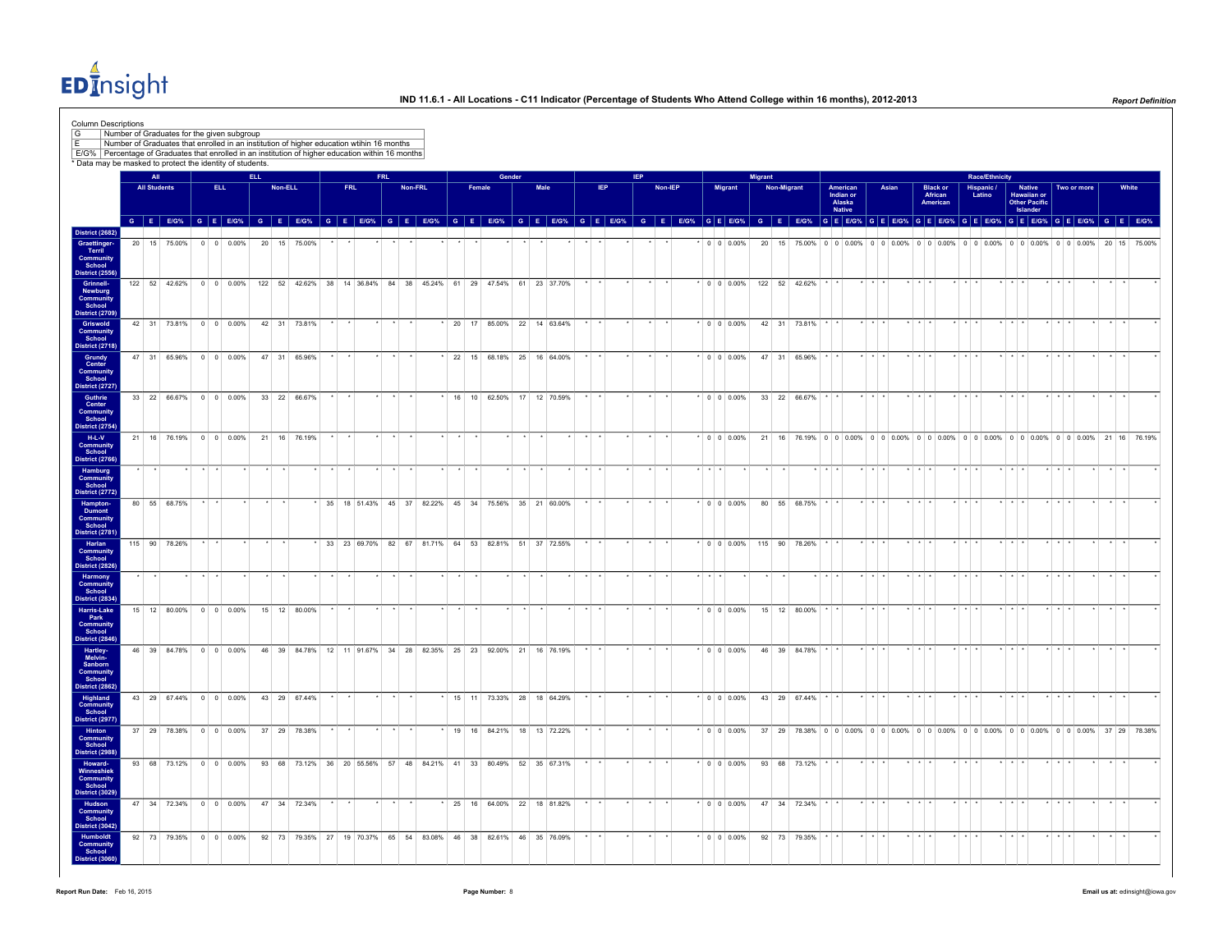EDInsight

|                                               | <b>Column Descriptions</b> | Number of Graduates for the given subgroup                                                                                                                                                                                     |             |                    |                    |              |         |              |    |            |           |            |         |              |                                                                   |        |                                                                  |                 |     |         |                    |         |                                                                                       |                                 |                         |       |                         |                             |         |                       |                         |                              |                         |                                                                                 |                      |                 |  |
|-----------------------------------------------|----------------------------|--------------------------------------------------------------------------------------------------------------------------------------------------------------------------------------------------------------------------------|-------------|--------------------|--------------------|--------------|---------|--------------|----|------------|-----------|------------|---------|--------------|-------------------------------------------------------------------|--------|------------------------------------------------------------------|-----------------|-----|---------|--------------------|---------|---------------------------------------------------------------------------------------|---------------------------------|-------------------------|-------|-------------------------|-----------------------------|---------|-----------------------|-------------------------|------------------------------|-------------------------|---------------------------------------------------------------------------------|----------------------|-----------------|--|
|                                               |                            | Number of Graduates that enrolled in an institution of higher education wtihin 16 months                                                                                                                                       |             |                    |                    |              |         |              |    |            |           |            |         |              |                                                                   |        |                                                                  |                 |     |         |                    |         |                                                                                       |                                 |                         |       |                         |                             |         |                       |                         |                              |                         |                                                                                 |                      |                 |  |
|                                               |                            | E/G% Percentage of Graduates that enrolled in an institution of higher education within 16 months<br>* Data may be masked to protect the identity of students.                                                                 |             |                    |                    |              |         |              |    |            |           |            |         |              |                                                                   |        |                                                                  |                 |     |         |                    |         |                                                                                       |                                 |                         |       |                         |                             |         |                       |                         |                              |                         |                                                                                 |                      |                 |  |
|                                               | All                        |                                                                                                                                                                                                                                |             |                    |                    | <b>ELL</b>   |         |              |    |            |           | <b>FRL</b> |         |              |                                                                   | Gender |                                                                  |                 | IEP |         |                    | Migrant |                                                                                       |                                 |                         |       |                         |                             |         | <b>Race/Ethnicity</b> |                         |                              |                         |                                                                                 |                      |                 |  |
|                                               | <b>All Students</b>        |                                                                                                                                                                                                                                |             | ELL.               |                    |              | Non-ELL |              |    | <b>FRL</b> |           |            | Non-FRL |              | Female                                                            |        | Male                                                             | IEP             |     | Non-IEP | <b>Migrant</b>     |         | <b>Non-Migrant</b>                                                                    |                                 |                         | Asian |                         | <b>Black or<br/>African</b> |         | Hispanic /            |                         | <b>Native</b>                |                         | Two or more                                                                     |                      | White           |  |
|                                               |                            |                                                                                                                                                                                                                                |             |                    |                    |              |         |              |    |            |           |            |         |              |                                                                   |        |                                                                  |                 |     |         |                    |         |                                                                                       | American<br>Indian or<br>Alaska |                         |       |                         | American                    |         | Latino                |                         | Hawaiian or<br>Other Pacific |                         |                                                                                 |                      |                 |  |
|                                               |                            | G E EIG% G E EIG% G E EIG% G E EIG% G E EIG% G E EIG% G E EIG% G E EIG% G E EIG% G E EIG% G E EIG% G E EIG% G E EIG% G E EIG% G E EIG% G E EIG% G E EIG% G E EIG% G E EIG% G E EIG% G E EIG% G E EIG% G E EIG% G E EIG% G E EI |             |                    |                    |              |         |              |    |            |           |            |         |              |                                                                   |        |                                                                  |                 |     |         |                    |         |                                                                                       | <b>Native</b>                   |                         |       |                         |                             |         |                       |                         | Islander                     |                         |                                                                                 |                      |                 |  |
| District (2682)                               |                            |                                                                                                                                                                                                                                |             |                    |                    |              |         |              |    |            |           |            |         |              |                                                                   |        |                                                                  |                 |     |         |                    |         |                                                                                       |                                 |                         |       |                         |                             |         |                       |                         |                              |                         |                                                                                 |                      |                 |  |
| Graettinger<br>Terril                         |                            | 20 15 75.00%                                                                                                                                                                                                                   |             | $0 \t 0 \t 0.00\%$ |                    | 20 15 75.00% |         |              |    |            |           |            |         |              |                                                                   |        |                                                                  |                 |     |         | $0 \t 0 \t 0.00\%$ | 20 15   |                                                                                       |                                 |                         |       |                         |                             |         |                       |                         |                              |                         | 75.00% 0 0 0.00% 0 0 0.00% 0 0 0.00% 0 0 0.00% 0 0 0.00% 0 0 0.00% 20 15 75.00% |                      |                 |  |
| <b>Community</b><br>School                    |                            |                                                                                                                                                                                                                                |             |                    |                    |              |         |              |    |            |           |            |         |              |                                                                   |        |                                                                  |                 |     |         |                    |         |                                                                                       |                                 |                         |       |                         |                             |         |                       |                         |                              |                         |                                                                                 |                      |                 |  |
| District (2556)<br><b>Grinnell-</b>           |                            | 122 52 42.62% 0 0 0.00%                                                                                                                                                                                                        |             |                    |                    |              |         |              |    |            |           |            |         |              | 122 52 42.62% 38 14 36.84% 84 38 45.24% 61 29 47.54% 61 23 37.70% |        |                                                                  |                 |     |         | $\cdot$ 0 0 0.00%  |         | 122 52 42.62%                                                                         |                                 |                         |       |                         |                             |         |                       |                         |                              |                         |                                                                                 |                      |                 |  |
| Newburg                                       |                            |                                                                                                                                                                                                                                |             |                    |                    |              |         |              |    |            |           |            |         |              |                                                                   |        |                                                                  |                 |     |         |                    |         |                                                                                       |                                 |                         |       |                         |                             |         |                       |                         |                              |                         |                                                                                 |                      |                 |  |
| Community<br>School<br><b>District (2709)</b> |                            |                                                                                                                                                                                                                                |             |                    |                    |              |         |              |    |            |           |            |         |              |                                                                   |        |                                                                  |                 |     |         |                    |         |                                                                                       |                                 |                         |       |                         |                             |         |                       |                         |                              |                         |                                                                                 |                      |                 |  |
| Griswold                                      |                            | 42 31 73.81% 0 0 0.00% 42 31 73.81%                                                                                                                                                                                            |             |                    |                    |              |         |              |    |            |           |            |         |              | * 20 17 85.00% 22 14 63.64%                                       |        |                                                                  | $\star$ $\star$ |     |         | $*$ 0 0 0.00%      |         | 42 31 73.81%                                                                          |                                 |                         |       | $+ + +$                 |                             | $\cdot$ |                       | $+ + +$                 |                              | $+ + +$                 |                                                                                 |                      |                 |  |
| Community<br>School                           |                            |                                                                                                                                                                                                                                |             |                    |                    |              |         |              |    |            |           |            |         |              |                                                                   |        |                                                                  |                 |     |         |                    |         |                                                                                       |                                 |                         |       |                         |                             |         |                       |                         |                              |                         |                                                                                 |                      |                 |  |
| <b>District (2718)</b><br>Grundy<br>Center    |                            | 47 31 65.96% 0 0 0.00%                                                                                                                                                                                                         |             |                    |                    | 47 31 65.96% |         |              |    |            |           |            |         |              | $*$ 22 15 68.18% 25 16 64.00%                                     |        |                                                                  |                 |     |         | $*$ 0 0 0.00%      |         | 47 31 65.96%                                                                          |                                 |                         |       | $+ + + +$               |                             |         |                       | $\cdot$ $\cdot$ $\cdot$ |                              |                         |                                                                                 |                      |                 |  |
|                                               |                            |                                                                                                                                                                                                                                |             |                    |                    |              |         |              |    |            |           |            |         |              |                                                                   |        |                                                                  |                 |     |         |                    |         |                                                                                       |                                 |                         |       |                         |                             |         |                       |                         |                              |                         |                                                                                 |                      |                 |  |
| Community<br>School<br>District (2727)        |                            |                                                                                                                                                                                                                                |             |                    |                    |              |         |              |    |            |           |            |         |              |                                                                   |        |                                                                  |                 |     |         |                    |         |                                                                                       |                                 |                         |       |                         |                             |         |                       |                         |                              |                         |                                                                                 |                      |                 |  |
| Guthrie<br>Center                             |                            | 33 22 66.67% 0 0 0.00%                                                                                                                                                                                                         |             |                    |                    |              |         | 33 22 66.67% |    |            |           |            |         |              | 16 10 62.50% 17 12 70.59%                                         |        |                                                                  |                 |     |         | $\cdot$ 0 0 0.00%  |         | 33 22 66.67%                                                                          |                                 |                         |       | $\star$ $\star$ $\cdot$ |                             |         |                       | $\cdot$ $\cdot$ $\cdot$ |                              |                         |                                                                                 |                      | $\cdot$ $\cdot$ |  |
| Community<br>School                           |                            |                                                                                                                                                                                                                                |             |                    |                    |              |         |              |    |            |           |            |         |              |                                                                   |        |                                                                  |                 |     |         |                    |         |                                                                                       |                                 |                         |       |                         |                             |         |                       |                         |                              |                         |                                                                                 |                      |                 |  |
| District (2754)                               |                            |                                                                                                                                                                                                                                |             |                    |                    |              |         |              |    |            |           |            |         |              |                                                                   |        |                                                                  |                 |     |         |                    |         |                                                                                       |                                 |                         |       |                         |                             |         |                       |                         |                              |                         |                                                                                 |                      |                 |  |
| H-L-V<br><b>Community</b>                     |                            | 21 16 76.19%                                                                                                                                                                                                                   |             |                    | $0 \t 0 \t 0.00\%$ |              |         | 21 16 76.19% |    |            |           |            |         |              |                                                                   |        |                                                                  |                 |     |         | $\cdot$ 0 0 0.00%  |         | 21 16 76.19% 0 0 0.00% 0 0 0.00% 0 0 0.00% 0 0 0.00% 0 0 0.00% 0 0 0.00% 21 16 76.19% |                                 |                         |       |                         |                             |         |                       |                         |                              |                         |                                                                                 |                      |                 |  |
| School<br>District (2766)                     |                            |                                                                                                                                                                                                                                |             |                    |                    |              |         |              |    |            |           |            |         |              |                                                                   |        |                                                                  |                 |     |         |                    |         |                                                                                       |                                 |                         |       |                         |                             |         |                       |                         |                              |                         |                                                                                 |                      |                 |  |
| Hamburg<br>Community<br>School                |                            |                                                                                                                                                                                                                                |             |                    |                    |              |         |              |    |            |           |            |         |              |                                                                   |        |                                                                  |                 |     |         |                    |         |                                                                                       |                                 |                         |       |                         |                             |         |                       |                         |                              |                         |                                                                                 |                      |                 |  |
| District (2772)                               |                            |                                                                                                                                                                                                                                |             |                    |                    |              |         |              |    |            |           |            |         |              |                                                                   |        |                                                                  |                 |     |         |                    |         |                                                                                       |                                 |                         |       |                         |                             |         |                       |                         |                              |                         |                                                                                 |                      |                 |  |
| Hampton-                                      |                            | 80 55 68.75%                                                                                                                                                                                                                   |             |                    |                    |              |         |              | 35 |            | 18 51.43% |            |         |              | 45 37 82.22% 45 34 75.56% 35 21 60.00%                            |        |                                                                  |                 |     |         | $0 0 0.00\%$       |         | 80 55 68.75%                                                                          |                                 |                         |       |                         |                             |         |                       |                         |                              |                         |                                                                                 |                      |                 |  |
| Dumont<br><b>Community</b><br>School          |                            |                                                                                                                                                                                                                                |             |                    |                    |              |         |              |    |            |           |            |         |              |                                                                   |        |                                                                  |                 |     |         |                    |         |                                                                                       |                                 |                         |       |                         |                             |         |                       |                         |                              |                         |                                                                                 |                      |                 |  |
| District (2781)                               |                            |                                                                                                                                                                                                                                |             |                    |                    |              |         |              |    |            |           |            |         |              |                                                                   |        |                                                                  |                 |     |         |                    |         |                                                                                       |                                 |                         |       |                         |                             |         |                       |                         |                              |                         |                                                                                 |                      |                 |  |
| Harlan<br>Community<br>School                 |                            | 115 90 78.26%                                                                                                                                                                                                                  |             |                    |                    |              |         |              |    |            |           |            |         |              | 33 23 69.70% 82 67 81.71% 64 53 82.81% 51 37 72.55%               |        |                                                                  |                 |     |         | $*$ 0 0 0.00%      |         | 115 90 78.26%                                                                         |                                 |                         |       |                         |                             |         |                       |                         |                              |                         |                                                                                 |                      |                 |  |
| <b>District (2826)</b>                        |                            |                                                                                                                                                                                                                                |             |                    |                    |              |         |              |    |            |           |            |         |              |                                                                   |        |                                                                  |                 |     |         |                    |         |                                                                                       |                                 |                         |       |                         |                             |         |                       |                         |                              |                         |                                                                                 |                      |                 |  |
| Harmony<br><b>Community</b>                   |                            |                                                                                                                                                                                                                                |             |                    |                    |              |         |              |    |            |           |            |         |              |                                                                   |        |                                                                  |                 |     |         |                    |         |                                                                                       |                                 |                         |       |                         | $+ + + +$                   | $\cdot$ |                       | $\star$ $\star$ $\star$ |                              | $\star$ $\star$ $\star$ |                                                                                 | $\cdot$              |                 |  |
| School<br>District (2834)                     |                            |                                                                                                                                                                                                                                |             |                    |                    |              |         |              |    |            |           |            |         |              |                                                                   |        |                                                                  |                 |     |         |                    |         |                                                                                       |                                 |                         |       |                         |                             |         |                       |                         |                              |                         |                                                                                 |                      |                 |  |
| Harris-Lake                                   |                            | 15 12 80.00% 0 0 0.00%                                                                                                                                                                                                         |             |                    |                    |              |         | 15 12 80.00% |    |            |           |            |         |              |                                                                   |        |                                                                  |                 |     |         | $\cdot$ 0 0 0.00%  |         | 15 12 80.00%                                                                          |                                 | $\cdot$ $\cdot$ $\cdot$ |       |                         | $+$ $+$ $+$                 |         |                       | .                       |                              | .                       |                                                                                 | $\ddot{\phantom{1}}$ | $\rightarrow$   |  |
| Park<br>Community<br>School                   |                            |                                                                                                                                                                                                                                |             |                    |                    |              |         |              |    |            |           |            |         |              |                                                                   |        |                                                                  |                 |     |         |                    |         |                                                                                       |                                 |                         |       |                         |                             |         |                       |                         |                              |                         |                                                                                 |                      |                 |  |
| <b>District (2846)</b>                        |                            |                                                                                                                                                                                                                                |             |                    |                    |              |         |              |    |            |           |            |         |              |                                                                   |        |                                                                  |                 |     |         |                    |         |                                                                                       |                                 |                         |       |                         |                             |         |                       |                         |                              |                         |                                                                                 |                      |                 |  |
| Hartley-<br>Melvin-                           |                            | 46 39 84.78% 0 0 0.00%                                                                                                                                                                                                         |             |                    |                    |              |         |              |    |            |           |            |         |              | 46 39 84.78% 12 11 91.67% 34 28 82.35% 25 23 92.00% 21 16 76.19%  |        |                                                                  |                 |     |         | $* 0 0 0.00%$      |         | 46 39 84.78%                                                                          |                                 |                         |       |                         |                             |         |                       |                         |                              |                         |                                                                                 |                      | $\cdot$ $\cdot$ |  |
| Sanborn<br>Community<br>School                |                            |                                                                                                                                                                                                                                |             |                    |                    |              |         |              |    |            |           |            |         |              |                                                                   |        |                                                                  |                 |     |         |                    |         |                                                                                       |                                 |                         |       |                         |                             |         |                       |                         |                              |                         |                                                                                 |                      |                 |  |
| District (2862)                               |                            |                                                                                                                                                                                                                                |             |                    |                    |              |         |              |    |            |           |            |         |              |                                                                   |        |                                                                  |                 |     |         |                    |         |                                                                                       |                                 |                         |       |                         |                             |         |                       |                         |                              |                         |                                                                                 |                      |                 |  |
| Highland<br>Community                         |                            | 43 29 67.44% 0 0 0.00%                                                                                                                                                                                                         |             |                    |                    |              |         | 43 29 67.44% |    |            |           |            |         |              | 15 11 73.33% 28 18 64.29%                                         |        |                                                                  |                 |     |         | $*$ 0 0 0.00%      |         | 43 29 67.44%                                                                          |                                 |                         |       | $\cdot$ $\cdot$         |                             |         |                       |                         |                              |                         |                                                                                 |                      |                 |  |
| School<br>District (2977)                     |                            |                                                                                                                                                                                                                                |             |                    |                    |              |         |              |    |            |           |            |         |              |                                                                   |        |                                                                  |                 |     |         |                    |         |                                                                                       |                                 |                         |       |                         |                             |         |                       |                         |                              |                         |                                                                                 |                      |                 |  |
| Hinton                                        |                            | 37 29 78.38% 0 0 0.00%                                                                                                                                                                                                         |             |                    |                    | 37 29 78.38% |         |              |    |            |           |            |         |              | 19 16 84.21% 18 13 72.22%                                         |        |                                                                  |                 |     |         | $\cdot$ 0 0 0.00%  |         | 37 29 78.38% 0 0 0.00% 0 0 0.00% 0 0 0.00% 0 0 0.00% 0 0 0.00% 0 0 0.00% 37 29 78.38% |                                 |                         |       |                         |                             |         |                       |                         |                              |                         |                                                                                 |                      |                 |  |
| Community<br>School                           |                            |                                                                                                                                                                                                                                |             |                    |                    |              |         |              |    |            |           |            |         |              |                                                                   |        |                                                                  |                 |     |         |                    |         |                                                                                       |                                 |                         |       |                         |                             |         |                       |                         |                              |                         |                                                                                 |                      |                 |  |
| District (2988)<br>Howard-                    |                            | 93 68 73.12%                                                                                                                                                                                                                   | $0 \quad 0$ |                    | 0.00%              | 93           | 68      | 73 12%       | 36 |            | 20 55.56% | 57         | 48      | 84.21% 41 33 | 80 49%                                                            | 52     | 35 67.31%                                                        |                 |     |         | $0 \t 0 \t 0.00\%$ |         | 93 68 73.12%                                                                          |                                 |                         |       |                         |                             |         |                       |                         |                              |                         |                                                                                 |                      |                 |  |
| <b>Winneshiek</b><br>Community                |                            |                                                                                                                                                                                                                                |             |                    |                    |              |         |              |    |            |           |            |         |              |                                                                   |        |                                                                  |                 |     |         |                    |         |                                                                                       |                                 |                         |       |                         |                             |         |                       |                         |                              |                         |                                                                                 |                      |                 |  |
| School<br>District (3029)                     |                            |                                                                                                                                                                                                                                |             |                    |                    |              |         |              |    |            |           |            |         |              |                                                                   |        |                                                                  |                 |     |         |                    |         |                                                                                       |                                 |                         |       |                         |                             |         |                       |                         |                              |                         |                                                                                 |                      |                 |  |
| Hudson                                        |                            | 47 34 72.34% 0 0 0.00%                                                                                                                                                                                                         |             |                    |                    | 47 34 72.34% |         |              |    |            |           |            |         |              | 25 16 64.00% 22 18 81.82%                                         |        |                                                                  |                 |     |         | $*$ 0 0 0.00%      |         | 47 34 72.34%                                                                          |                                 |                         |       |                         |                             |         |                       |                         |                              |                         |                                                                                 |                      |                 |  |
| Community<br>School                           |                            |                                                                                                                                                                                                                                |             |                    |                    |              |         |              |    |            |           |            |         |              |                                                                   |        |                                                                  |                 |     |         |                    |         |                                                                                       |                                 |                         |       |                         |                             |         |                       |                         |                              |                         |                                                                                 |                      |                 |  |
| District (3042)<br>Humboldt                   |                            | 92 73 79.35% 0 0 0.00%                                                                                                                                                                                                         |             |                    |                    |              |         |              |    |            |           |            |         |              |                                                                   |        | 92 73 79.35% 27 19 70.37% 65 54 83.08% 46 38 82.61% 46 35 76.09% |                 |     |         | $*$ 0 0 0.00%      |         | 92 73 79.35%                                                                          |                                 |                         |       |                         |                             |         |                       |                         |                              |                         |                                                                                 |                      |                 |  |
|                                               |                            |                                                                                                                                                                                                                                |             |                    |                    |              |         |              |    |            |           |            |         |              |                                                                   |        |                                                                  |                 |     |         |                    |         |                                                                                       |                                 |                         |       |                         |                             |         |                       |                         |                              |                         |                                                                                 |                      |                 |  |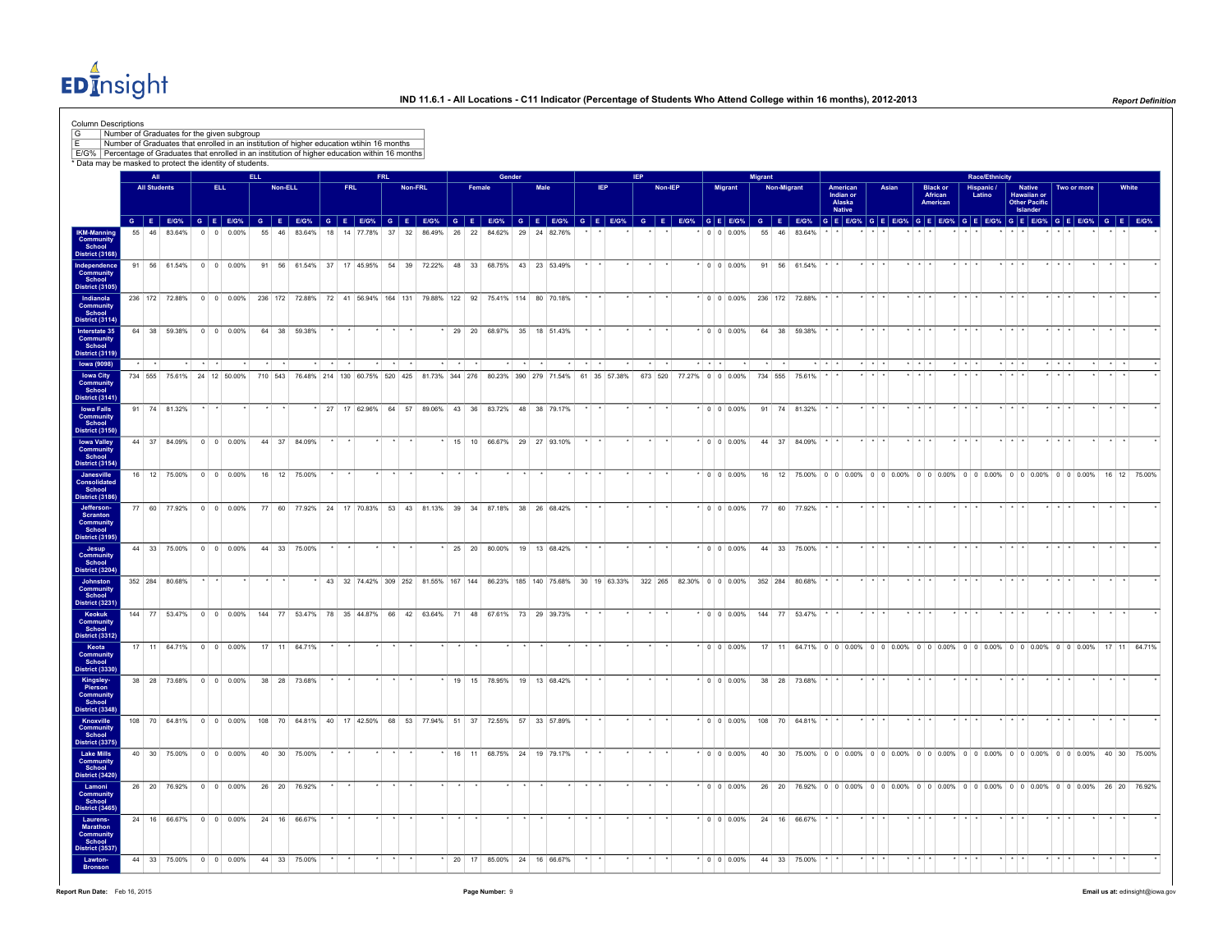EDInsight

|                                                                      |                |                     | Number of Graduates for the given subgroup                |                    |      |      |         |              |    |            | Number of Graduates that enrolled in an institution of higher education wtihin 16 months            |            |         |        |        |                           |        |      |  |              |            |         |                         |                                                                                                                                                                                                                                |         |             |                                                                                       |                                                  |                         |       |                      |                                         |                 |                       |             |                                                    |                         |             |                 |       |
|----------------------------------------------------------------------|----------------|---------------------|-----------------------------------------------------------|--------------------|------|------|---------|--------------|----|------------|-----------------------------------------------------------------------------------------------------|------------|---------|--------|--------|---------------------------|--------|------|--|--------------|------------|---------|-------------------------|--------------------------------------------------------------------------------------------------------------------------------------------------------------------------------------------------------------------------------|---------|-------------|---------------------------------------------------------------------------------------|--------------------------------------------------|-------------------------|-------|----------------------|-----------------------------------------|-----------------|-----------------------|-------------|----------------------------------------------------|-------------------------|-------------|-----------------|-------|
|                                                                      |                |                     | * Data may be masked to protect the identity of students. |                    |      |      |         |              |    |            | E/G%   Percentage of Graduates that enrolled in an institution of higher education within 16 months |            |         |        |        |                           |        |      |  |              |            |         |                         |                                                                                                                                                                                                                                |         |             |                                                                                       |                                                  |                         |       |                      |                                         |                 |                       |             |                                                    |                         |             |                 |       |
|                                                                      |                | All                 |                                                           |                    |      | ELL. |         |              |    |            |                                                                                                     | <b>FRL</b> |         |        |        |                           | Gender |      |  |              | <b>IEP</b> |         |                         |                                                                                                                                                                                                                                | Migrant |             |                                                                                       |                                                  |                         |       |                      |                                         |                 | <b>Race/Ethnicity</b> |             |                                                    |                         |             |                 |       |
|                                                                      |                | <b>All Students</b> |                                                           |                    | ELL. |      | Non-ELL |              |    | <b>FRL</b> |                                                                                                     |            | Non-FRL |        | Female |                           |        | Male |  | <b>IEP</b>   |            | Non-IEP |                         | <b>Migrant</b>                                                                                                                                                                                                                 |         | Non-Migrant |                                                                                       | American<br>Indian or<br>Alaska<br><b>Native</b> |                         | Asian |                      | <b>Black or<br/>African</b><br>American |                 | Hispanic /<br>Latino  |             | Native<br>Hawaiian or<br>Other Pacific<br>Islander |                         | Two or more |                 | White |
|                                                                      |                |                     |                                                           |                    |      |      |         |              |    |            |                                                                                                     |            |         |        |        |                           |        |      |  |              |            |         |                         | G E EIG% G E EIG% G E EIG% G E EIG% G E EIG% G E EIG% G E EIG% G E EIG% G E EIG% G E EIG% G E EIG% G E EIG% G E EIG% G E EIG% G E EIG% G E EIG% G E EIG% G E EIG% G E EIG% G E EIG% G E EIG% G E EIG% G E EIG% G E EIG% G E EI |         |             |                                                                                       |                                                  |                         |       |                      |                                         |                 |                       |             |                                                    |                         |             |                 |       |
| <b>IKM-Manning<br/>Community<br/>School</b>                          |                | 46 83.64%           |                                                           | $0 \t 0 \t 0.00\%$ |      | 55   |         | 46 83.64%    | 18 |            | 14 77.78%                                                                                           | 37         | 32      | 86.49% |        | 26 22 84.62% 29 24 82.76% |        |      |  |              |            |         |                         | $0 \t 0 \t 0.00\%$                                                                                                                                                                                                             | 55 46   |             | 83.64%                                                                                |                                                  |                         |       |                      |                                         |                 |                       |             |                                                    |                         |             |                 |       |
| District (3168)<br><b>Independence</b><br><b>Community</b><br>School |                |                     | 91 56 61.54% 0 0 0.00%                                    |                    |      |      |         |              |    |            | 91 56 61.54% 37 17 45.95% 54 39 72.22% 48 33 68.75% 43 23 53.49%                                    |            |         |        |        |                           |        |      |  |              |            |         |                         | $* 0 0 0.00%$                                                                                                                                                                                                                  |         |             | 91 56 61.54%                                                                          |                                                  |                         |       |                      |                                         |                 |                       |             |                                                    |                         |             |                 |       |
| District (3105<br>Indianola                                          |                |                     |                                                           |                    |      |      |         |              |    |            | 236 172 72.88% 0 0 0.00% 236 172 72.88% 72 41 56.94% 164 131 79.88% 122 92 75.41% 114 80 70.18%     |            |         |        |        |                           |        |      |  |              |            |         |                         | $*$ 0 0 0.00% 236 172 72.88%                                                                                                                                                                                                   |         |             |                                                                                       |                                                  |                         |       |                      |                                         |                 |                       |             |                                                    |                         |             | $\cdot$ $\cdot$ |       |
| <b>Community</b><br><b>District (3114)</b>                           |                |                     |                                                           |                    |      |      |         |              |    |            |                                                                                                     |            |         |        |        |                           |        |      |  |              |            |         |                         |                                                                                                                                                                                                                                |         |             |                                                                                       |                                                  |                         |       |                      |                                         |                 |                       |             |                                                    |                         |             |                 |       |
| Interstate 35<br><b>Community</b><br>School<br>District (3119)       |                |                     | 64 38 59.38% 0 0 0.00%                                    |                    |      |      |         | 64 38 59.38% |    |            |                                                                                                     |            |         |        |        | 29 20 68.97% 35 18 51.43% |        |      |  |              | $\star$    |         |                         | $\cdot$ 0 0 0.00%                                                                                                                                                                                                              |         |             | 64 38 59.38%                                                                          |                                                  |                         |       |                      |                                         |                 |                       |             |                                                    |                         |             | $\sim$ $\sim$   |       |
| <b>Iowa (9098)</b><br><b>Iowa City</b>                               |                |                     | 734 555 75.61% 24 12 50.00%                               |                    |      |      | 710 543 |              |    |            | 76.48% 214 130 60.75% 520 425 81.73% 344 276 80.23% 390 279 71.54%                                  |            |         |        |        |                           |        |      |  | 61 35 57.38% | 673 520    |         | $\star$ $\star$ $\star$ | 77.27% 0 0 0.00%                                                                                                                                                                                                               | 734 555 |             | 75.61%                                                                                |                                                  | $\cdot$ $\cdot$ $\cdot$ |       | $\sim$ $\sim$ $\sim$ |                                         | $\star$ $\star$ |                       | $+$ $+$ $+$ |                                                    | $\star$ $\star$         |             | $\cdot$ $\cdot$ |       |
| Communit<br>District (3141)                                          |                |                     |                                                           |                    |      |      |         |              |    |            |                                                                                                     |            |         |        |        |                           |        |      |  |              |            |         |                         |                                                                                                                                                                                                                                |         |             |                                                                                       |                                                  |                         |       |                      |                                         |                 |                       |             |                                                    |                         |             |                 |       |
| <b>Iowa Falls</b><br><b>Community</b>                                | 91 74 81.32%   |                     |                                                           |                    |      |      |         |              |    |            | 27 17 62.96% 64 57 89.06% 43 36 83.72% 48 38 79.17%                                                 |            |         |        |        |                           |        |      |  |              |            |         |                         | $*$ 0 0 0.00%                                                                                                                                                                                                                  |         |             | 91 74 81.32%                                                                          |                                                  |                         |       |                      |                                         |                 |                       |             |                                                    |                         |             |                 |       |
| District (3150<br><b>Iowa Valley</b><br>Community<br>School          |                |                     | 44 37 84.09% 0 0 0.00%                                    |                    |      |      |         | 44 37 84.09% |    |            |                                                                                                     |            |         |        |        | 15 10 66.67% 29 27 93.10% |        |      |  |              |            |         |                         | $\cdot$ 0 0 0.00%                                                                                                                                                                                                              |         |             | 44 37 84.09%                                                                          |                                                  |                         |       |                      |                                         |                 |                       |             |                                                    |                         |             | $\cdot$ $\cdot$ |       |
| District (3154)<br>Janesville                                        |                |                     | 16 12 75.00% 0 0 0.00%                                    |                    |      |      |         | 16 12 75.00% |    |            |                                                                                                     |            |         |        |        |                           |        |      |  |              |            |         |                         | $*$ 0 0 0.00%                                                                                                                                                                                                                  |         |             | 16 12 75.00% 0 0 0.00% 0 0 0.00% 0 0 0.00% 0 0 0.00% 0 0 0.00% 0 0 0.00% 16 12 75.00% |                                                  |                         |       |                      |                                         |                 |                       |             |                                                    |                         |             |                 |       |
| Consolidated<br>District (3186                                       |                |                     |                                                           |                    |      |      |         |              |    |            |                                                                                                     |            |         |        |        |                           |        |      |  |              |            |         |                         |                                                                                                                                                                                                                                |         |             |                                                                                       |                                                  |                         |       |                      |                                         |                 |                       |             |                                                    |                         |             |                 |       |
| Jefferson-<br>Scranton<br>Community<br>School<br>District (3195      |                |                     | 77 60 77.92% 0 0 0.00%                                    |                    |      |      |         |              |    |            | 77 60 77.92% 24 17 70.83% 53 43 81.13% 39 34 87.18% 38 26 68.42%                                    |            |         |        |        |                           |        |      |  |              |            |         |                         | $\cdot$ 0 0 0.00%                                                                                                                                                                                                              |         |             | 77 60 77.92%                                                                          |                                                  |                         |       |                      |                                         |                 |                       |             |                                                    |                         |             |                 |       |
| Community<br>School<br>District (3204)                               |                |                     | 44 33 75.00% 0 0 0.00%                                    |                    |      |      |         | 44 33 75.00% |    |            |                                                                                                     |            |         |        |        | 25 20 80.00% 19 13 68.42% |        |      |  |              |            |         |                         | $\cdot$ 0 0 0.00%                                                                                                                                                                                                              |         |             | 44 33 75.00%                                                                          |                                                  |                         |       |                      |                                         |                 |                       |             |                                                    |                         |             |                 |       |
| Johnston<br>Community<br>School                                      | 352 284 80.68% |                     |                                                           |                    |      |      |         |              |    |            |                                                                                                     |            |         |        |        |                           |        |      |  |              |            |         |                         | 43 32 74.42% 309 252 81.55% 167 144 86.23% 185 140 75.68% 30 19 63.33% 322 265 82.30% 0 0 0.00%                                                                                                                                |         |             | 352 284 80.68%                                                                        |                                                  |                         |       |                      |                                         |                 |                       |             |                                                    |                         |             |                 |       |
| District (3231<br>Keokuk                                             |                |                     |                                                           |                    |      |      |         |              |    |            | 144 77 53.47% 0 0 0 0.00% 144 77 53.47% 78 35 44.87% 66 42 63.64% 71 48 67.61% 73 29 39.73%         |            |         |        |        |                           |        |      |  |              |            |         |                         | $\cdot$ 0 0 0.00%                                                                                                                                                                                                              |         |             | 144 77 53.47%                                                                         |                                                  |                         |       |                      |                                         |                 |                       | $+ + + +$   |                                                    |                         |             |                 |       |
| <b>Community</b><br>School<br>District (3312                         |                |                     | 17 11 64.71% 0 0 0.00%                                    |                    |      |      |         | 17 11 64.71% |    |            |                                                                                                     |            |         |        |        |                           |        |      |  |              |            |         |                         | $*$ 0 0 0.00%                                                                                                                                                                                                                  |         |             | 17 11 64.71% 0 0 0.00% 0 0 0.00% 0 0 0.00% 0 0 0.00% 0 0 0.00% 0 0 0.00% 17 11 64.71% |                                                  |                         |       |                      |                                         |                 |                       |             |                                                    |                         |             |                 |       |
| Community<br>School<br>District (3330                                |                |                     |                                                           |                    |      |      |         |              |    |            |                                                                                                     |            |         |        |        |                           |        |      |  |              |            |         |                         |                                                                                                                                                                                                                                |         |             |                                                                                       |                                                  |                         |       |                      |                                         |                 |                       |             |                                                    |                         |             |                 |       |
| Kingsley-<br>Pierson<br>Community<br>School                          |                |                     | 38 28 73.68% 0 0 0.00%                                    |                    |      |      |         | 38 28 73.68% |    |            |                                                                                                     |            |         |        |        | 19 15 78.95% 19 13 68.42% |        |      |  |              |            |         |                         | $\cdot$ 0 0 0.00%                                                                                                                                                                                                              |         |             | 38 28 73.68%                                                                          |                                                  |                         |       |                      |                                         |                 |                       |             |                                                    |                         |             |                 |       |
| District (3348<br>Knoxville                                          |                |                     | 108 70 64.81% 0 0 0.00%                                   |                    |      |      |         |              |    |            | 108 70 64.81% 40 17 42.50% 68 53 77.94% 51 37 72.55% 57 33 57.89%                                   |            |         |        |        |                           |        |      |  |              |            |         |                         | $\cdot$ 0 0 0.00%                                                                                                                                                                                                              |         |             | 108 70 64.81%                                                                         |                                                  | $*$ $*$ $*$             |       | $*$ $*$ $*$          |                                         | $+$ $+$ $+$     |                       | $*$ $*$ $*$ |                                                    | $*$ $*$ $*$             |             | $\cdot$ $\cdot$ |       |
| <b>Community</b><br>School<br>District (3375<br><b>Lake Mills</b>    |                |                     | 40 30 75.00% 0 0 0.00%                                    |                    |      |      |         | 40 30 75.00% |    |            |                                                                                                     |            |         |        |        | 16 11 68.75% 24 19 79.17% |        |      |  |              |            |         |                         | $0 0 0.00\%$                                                                                                                                                                                                                   |         |             | 40 30 75.00% 0 0 0.00% 0 0 0.00% 0 0 0.00% 0 0 0.00% 0 0 0.00% 0 0 0.00% 40 30 75.00% |                                                  |                         |       |                      |                                         |                 |                       |             |                                                    |                         |             |                 |       |
| Community<br>School<br>District (3420                                |                |                     |                                                           |                    |      |      |         |              |    |            |                                                                                                     |            |         |        |        |                           |        |      |  |              |            |         |                         |                                                                                                                                                                                                                                |         |             |                                                                                       |                                                  |                         |       |                      |                                         |                 |                       |             |                                                    |                         |             |                 |       |
| Lamoni<br>Community<br>School<br>District (3465)                     |                |                     | 26 20 76.92% 0 0 0.00%                                    |                    |      |      |         | 26 20 76.92% |    |            |                                                                                                     |            |         |        |        |                           |        |      |  |              |            |         |                         | $\cdot$ 0 0 0.00%                                                                                                                                                                                                              |         |             | 26 20 76.92% 0 0 0.00% 0 0 0.00% 0 0 0.00% 0 0 0.00% 0 0 0.00% 0 0 0.00% 26 20 76.92% |                                                  |                         |       |                      |                                         |                 |                       |             |                                                    |                         |             |                 |       |
| Laurens-<br>Marathon                                                 |                |                     | 24 16 66.67% 0 0 0.00%                                    |                    |      | 24   |         | 16 66.67%    |    |            |                                                                                                     |            |         |        |        |                           |        |      |  |              |            |         |                         | $\cdot$ 0 0 0.00%                                                                                                                                                                                                              |         |             | 24 16 66.67%                                                                          |                                                  |                         |       |                      |                                         |                 |                       |             |                                                    |                         |             |                 |       |
| Community<br>School<br>District (3537                                |                |                     |                                                           |                    |      |      |         |              |    |            |                                                                                                     |            |         |        |        |                           |        |      |  |              |            |         |                         |                                                                                                                                                                                                                                |         |             |                                                                                       |                                                  |                         |       |                      |                                         |                 |                       |             |                                                    |                         |             |                 |       |
|                                                                      |                |                     | 44 33 75.00% 0 0 0.00%                                    |                    |      |      |         | 44 33 75.00% |    |            |                                                                                                     |            |         |        |        | 20 17 85.00% 24 16 66.67% |        |      |  |              |            |         |                         | $*$ 0 0 0.00%                                                                                                                                                                                                                  |         |             | 44 33 75.00%                                                                          |                                                  | $\star$ $\star$ $\star$ |       | $+ + +$              |                                         |                 |                       | $+ + +$     |                                                    | $\star$ $\star$ $\star$ |             | $\star$ $\star$ |       |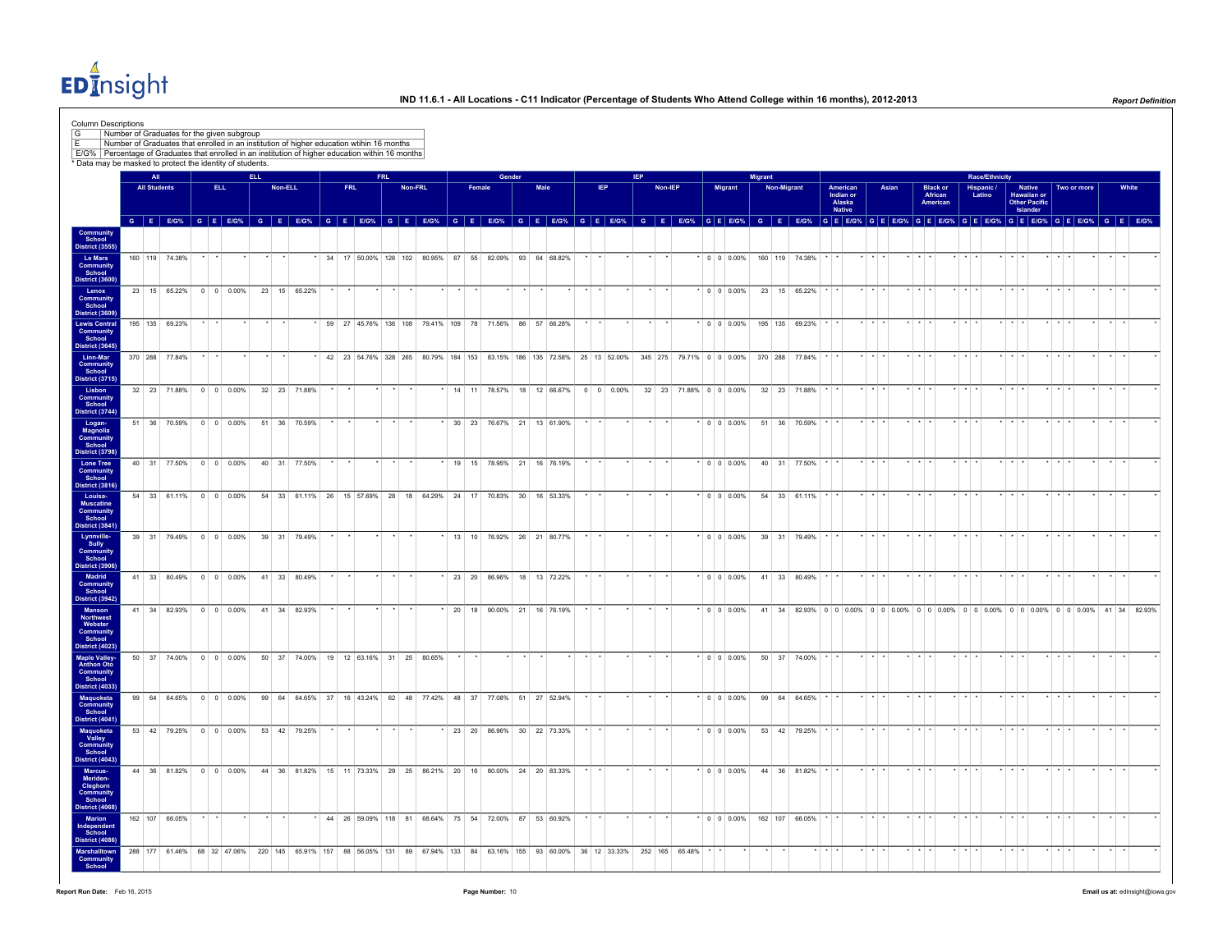EDInsight

| <b>Column Descriptions</b><br>G<br>╔<br>E/G%   Percentage of Graduates that enrolled in an institution of higher education within 16 months |    |                     | Number of Graduates for the given subgroup<br>Number of Graduates that enrolled in an institution of higher education wtihin 16 months |                       |                    |      |       |                                                                  |  |            |            |         |  |        |                                                                                                                |        |      |                 |     |            |         |                        |                                |                |                    |                |          |                                           |          |                         |       |                         |                                        |                         |                       |                         |                                                                                                                               |                         |             |                         |  |
|---------------------------------------------------------------------------------------------------------------------------------------------|----|---------------------|----------------------------------------------------------------------------------------------------------------------------------------|-----------------------|--------------------|------|-------|------------------------------------------------------------------|--|------------|------------|---------|--|--------|----------------------------------------------------------------------------------------------------------------|--------|------|-----------------|-----|------------|---------|------------------------|--------------------------------|----------------|--------------------|----------------|----------|-------------------------------------------|----------|-------------------------|-------|-------------------------|----------------------------------------|-------------------------|-----------------------|-------------------------|-------------------------------------------------------------------------------------------------------------------------------|-------------------------|-------------|-------------------------|--|
| * Data may be masked to protect the identity of students.                                                                                   |    | All                 |                                                                                                                                        |                       |                    | ELL. |       |                                                                  |  |            | <b>FRL</b> |         |  |        |                                                                                                                | Gender |      |                 |     | <b>IFP</b> |         |                        |                                | <b>Migrant</b> |                    |                |          |                                           |          |                         |       |                         |                                        |                         | <b>Race/Ethnicity</b> |                         |                                                                                                                               |                         |             |                         |  |
|                                                                                                                                             |    | <b>All Students</b> |                                                                                                                                        |                       | ELL.               |      |       | Non-ELL                                                          |  | <b>FRL</b> |            | Non-FRL |  | Female |                                                                                                                |        | Male |                 | IEP |            | Non-IEP |                        | <b>Migrant</b>                 |                | <b>Non-Migrant</b> |                |          | American<br>Indian or<br>Alaska<br>Native |          |                         | Asian |                         | <b>Black or</b><br>African<br>American |                         | Hispanic /<br>Latino  |                         | <b>Native</b><br>Hawaiian or<br><b>Other Pacific</b><br>Islander                                                              |                         | Two or more | White                   |  |
|                                                                                                                                             |    |                     |                                                                                                                                        |                       |                    |      |       |                                                                  |  |            |            |         |  |        |                                                                                                                |        |      |                 |     |            |         |                        |                                |                |                    |                |          |                                           |          |                         |       |                         |                                        |                         |                       |                         | GEEOS GEEOS GEEOS GEEOS GEEOS GEEOS GEEOS GEEOS GEEOS GEEOS GEEOS GEEOS GEEOS GEEOS GEEOS GEEOS GEEOS GEEOS GEEOS GEEOS GEEOS |                         |             |                         |  |
| Community<br>School<br>District (3555                                                                                                       |    |                     |                                                                                                                                        | $\cdot$ $\cdot$       |                    |      |       |                                                                  |  |            |            |         |  |        |                                                                                                                |        |      | $\star$ $\star$ |     | $\star$    |         |                        |                                |                |                    |                |          |                                           |          | $*$ $*$ $*$             |       | $\star$ $\star$ $\star$ |                                        | $\star$ $\star$ $\star$ |                       | $\star$ $\star$ $\star$ |                                                                                                                               | $\star$ $\star$ $\star$ | $\cdot$     | $\cdot$ $\cdot$ $\cdot$ |  |
| Le Mars<br>Community<br>School<br>District (3600                                                                                            |    |                     | 160 119 74.38%                                                                                                                         |                       |                    |      |       |                                                                  |  |            |            |         |  |        | * 34 17 50.00% 126 102 80.95% 67 55 82.09% 93 64 68.82%                                                        |        |      |                 |     |            |         |                        | * 0 0 0.00% 160 119 74.38% * * |                |                    |                |          |                                           |          |                         |       |                         |                                        |                         |                       |                         |                                                                                                                               |                         |             |                         |  |
| Lenox<br>Communit                                                                                                                           |    |                     | 23 15 65.22% 0 0 0.00%                                                                                                                 |                       |                    |      |       | 23 15 65.22%                                                     |  |            |            |         |  |        |                                                                                                                |        |      |                 |     |            |         |                        | $* 0 0 0.00%$                  |                |                    | 23 15 65.22%   |          |                                           |          |                         |       | $\star$ $\star$ $\cdot$ |                                        | $+$ $+$                 |                       |                         |                                                                                                                               |                         |             | $\cdot$ $\cdot$         |  |
| District (360)<br><b>Lewis Central</b>                                                                                                      |    |                     | 195 135 69.23%                                                                                                                         |                       |                    |      |       |                                                                  |  |            |            |         |  |        | 59 27 45.76% 136 108 79.41% 109 78 71.56% 86 57 66.28%                                                         |        |      |                 |     |            |         |                        | $*$ 0 0 0.00%                  |                |                    | 195 135 69.23% |          |                                           |          |                         |       |                         |                                        |                         |                       | . .                     |                                                                                                                               |                         |             |                         |  |
| <b>Community</b><br>School<br>District (3645)                                                                                               |    |                     |                                                                                                                                        |                       |                    |      |       |                                                                  |  |            |            |         |  |        |                                                                                                                |        |      |                 |     |            |         |                        |                                |                |                    |                |          |                                           |          |                         |       |                         |                                        |                         |                       |                         |                                                                                                                               |                         |             |                         |  |
| Linn-Mar<br>Community<br>School<br>District (3715)                                                                                          |    |                     | 370 288 77.84%                                                                                                                         |                       |                    |      |       |                                                                  |  |            |            |         |  |        | 42 23 54.76% 328 265 80.79% 184 153 83.15% 186 135 72.58% 25 13 52.00% 345 275 79.71% 0 0 0.00% 370 288 77.84% |        |      |                 |     |            |         |                        |                                |                |                    |                |          |                                           |          |                         |       | $\star$ $\star$ $\star$ |                                        |                         |                       | $\cdot$ $\cdot$         |                                                                                                                               | $+$ $+$ $+$             |             |                         |  |
| Lisbon<br>Community<br>School                                                                                                               |    |                     | 32 23 71.88% 0 0 0.00%                                                                                                                 |                       |                    |      |       | 32 23 71.88%                                                     |  |            |            |         |  |        | * 14 11 78.57% 18 12 66.67% 0 0 0.00%                                                                          |        |      |                 |     |            |         | 32 23 71.88% 0 0 0.00% |                                |                |                    | 32 23 71.88%   |          |                                           |          |                         |       | $+$ $+$ $+$             |                                        | $+$ $+$ $+$             |                       | $+$ $+$ $+$             |                                                                                                                               | $+$ $+$ $+$             |             | $\rightarrow$           |  |
| District (3744<br>Logan-                                                                                                                    |    |                     | 51 36 70.59%                                                                                                                           |                       | $0 \t 0 \t 0.00\%$ |      |       | 51 36 70.59%                                                     |  |            |            |         |  |        | 30 23 76.67% 21 13 61.90%                                                                                      |        |      |                 |     |            |         |                        | $0 \t 0 \t 0.00\%$             |                |                    | 51 36 70.59%   |          |                                           |          |                         |       |                         |                                        |                         |                       |                         |                                                                                                                               |                         |             |                         |  |
| Magnolia<br>Community<br>School<br>District (3798                                                                                           |    |                     |                                                                                                                                        |                       |                    |      |       |                                                                  |  |            |            |         |  |        |                                                                                                                |        |      |                 |     |            |         |                        |                                |                |                    |                |          |                                           |          |                         |       |                         |                                        |                         |                       |                         |                                                                                                                               |                         |             |                         |  |
| <b>Lone Tree</b><br>Community<br>School                                                                                                     |    |                     | 40 31 77.50% 0 0 0.00%                                                                                                                 |                       |                    |      |       | 40 31 77.50%                                                     |  |            |            |         |  |        | 19 15 78.95% 21 16 76.19%                                                                                      |        |      |                 |     |            |         |                        | $*$ 0 0 0.00%                  |                |                    | 40 31 77.50%   |          |                                           |          |                         |       | $\star$ $\star$ $\cdot$ |                                        | $+$ $+$                 |                       | $\star$ $\star$ $\star$ |                                                                                                                               | $\star$ $\star$ $\star$ |             | $\cdot$ $\cdot$         |  |
| District (3816<br>Louisa-<br>Muscatine                                                                                                      |    |                     | 54 33 61.11% 0 0 0.00%                                                                                                                 |                       |                    |      |       | 54 33 61.11% 26 15 57.69% 28 18 64.29% 24 17 70.83% 30 16 53.33% |  |            |            |         |  |        |                                                                                                                |        |      |                 |     |            |         |                        | $*$ 0 0 0.00%                  |                |                    | 54 33 61.11%   |          |                                           | $\cdots$ |                         |       | $+ + + +$               |                                        | $+ + +$                 |                       | $+ + + +$               |                                                                                                                               | $+ + + +$               |             | $\cdot$                 |  |
| <b>Community</b><br>School<br>District (3841                                                                                                |    |                     |                                                                                                                                        |                       |                    |      |       |                                                                  |  |            |            |         |  |        |                                                                                                                |        |      |                 |     |            |         |                        |                                |                |                    |                |          |                                           |          |                         |       |                         |                                        |                         |                       |                         |                                                                                                                               |                         |             |                         |  |
| Lynnville-<br>Sully                                                                                                                         |    |                     | 39 31 79.49% 0 0 0.00%                                                                                                                 |                       |                    |      |       | 39 31 79.49%                                                     |  |            |            |         |  |        | 13 10 76.92% 26 21 80.77%                                                                                      |        |      |                 |     |            |         |                        | $\cdot$ 0 0 0.00%              |                |                    | 39 31 79.49%   |          |                                           |          |                         |       |                         |                                        |                         |                       |                         |                                                                                                                               |                         |             |                         |  |
| Communit<br>District (3906<br><b>Madrid</b>                                                                                                 |    |                     | 41 33 80.49%                                                                                                                           |                       | $0 \t 0 \t 0.00\%$ |      |       | 41 33 80.49%                                                     |  |            |            |         |  |        | 23 20 86.96% 18 13 72.22%                                                                                      |        |      |                 |     |            |         |                        | $0 0 0.00\%$                   |                |                    | 41 33 80.49%   |          |                                           |          |                         |       |                         |                                        |                         |                       |                         |                                                                                                                               |                         |             |                         |  |
| Community<br>School<br>District (3942)                                                                                                      |    |                     |                                                                                                                                        |                       |                    |      |       |                                                                  |  |            |            |         |  |        |                                                                                                                |        |      |                 |     |            |         |                        |                                |                |                    |                |          |                                           |          |                         |       |                         |                                        |                         |                       |                         |                                                                                                                               |                         |             |                         |  |
| Manson<br>Northwest<br>Webster<br>Community<br>School                                                                                       |    |                     | 41 34 82.93% 0 0 0.00%                                                                                                                 |                       |                    |      |       | 41 34 82.93%                                                     |  |            |            |         |  |        | 20 18 90.00% 21 16 76.19%                                                                                      |        |      |                 |     |            |         |                        | $\cdot$ 0 0 0.00%              |                |                    |                |          |                                           |          |                         |       |                         |                                        |                         |                       |                         | 41 34 82.93% 0 0 0 0.00% 0 0 0.00% 0 0 0.00% 0 0 0.00% 0 0 0.00% 0 0 0.00% 41 34 82.93%                                       |                         |             |                         |  |
| District (4023                                                                                                                              |    |                     |                                                                                                                                        |                       |                    |      |       |                                                                  |  |            |            |         |  |        |                                                                                                                |        |      |                 |     |            |         |                        |                                |                |                    |                |          |                                           |          |                         |       |                         |                                        |                         |                       |                         |                                                                                                                               |                         |             |                         |  |
| <b>Maple Valley-</b><br>Anthon Oto<br>Community<br>School                                                                                   |    |                     | 50 37 74.00%                                                                                                                           |                       | $0 \t 0 \t 0.00\%$ |      |       | 50 37 74.00% 19 12 63.16% 31 25 80.65%                           |  |            |            |         |  |        |                                                                                                                |        |      |                 |     |            |         |                        | $0 \t0 \t0.00\%$               |                |                    | 50 37 74.00%   |          |                                           |          |                         |       |                         |                                        |                         |                       |                         |                                                                                                                               |                         |             |                         |  |
| District (4033)<br>Maquoketa                                                                                                                | 99 |                     | 64 64.65%                                                                                                                              |                       | $0 \t 0 \t 0.00\%$ |      | 99 64 |                                                                  |  |            |            |         |  |        | 64.65% 37 16 43.24% 62 48 77.42% 48 37 77.08% 51 27 52.94%                                                     |        |      |                 |     |            |         |                        | $0 0 0.00\%$                   |                |                    | 99 64 64.65%   |          |                                           |          |                         |       |                         |                                        |                         |                       |                         |                                                                                                                               |                         |             |                         |  |
| Community<br>School<br>District (4041                                                                                                       |    |                     |                                                                                                                                        |                       |                    |      |       |                                                                  |  |            |            |         |  |        |                                                                                                                |        |      |                 |     |            |         |                        |                                |                |                    |                |          |                                           |          |                         |       |                         |                                        |                         |                       |                         |                                                                                                                               |                         |             |                         |  |
| Maquoketa<br>Valley<br>Community<br>School                                                                                                  |    |                     | 53 42 79.25% 0 0 0.00%                                                                                                                 |                       |                    |      |       | 53 42 79.25%                                                     |  |            |            |         |  |        | 23 20 86.96% 30 22 73.33%                                                                                      |        |      |                 |     |            |         |                        | $\cdot$ 0 0 0.00%              |                |                    | 53 42 79.25%   |          |                                           |          |                         |       |                         |                                        |                         |                       |                         |                                                                                                                               |                         |             |                         |  |
| District (4043)<br>Marcus-<br>Meriden-                                                                                                      |    |                     | 44 36 81.82% 0 0 0.00%                                                                                                                 |                       |                    |      |       | 44 36 81.82% 15 11 73.33% 29 25 86.21% 20 16 80.00% 24 20 83.33% |  |            |            |         |  |        |                                                                                                                |        |      |                 |     |            |         |                        | $\cdot$ 0 0 0.00%              |                |                    | 44 36 81.82%   |          |                                           |          |                         |       |                         |                                        |                         |                       |                         |                                                                                                                               |                         |             |                         |  |
| Cleghorn<br>Community<br>School                                                                                                             |    |                     |                                                                                                                                        |                       |                    |      |       |                                                                  |  |            |            |         |  |        |                                                                                                                |        |      |                 |     |            |         |                        |                                |                |                    |                |          |                                           |          |                         |       |                         |                                        |                         |                       |                         |                                                                                                                               |                         |             |                         |  |
| District (4068<br><b>Marion</b>                                                                                                             |    |                     | 162 107 66.05%                                                                                                                         | $\star$ $\rightarrow$ |                    |      |       |                                                                  |  |            |            |         |  |        | 44 26 59.09% 118 81 68.64% 75 54 72.00% 87 53 60.92%                                                           |        |      | $\star$ $\star$ |     |            |         |                        | $*$ 0 0 0.00%                  |                | 162 107            | 66.05%         |          |                                           |          | $\star$ $\star$ $\star$ |       | $\star$ $\star$ $\star$ |                                        | $\star$ $\star$ $\star$ |                       | $\star$ $\star$ $\star$ |                                                                                                                               | $\star$ $\star$ $\star$ |             | $\cdot$ +               |  |
| Independent<br>School<br><b>District (4086</b><br>Marshalltown                                                                              |    |                     | 288 177 61.46% 68 32 47.06% 220 145 65.91% 157 88 56.05% 131 89 67.94% 133 84 63.16% 155 93 60.00% 36 12 33.33% 252 165 65.48%         |                       |                    |      |       |                                                                  |  |            |            |         |  |        |                                                                                                                |        |      |                 |     |            |         |                        |                                |                |                    |                | $\cdots$ |                                           |          |                         |       |                         |                                        | $+ + +$                 |                       | $+ + + +$               |                                                                                                                               |                         |             |                         |  |
| Community<br>School                                                                                                                         |    |                     |                                                                                                                                        |                       |                    |      |       |                                                                  |  |            |            |         |  |        |                                                                                                                |        |      |                 |     |            |         |                        |                                |                |                    |                |          |                                           |          |                         |       |                         |                                        |                         |                       |                         |                                                                                                                               |                         |             |                         |  |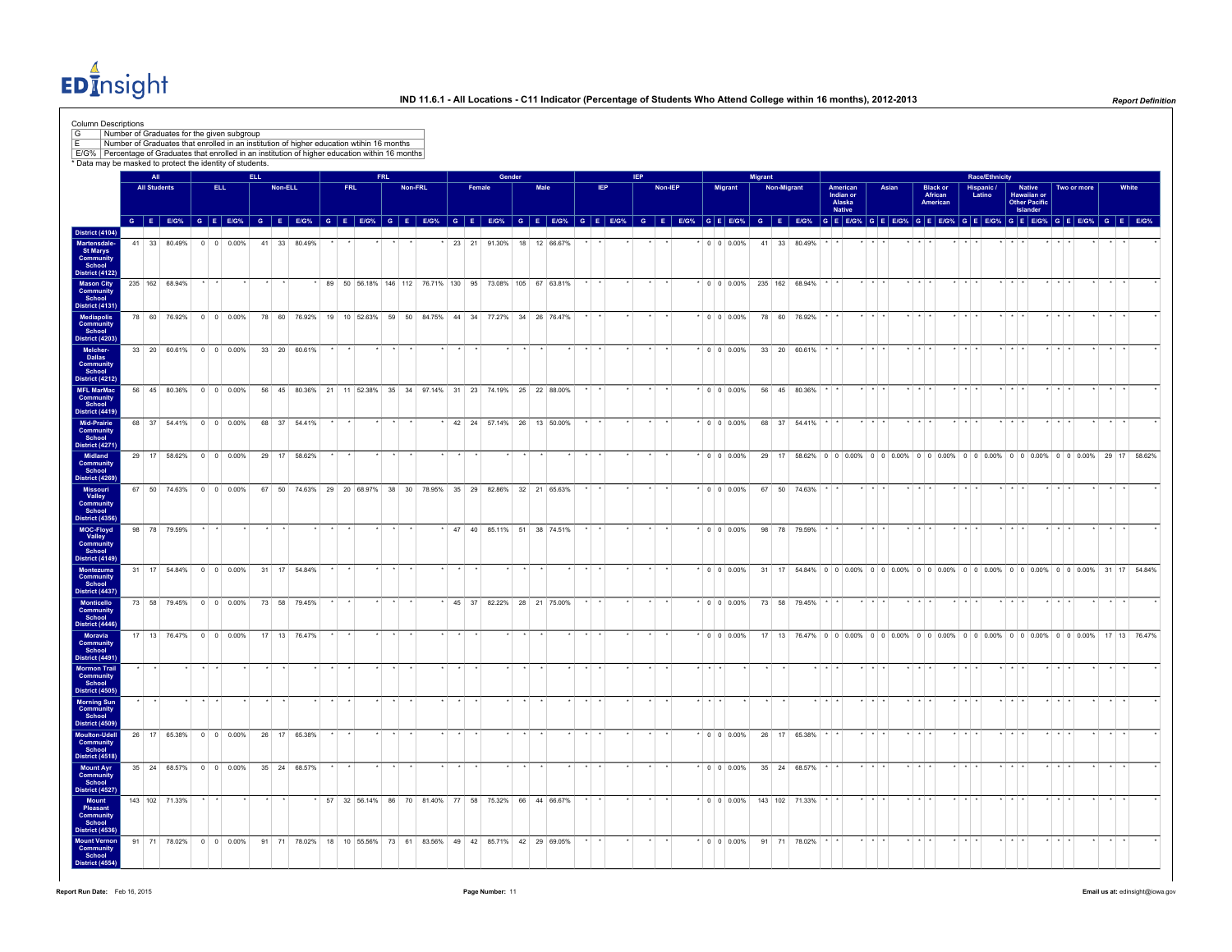EDInsight

|                                                                                        | Number of Graduates for the given subgroup<br>Number of Graduates that enrolled in an institution of higher education wtihin 16 months<br>E/G% Percentage of Graduates that enrolled in an institution of higher education within 16 months<br>* Data may be masked to protect the identity of students. |                     |              |                        |     |              |         |                |      |            |         |                                                                  |        |                           |      |  |     |            |         |  |                              |         |             |              |                                           |                       |       |                         |                                        |                         |                       |                                     |                                                                                                                                                                                                                                |                         |                       |       |
|----------------------------------------------------------------------------------------|----------------------------------------------------------------------------------------------------------------------------------------------------------------------------------------------------------------------------------------------------------------------------------------------------------|---------------------|--------------|------------------------|-----|--------------|---------|----------------|------|------------|---------|------------------------------------------------------------------|--------|---------------------------|------|--|-----|------------|---------|--|------------------------------|---------|-------------|--------------|-------------------------------------------|-----------------------|-------|-------------------------|----------------------------------------|-------------------------|-----------------------|-------------------------------------|--------------------------------------------------------------------------------------------------------------------------------------------------------------------------------------------------------------------------------|-------------------------|-----------------------|-------|
|                                                                                        |                                                                                                                                                                                                                                                                                                          | AII                 |              |                        | FU. |              |         |                |      | <b>FRI</b> |         |                                                                  |        | Gender                    |      |  |     | <b>IFP</b> |         |  |                              | Migrant |             |              |                                           |                       |       |                         |                                        |                         | <b>Race/Ethnicity</b> |                                     |                                                                                                                                                                                                                                |                         |                       |       |
|                                                                                        |                                                                                                                                                                                                                                                                                                          | <b>All Students</b> |              | ELL.                   |     |              | Non-ELL |                | FRL. |            | Non-FRL |                                                                  | Female |                           | Male |  | IEP |            | Non-IEP |  | Migrant                      |         | Non-Migrant |              | American<br>Indian or<br>Alaska<br>Native |                       | Asian |                         | <b>Black or</b><br>African<br>American |                         | Hispanic /<br>Latino  |                                     | <b>Native</b><br>Hawaiian or<br>Other Pacific<br>Islander                                                                                                                                                                      | Two or more             |                       | White |
|                                                                                        |                                                                                                                                                                                                                                                                                                          |                     |              |                        |     |              |         |                |      |            |         |                                                                  |        |                           |      |  |     |            |         |  |                              |         |             |              |                                           |                       |       |                         |                                        |                         |                       |                                     | G E EIG% G E EIG% G E EIG% G E EIG% G E EIG% G E EIG% G E EIG% G E EIG% G E EIG% G E EIG% G E EIG% G E EIG% G E EIG% G E EIG% G E EIG% G E EIG% G E EIG% G E EIG% G E EIG% G E EIG% G E EIG% G E EIG% G E EIG% G E EIG% G E EI |                         |                       |       |
| <b>District (4104)</b><br><b>Martensdale</b><br><b>St Marys</b><br>Community<br>School |                                                                                                                                                                                                                                                                                                          |                     | 41 33 80.49% | $0 \t 0 \t 0.00\%$     |     | 41 33 80.49% |         |                |      |            |         |                                                                  |        | 23 21 91.30% 18 12 66.67% |      |  |     |            |         |  | $\cdot$ 0 0 0.00%            |         |             | 41 33 80.49% |                                           |                       |       |                         |                                        |                         |                       |                                     |                                                                                                                                                                                                                                |                         |                       |       |
| District (4122)<br><b>Mason City</b><br><b>Community</b><br>School                     | 235 162 68.94%                                                                                                                                                                                                                                                                                           |                     |              |                        |     |              |         |                |      |            |         | * 89 50 56.18% 146 112 76.71% 130 95 73.08% 105 67 63.81%        |        |                           |      |  |     |            |         |  | $*$ 0 0 0.00% 235 162 68.94% |         |             |              |                                           | $+$ $+$ $+$           |       |                         |                                        |                         |                       | $\cdot$ $\cdot$ $\cdot$             |                                                                                                                                                                                                                                |                         | $\cdot$ $\cdot$       |       |
| <b>District (4131)</b><br><b>Mediapolis</b><br>Community<br>School                     |                                                                                                                                                                                                                                                                                                          |                     |              | 78 60 76.92% 0 0 0.00% |     |              |         |                |      |            |         | 78 60 76.92% 19 10 52.63% 59 50 84.75% 44 34 77.27% 34 26 76.47% |        |                           |      |  |     |            |         |  | $\cdot$ 0 0 0.00%            |         |             | 78 60 76.92% |                                           |                       |       |                         |                                        |                         |                       |                                     |                                                                                                                                                                                                                                |                         |                       |       |
| <b>District (4203)</b><br>Melcher-<br>Dallas<br>Community                              |                                                                                                                                                                                                                                                                                                          |                     |              | 33 20 60.61% 0 0 0.00% |     |              |         | 33 20 60.61%   |      |            |         |                                                                  |        |                           |      |  |     |            |         |  | $\cdot$ 0 0 0.00%            |         |             | 33 20 60.61% |                                           | $+$ $+$               |       | والوالو                 |                                        |                         |                       |                                     |                                                                                                                                                                                                                                |                         | $+$ $+$               |       |
| School<br><b>District (4212)</b><br><b>MFL MarMac</b>                                  |                                                                                                                                                                                                                                                                                                          |                     |              | 56 45 80.36% 0 0 0.00% |     |              |         |                |      |            |         | 56 45 80.36% 21 11 52.38% 35 34 97.14% 31 23 74.19% 25 22 88.00% |        |                           |      |  |     |            |         |  | $\cdot$ 0 0 0.00%            |         |             | 56 45 80.36% |                                           |                       |       |                         |                                        |                         |                       |                                     |                                                                                                                                                                                                                                |                         | $\cdot$ $\cdot$       |       |
| <b>Community</b><br>School<br>District (4419)<br>Mid-Prairie                           |                                                                                                                                                                                                                                                                                                          |                     |              | 68 37 54.41% 0 0 0.00% |     |              |         | 68 37 54.41%   |      |            |         |                                                                  |        | 42 24 57.14% 26 13 50.00% |      |  |     |            |         |  | $\cdot$ 0 0 0.00%            |         |             | 68 37 54.41% |                                           |                       |       |                         |                                        |                         |                       |                                     |                                                                                                                                                                                                                                |                         |                       |       |
| Community<br>School<br>District (4271)<br>Midland                                      |                                                                                                                                                                                                                                                                                                          |                     |              | 29 17 58.62% 0 0 0.00% |     |              |         | 29 17 58.62%   |      |            |         |                                                                  |        |                           |      |  |     |            |         |  |                              |         |             |              |                                           |                       |       |                         |                                        |                         |                       |                                     | * 0 0 0.00% 29 17 58.62% 0 0 0.00% 0 0 0.00% 0 0 0.00% 0 0 0.00% 0 0 0.00% 0 0 0.00% 29 17 58.62%                                                                                                                              |                         |                       |       |
| Community<br>School<br>District (4269)                                                 |                                                                                                                                                                                                                                                                                                          |                     |              |                        |     |              |         |                |      |            |         |                                                                  |        |                           |      |  |     |            |         |  |                              |         |             |              |                                           |                       |       |                         |                                        |                         |                       |                                     |                                                                                                                                                                                                                                |                         |                       |       |
| Missouri<br>Valley<br>Community<br>School<br>District (4356)                           |                                                                                                                                                                                                                                                                                                          |                     |              | 67 50 74.63% 0 0 0.00% |     |              |         |                |      |            |         | 67 50 74.63% 29 20 68.97% 38 30 78.95% 35 29 82.86% 32 21 65.63% |        |                           |      |  |     |            |         |  | $\cdot$ 0 0 0 0 0 0 %        |         |             | 67 50 74.63% |                                           |                       |       |                         |                                        |                         |                       |                                     |                                                                                                                                                                                                                                |                         |                       |       |
| MOC-Floyd<br>Valley<br>Community<br>School                                             |                                                                                                                                                                                                                                                                                                          |                     | 98 78 79.59% |                        |     |              |         |                |      |            |         |                                                                  |        | 47 40 85.11% 51 38 74.51% |      |  |     |            |         |  | $\cdot$ 0 0 0.00%            |         |             | 98 78 79.59% |                                           |                       |       |                         |                                        |                         |                       |                                     |                                                                                                                                                                                                                                |                         |                       |       |
| District (4149)<br><b>Montezuma</b><br><b>Community</b><br>School                      |                                                                                                                                                                                                                                                                                                          |                     |              | 31 17 54.84% 0 0 0.00% |     |              |         | 31 17 54.84%   |      |            |         |                                                                  |        |                           |      |  |     |            |         |  | $\cdot$ 0 0 0.00%            |         |             |              |                                           |                       |       |                         |                                        |                         |                       |                                     | 31 17 54.84% 0 0 0.00% 0 0 0.00% 0 0 0.00% 0 0 0.00% 0 0 0.00% 0 0 0.00% 31 17 54.84%                                                                                                                                          |                         |                       |       |
| District (4437)<br>Monticello<br><b>Community</b><br>School                            |                                                                                                                                                                                                                                                                                                          |                     |              | 73 58 79.45% 0 0 0.00% |     |              |         | 73 58 79.45%   |      |            |         |                                                                  |        | 45 37 82.22% 28 21 75.00% |      |  |     |            |         |  | $*$ 0 0 0.00%                |         |             | 73 58 79.45% |                                           |                       |       |                         |                                        |                         |                       |                                     |                                                                                                                                                                                                                                |                         |                       |       |
| District (4446)<br>Moravia<br><b>Community</b><br>School                               |                                                                                                                                                                                                                                                                                                          |                     |              | 17 13 76.47% 0 0 0.00% |     |              |         | 17  13  76.47% |      |            |         |                                                                  |        |                           |      |  |     |            |         |  | $\cdot$ 0 0 0.00%            |         |             |              |                                           |                       |       |                         |                                        |                         |                       |                                     | 17 13 76.47% 0 0 0 0.00% 0 0 0.00% 0 0 0.00% 0 0 0.00% 0 0 0.00% 0 0 0.00% 17 13 76.47%                                                                                                                                        |                         |                       |       |
| District (4491)<br><b>Mormon Trail</b><br><b>Community</b><br>School                   |                                                                                                                                                                                                                                                                                                          |                     |              |                        |     |              |         |                |      |            |         |                                                                  |        |                           |      |  |     |            |         |  |                              |         |             |              |                                           |                       |       |                         |                                        |                         |                       |                                     |                                                                                                                                                                                                                                |                         |                       |       |
| District (4505)<br><b>Morning Sun</b><br><b>Community</b><br>School                    |                                                                                                                                                                                                                                                                                                          |                     |              |                        |     |              |         |                |      |            |         |                                                                  |        |                           |      |  |     |            |         |  |                              |         |             |              |                                           |                       |       |                         |                                        |                         |                       |                                     |                                                                                                                                                                                                                                |                         |                       |       |
| District (4509)<br>Moulton-Udel<br><b>Community</b><br>School                          |                                                                                                                                                                                                                                                                                                          |                     |              | 26 17 65.38% 0 0 0.00% |     |              |         | 26 17 65.38%   |      |            |         |                                                                  |        |                           |      |  |     |            |         |  | $*$ 0 0 0.00%                |         |             | 26 17 65.38% |                                           |                       |       |                         |                                        |                         |                       |                                     |                                                                                                                                                                                                                                |                         |                       |       |
| District (4518)<br><b>Mount Ayr</b><br><b>Community</b><br>School                      |                                                                                                                                                                                                                                                                                                          |                     |              | 35 24 68.57% 0 0 0.00% |     |              |         | 35 24 68.57%   |      |            |         |                                                                  |        |                           |      |  |     |            |         |  | $\cdot$ 0 0 0.00%            |         |             | 35 24 68.57% |                                           | $\star$ $\rightarrow$ |       | $\star$ $\star$ $\star$ |                                        | $\star$ $\star$ $\star$ |                       | $\star$ $\rightarrow$ $\rightarrow$ |                                                                                                                                                                                                                                | $\star$ $\star$ $\star$ | $\star$ $\rightarrow$ |       |
| <b>District (4527)</b><br>Mount<br>Pleasant<br><b>Community</b><br>School              | 143 102 71.33%                                                                                                                                                                                                                                                                                           |                     |              |                        |     |              |         |                |      |            |         | * 57 32 56.14% 86 70 81.40% 77 58 75.32% 66 44 66.67%            |        |                           |      |  |     |            |         |  | $*$ 0 0 0.00% 143 102 71.33% |         |             |              |                                           |                       |       |                         |                                        |                         |                       |                                     |                                                                                                                                                                                                                                |                         |                       |       |
| <b>District (4536)</b><br><b>Mount Vernon</b><br>Community<br>School                   |                                                                                                                                                                                                                                                                                                          |                     |              | 91 71 78.02% 0 0 0.00% |     |              |         |                |      |            |         | 91 71 78.02% 18 10 55.56% 73 61 83.56% 49 42 85.71% 42 29 69.05% |        |                           |      |  |     |            |         |  | $*$ 0 0 0.00%                |         |             | 91 71 78.02% |                                           |                       |       |                         |                                        |                         |                       |                                     |                                                                                                                                                                                                                                |                         |                       |       |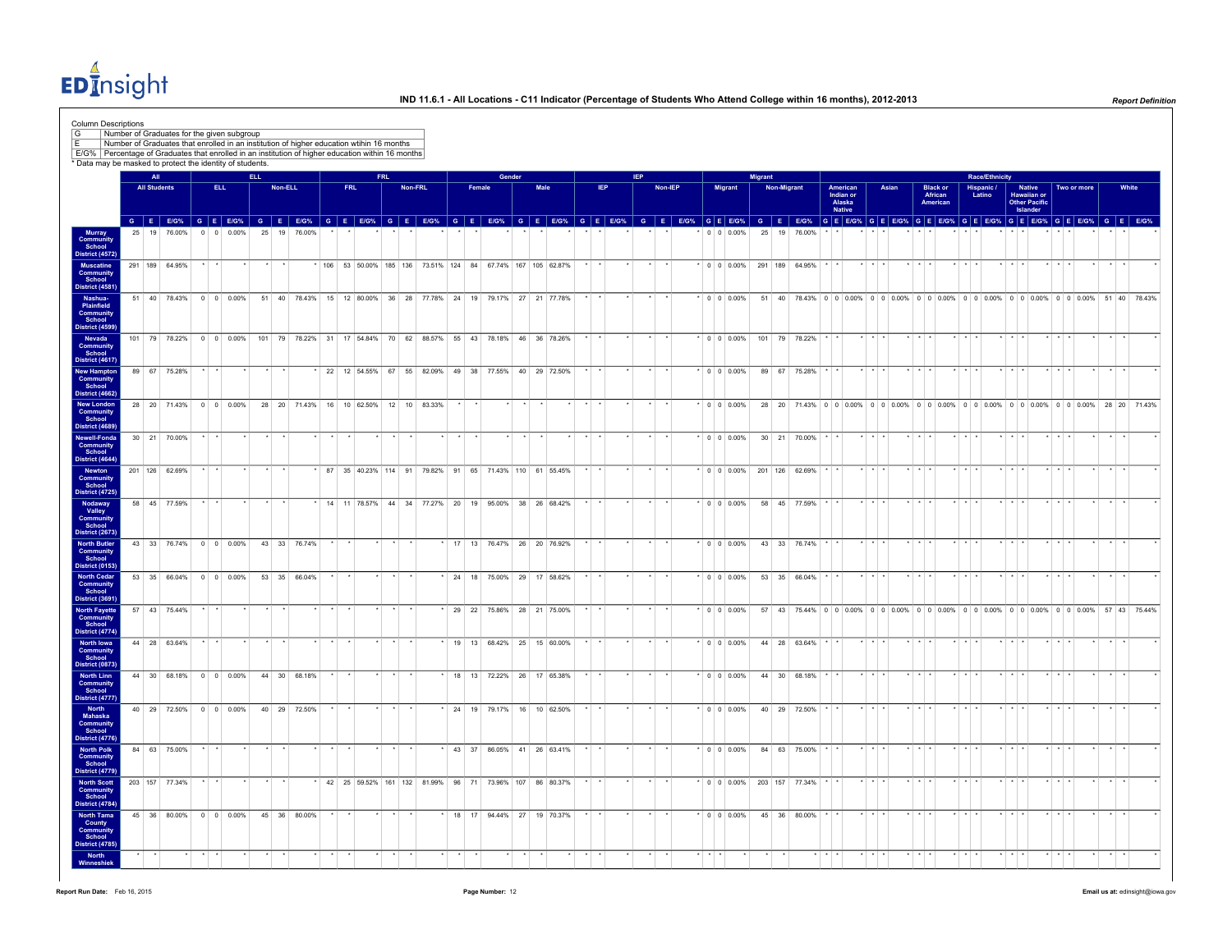EDInsight

| Number of Graduates that enrolled in an institution of higher education wtihin 16 months<br>E/G% Percentage of Graduates that enrolled in an institution of higher education within 16 months<br>* Data may be masked to protect the identity of students.<br>Murray<br>Community<br>School<br>District (4572)<br>District (4617)<br><b>New Hampton</b> | All<br><b>All Students</b><br>25 19 76.00%<br>291 189 64.95%<br>89 67 75.28% | ELL.                  | $0 \t 0 \t 0.00\%$<br>51 40 78.43% 0 0 0.00% | ELL. | Non-ELL<br>25 19 76.00% | <b>FRL</b><br>G E EIG% G E EIG% G E EIG% G E EIG% G E EIG% G E EIG% G E EIG% G E EIG% G E EIG% G E EIG% G E EIG% G E EIG% G E EIG% G E EIG% G E EIG% G E EIG% G E EIG% G E EIG% G E EIG% G E EIG% G E EIG% G E EIG% G E EIG% G E EIG% G E EI<br> 106   53   50.00%   185   136   73.51%   124   84   67.74%   167   105   62.87% | FRL. | Non-FRL |    | Female | Gender                        | Male |                 | <b>IEP</b> | <b>IEP</b> | Non-IEP |  |                                  | Migrant      | Non-Migrant  |                        |                                 |                         | Asian |                         |                                                                                         |                         | <b>Race/Ethnicity</b><br>Hispanic /<br>Latino |                         | Native<br><b>Hawaiian or<br/>Other Pacific</b> |                         | Two or more | White           |
|---------------------------------------------------------------------------------------------------------------------------------------------------------------------------------------------------------------------------------------------------------------------------------------------------------------------------------------------------------|------------------------------------------------------------------------------|-----------------------|----------------------------------------------|------|-------------------------|----------------------------------------------------------------------------------------------------------------------------------------------------------------------------------------------------------------------------------------------------------------------------------------------------------------------------------|------|---------|----|--------|-------------------------------|------|-----------------|------------|------------|---------|--|----------------------------------|--------------|--------------|------------------------|---------------------------------|-------------------------|-------|-------------------------|-----------------------------------------------------------------------------------------|-------------------------|-----------------------------------------------|-------------------------|------------------------------------------------|-------------------------|-------------|-----------------|
|                                                                                                                                                                                                                                                                                                                                                         |                                                                              |                       |                                              |      |                         |                                                                                                                                                                                                                                                                                                                                  |      |         |    |        |                               |      |                 |            |            |         |  |                                  |              |              |                        |                                 |                         |       |                         |                                                                                         |                         |                                               |                         |                                                |                         |             |                 |
|                                                                                                                                                                                                                                                                                                                                                         |                                                                              |                       |                                              |      |                         |                                                                                                                                                                                                                                                                                                                                  |      |         |    |        |                               |      |                 |            |            |         |  |                                  |              |              |                        |                                 |                         |       |                         |                                                                                         |                         |                                               |                         |                                                |                         |             |                 |
|                                                                                                                                                                                                                                                                                                                                                         |                                                                              |                       |                                              |      |                         |                                                                                                                                                                                                                                                                                                                                  |      |         |    |        |                               |      |                 |            |            |         |  |                                  |              |              |                        |                                 |                         |       |                         |                                                                                         |                         |                                               |                         |                                                |                         |             |                 |
|                                                                                                                                                                                                                                                                                                                                                         |                                                                              |                       |                                              |      |                         |                                                                                                                                                                                                                                                                                                                                  |      |         |    |        |                               |      |                 |            |            |         |  | <b>Migrant</b>                   |              |              |                        | American<br>Indian or<br>Alaska |                         |       |                         | Black or<br>African<br>American                                                         |                         |                                               |                         |                                                |                         |             |                 |
|                                                                                                                                                                                                                                                                                                                                                         |                                                                              |                       |                                              |      |                         |                                                                                                                                                                                                                                                                                                                                  |      |         |    |        |                               |      |                 |            |            |         |  |                                  |              |              |                        | <b>Native</b>                   |                         |       |                         |                                                                                         |                         |                                               |                         | Islander                                       |                         |             |                 |
|                                                                                                                                                                                                                                                                                                                                                         |                                                                              |                       |                                              |      |                         |                                                                                                                                                                                                                                                                                                                                  |      |         |    |        |                               |      |                 |            |            |         |  | $0 \t 0 \t 0.00\%$               |              | 25 19 76 00% |                        |                                 |                         |       |                         |                                                                                         |                         |                                               |                         |                                                |                         |             |                 |
|                                                                                                                                                                                                                                                                                                                                                         |                                                                              |                       |                                              |      |                         |                                                                                                                                                                                                                                                                                                                                  |      |         |    |        |                               |      |                 |            |            |         |  | $\cdot$ 0 0 0.00% 291 189 64.95% |              |              |                        |                                 |                         |       |                         |                                                                                         |                         |                                               |                         |                                                |                         |             |                 |
|                                                                                                                                                                                                                                                                                                                                                         |                                                                              |                       |                                              |      |                         | 51 40 78.43% 15 12 80.00% 36 28 77.78% 24 19 79.17% 27 21 77.78%                                                                                                                                                                                                                                                                 |      |         |    |        |                               |      |                 |            |            |         |  | $\cdot$ 0 0 0.00%                |              |              |                        |                                 |                         |       |                         | 51 40 78.43% 0 0 0.00% 0 0 0.00% 0 0 0.00% 0 0 0.00% 0 0 0.00% 0 0 0.00% 51 40 78.43%   |                         |                                               |                         |                                                |                         |             |                 |
|                                                                                                                                                                                                                                                                                                                                                         |                                                                              |                       |                                              |      |                         |                                                                                                                                                                                                                                                                                                                                  |      |         |    |        |                               |      |                 |            |            |         |  |                                  |              |              |                        |                                 |                         |       |                         |                                                                                         |                         |                                               |                         |                                                |                         |             |                 |
|                                                                                                                                                                                                                                                                                                                                                         |                                                                              |                       |                                              |      |                         | 101 79 78.22% 0 0 0 0.00% 101 79 78.22% 31 17 54.84% 70 62 88.57% 55 43 78.18% 46 36 78.26%                                                                                                                                                                                                                                      |      |         |    |        |                               |      |                 |            |            |         |  | $*$ 0 0 0.00% 101 79 78.22%      |              |              |                        |                                 |                         |       |                         |                                                                                         |                         |                                               |                         |                                                |                         |             |                 |
|                                                                                                                                                                                                                                                                                                                                                         |                                                                              |                       |                                              |      |                         | 22 12 54.55% 67 55 82.09% 49 38 77.55% 40 29 72.50%                                                                                                                                                                                                                                                                              |      |         |    |        |                               |      |                 |            |            |         |  | $\cdot$ 0 0 0.00%                |              | 89 67 75.28% |                        |                                 |                         |       |                         |                                                                                         |                         |                                               |                         |                                                |                         |             |                 |
| District (4662)<br><b>New London</b>                                                                                                                                                                                                                                                                                                                    | 28 20 71.43% 0 0 0.00%                                                       |                       |                                              |      | 28 20 71 43%            | 16 10 62.50% 12 10 83.33%                                                                                                                                                                                                                                                                                                        |      |         |    |        |                               |      |                 |            |            |         |  | 0 0 0 0 0 %                      |              |              |                        |                                 |                         |       |                         | 28 20 71.43% 0 0 0 0.00% 0 0 0.00% 0 0 0.00% 0 0 0.00% 0 0 0.00% 0 0 0.00% 28 20 71.43% |                         |                                               |                         |                                                |                         |             |                 |
| <b>District (4689)</b><br><b>Newell-Fonda</b>                                                                                                                                                                                                                                                                                                           | 30 21 70.00%                                                                 | $\star$               |                                              |      |                         |                                                                                                                                                                                                                                                                                                                                  |      |         |    |        |                               |      |                 |            |            |         |  | $*$ 0 0 0.00%                    |              |              | $30$ 21 70.00% $\cdot$ |                                 |                         |       |                         |                                                                                         |                         |                                               |                         |                                                |                         |             |                 |
| School<br>District (4644)                                                                                                                                                                                                                                                                                                                               |                                                                              |                       |                                              |      |                         |                                                                                                                                                                                                                                                                                                                                  |      |         |    |        |                               |      |                 |            |            |         |  |                                  |              |              |                        |                                 |                         |       |                         |                                                                                         |                         |                                               |                         |                                                |                         |             |                 |
| <b>District (4725)</b>                                                                                                                                                                                                                                                                                                                                  | 201 126 62.69%                                                               | $\star$ $\rightarrow$ |                                              |      |                         | * 87 35 40.23% 114 91 79.82% 91 65 71.43% 110 61 55.45%                                                                                                                                                                                                                                                                          |      |         |    |        |                               |      | $\star$ $\star$ |            |            | $\star$ |  | $*$ 0 0 0.00% 201 126 62.69%     |              |              |                        |                                 | $\cdot$ $\cdot$ $\cdot$ |       | $\star$ $\star$ $\star$ |                                                                                         | $\star$ $\star$ $\star$ |                                               | $\star$ $\star$ $\star$ |                                                | $\star$ $\star$ $\star$ |             | $\cdot$ $\cdot$ |
|                                                                                                                                                                                                                                                                                                                                                         | 58 45 77.59%                                                                 |                       |                                              |      |                         | 14 11 78.57% 44 34 77.27% 20 19 95.00% 38 26 68.42%                                                                                                                                                                                                                                                                              |      |         |    |        |                               |      |                 |            |            |         |  | $\cdot$ 0 0 0.00%                |              | 58 45 77.59% |                        |                                 |                         |       |                         |                                                                                         |                         |                                               |                         |                                                |                         |             |                 |
| <b>District (2673)</b><br><b>North Butler</b>                                                                                                                                                                                                                                                                                                           | 43 33 76.74% 0 0 0.00%                                                       |                       |                                              |      | 43 33 76.74%            |                                                                                                                                                                                                                                                                                                                                  |      |         |    |        | 17 13 76.47% 26 20 76.92%     |      |                 |            |            |         |  | $*$ 0 0 0.00%                    | 43 33 76.74% |              |                        |                                 | $\cdot$ $\cdot$ $\cdot$ |       | $\cdot$ $\cdot$ $\cdot$ |                                                                                         |                         |                                               | $\cdot$ $\cdot$ $\cdot$ |                                                |                         |             | $\cdot$ $\cdot$ |
| <b>District (0153)</b>                                                                                                                                                                                                                                                                                                                                  | 53 35 66.04% 0 0 0.00%                                                       |                       |                                              |      | 53 35 66.04%            |                                                                                                                                                                                                                                                                                                                                  |      |         |    |        | * 24 18 75.00% 29 17 58.62%   |      |                 |            |            |         |  | $*$ 0 0 0.00%                    |              | 53 35 66.04% |                        |                                 |                         |       |                         |                                                                                         |                         |                                               |                         |                                                |                         |             |                 |
| <b>District (3691)</b><br><b>North Fayette</b>                                                                                                                                                                                                                                                                                                          | 57 43 75.44%                                                                 | $\star$               |                                              |      |                         |                                                                                                                                                                                                                                                                                                                                  |      |         |    |        | 29 22 75.86% 28 21 75.00%     |      |                 |            |            |         |  | $\cdot$ 0 0 0.00%                |              |              |                        |                                 |                         |       |                         | 57 43 75.44% 0 0 0 0.00% 0 0 0.00% 0 0 0.00% 0 0 0.00% 0 0 0.00% 0 0 0.00% 57 43 75.44% |                         |                                               |                         |                                                |                         |             |                 |
| School<br>District (4774)                                                                                                                                                                                                                                                                                                                               | 44 28 63.64%                                                                 |                       |                                              |      |                         |                                                                                                                                                                                                                                                                                                                                  |      |         |    |        | $*$ 19 13 68.42% 25 15 60.00% |      |                 |            |            |         |  | $\cdot$ 0 0 0.00%                |              | 44 28 63.64% |                        |                                 |                         |       |                         |                                                                                         |                         |                                               |                         |                                                |                         |             |                 |
| District (0873)                                                                                                                                                                                                                                                                                                                                         |                                                                              |                       | 44 30 68.18% 0 0 0.00%                       |      | 44 30 68 18%            |                                                                                                                                                                                                                                                                                                                                  |      |         |    |        | 18 13 72.22% 26 17 65.38%     |      |                 |            |            |         |  | $0.000\%$                        |              | 44 30 68 18% |                        |                                 |                         |       |                         |                                                                                         |                         |                                               |                         |                                                |                         |             |                 |
| District (4777)                                                                                                                                                                                                                                                                                                                                         |                                                                              |                       |                                              |      |                         |                                                                                                                                                                                                                                                                                                                                  |      |         |    |        |                               |      |                 |            |            |         |  |                                  |              |              |                        |                                 |                         |       |                         |                                                                                         |                         |                                               |                         |                                                |                         |             |                 |
| District (4776)                                                                                                                                                                                                                                                                                                                                         |                                                                              |                       | 40 29 72.50% 0 0 0.00%                       |      | 40 29 72.50%            |                                                                                                                                                                                                                                                                                                                                  |      |         |    |        | * 24 19 79.17% 16 10 62.50%   |      |                 |            |            |         |  | $\cdot$ 0 0 0.00%                |              | 40 29 72.50% |                        |                                 |                         |       |                         |                                                                                         |                         |                                               |                         |                                                |                         |             |                 |
|                                                                                                                                                                                                                                                                                                                                                         | 84 63 75.00%                                                                 |                       |                                              |      |                         |                                                                                                                                                                                                                                                                                                                                  |      |         |    |        | * 43 37 86.05% 41 26 63.41%   |      |                 |            |            |         |  | $\cdot$ 0 0 0.00%                |              | 84 63 75.00% |                        |                                 |                         |       |                         |                                                                                         |                         |                                               |                         |                                                |                         |             |                 |
|                                                                                                                                                                                                                                                                                                                                                         | 203 157 77.34%                                                               |                       |                                              |      |                         | * 42 25 59.52% 161 132 81.99% 96 71 73.96% 107 86 80.37%                                                                                                                                                                                                                                                                         |      |         |    |        |                               |      |                 |            |            |         |  | $*$ 0 0 0.00% 203 157 77.34%     |              |              |                        |                                 |                         |       |                         |                                                                                         |                         |                                               |                         |                                                |                         |             |                 |
| <b>District (4784)</b>                                                                                                                                                                                                                                                                                                                                  | 45 36 80.00% 0 0 0.00%                                                       |                       |                                              |      | 45 36 80.00%            |                                                                                                                                                                                                                                                                                                                                  |      |         | 18 |        | 17 94.44% 27 19 70.37%        |      |                 |            |            |         |  | $^*$ 0 0 0.00%                   |              | 45 36 80.00% |                        |                                 |                         |       |                         |                                                                                         |                         |                                               |                         |                                                |                         |             |                 |
| <b>District (4785)</b>                                                                                                                                                                                                                                                                                                                                  |                                                                              |                       |                                              |      |                         |                                                                                                                                                                                                                                                                                                                                  |      |         |    |        |                               |      |                 |            |            |         |  |                                  |              |              |                        |                                 |                         |       |                         |                                                                                         |                         |                                               |                         |                                                |                         |             |                 |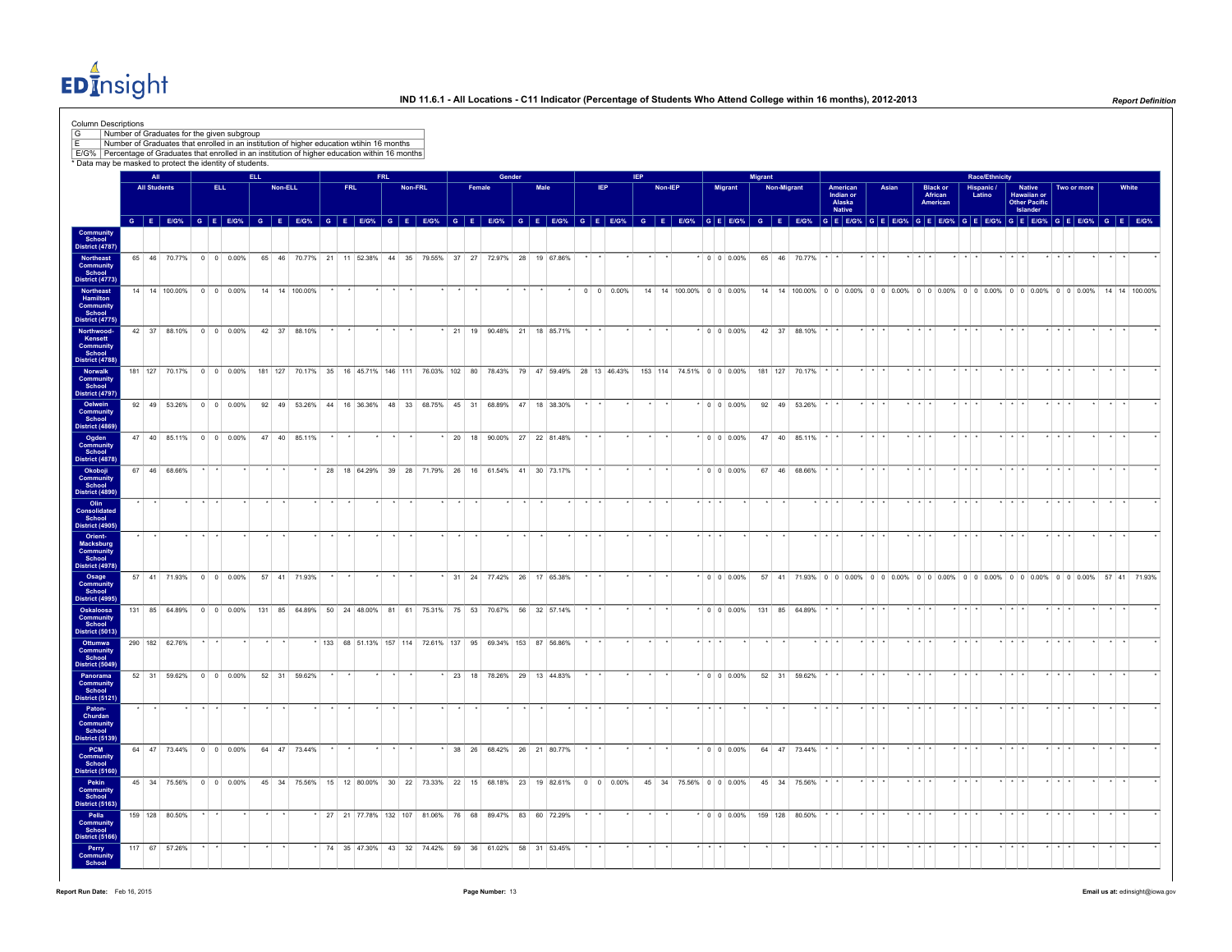EDInsight

| Column Descriptions<br>G<br>E/G%   Percentage of Graduates that enrolled in an institution of higher education within 16 months<br>* Data may be masked to protect the identity of students. |                            | Number of Graduates for the given subgroup<br>Number of Graduates that enrolled in an institution of higher education wtihin 16 months |      |                          |      |         |                                                                                    |            |            |         |    |        |        |      |                                                            |      |                    |            |         |                          |          |                   |                           |                    |                |                                           |       |  |                                         |         |                                        |                                                                                                                                            |             |  |       |
|----------------------------------------------------------------------------------------------------------------------------------------------------------------------------------------------|----------------------------|----------------------------------------------------------------------------------------------------------------------------------------|------|--------------------------|------|---------|------------------------------------------------------------------------------------|------------|------------|---------|----|--------|--------|------|------------------------------------------------------------|------|--------------------|------------|---------|--------------------------|----------|-------------------|---------------------------|--------------------|----------------|-------------------------------------------|-------|--|-----------------------------------------|---------|----------------------------------------|--------------------------------------------------------------------------------------------------------------------------------------------|-------------|--|-------|
|                                                                                                                                                                                              | All<br><b>All Students</b> |                                                                                                                                        | ELL. |                          | ELL. | Non-ELL |                                                                                    | <b>FRL</b> | <b>FRL</b> | Non-FRL |    | Female | Gender | Male |                                                            | IEP. |                    | <b>IEP</b> | Non-IEP |                          |          | Migrant           | Migrant                   | <b>Non-Migrant</b> |                |                                           | Asian |  |                                         |         | Race/Ethnicity<br>Hispanic /<br>Latino |                                                                                                                                            | Two or more |  | White |
|                                                                                                                                                                                              |                            |                                                                                                                                        |      |                          |      |         |                                                                                    |            |            |         |    |        |        |      |                                                            |      |                    |            |         |                          |          |                   |                           |                    |                | American<br>Indian or<br>Alaska<br>Native |       |  | <b>Black or<br/>African</b><br>American |         |                                        | Native<br>Hawaiian or<br>Other Pacific<br>Islander                                                                                         |             |  |       |
|                                                                                                                                                                                              |                            |                                                                                                                                        |      |                          |      |         |                                                                                    |            |            |         |    |        |        |      |                                                            |      |                    |            |         |                          |          |                   |                           |                    |                |                                           |       |  |                                         |         |                                        | GEEG% GEEG% GEEG% GEEG% GEEG% GEEG% GEEG% GEEG% GEEG% GEEG% GEEG% GEEG% GEEG% GEEG% GEEG% GEEGG% GEEGG% GEEGG% GEEGG% GEEGG% GEEGG% GEEGG% |             |  |       |
| Community<br>School<br>District (4787)                                                                                                                                                       |                            |                                                                                                                                        |      |                          |      |         |                                                                                    |            |            |         |    |        |        |      |                                                            |      |                    |            |         |                          |          |                   |                           |                    |                |                                           |       |  |                                         |         |                                        |                                                                                                                                            |             |  |       |
| Northeast<br>Community<br>School                                                                                                                                                             |                            | 65 46 70.77% 0 0 0.00%                                                                                                                 |      |                          |      |         | 65 46 70.77% 21 11 52.38% 44 35 79.55% 37 27 72.97% 28 19 67.86%                   |            |            |         |    |        |        |      |                                                            |      |                    |            |         |                          |          | $\cdot$ 0 0 0.00% |                           |                    | 65 46 70.77%   |                                           |       |  |                                         |         |                                        |                                                                                                                                            |             |  |       |
| <b>District (4773)</b><br>Northeast<br>Hamilton                                                                                                                                              |                            | 14 14 100.00% 0 0 0.00%                                                                                                                |      |                          |      |         | 14 14 100.00%                                                                      |            |            |         |    |        |        |      |                                                            |      | $0 \ 0 \ 0.00\%$   |            |         | 14 14 100.00% 0 0 0.00%  |          |                   |                           |                    |                |                                           |       |  |                                         |         |                                        | 14 14 100.00% 0 0 0.00% 0 0 0.00% 0 0 0.00% 0 0 0.00% 0 0 0.00% 0 0 0.00% 14 14 100.00%                                                    |             |  |       |
| Community<br>School<br><b>District (4775)</b><br>Northwood-<br>Kensett                                                                                                                       |                            | 42 37 88.10% 0 0 0.00%                                                                                                                 |      |                          |      |         | 42 37 88.10%                                                                       |            |            |         | 21 | 19     |        |      | 90.48% 21 18 85.71%                                        |      |                    |            |         |                          |          | $\cdot$ 0 0 0.00% |                           |                    | 42 37 88.10%   |                                           |       |  |                                         |         |                                        |                                                                                                                                            |             |  |       |
| Community<br>School<br><b>District (4788)</b>                                                                                                                                                |                            |                                                                                                                                        |      |                          |      |         |                                                                                    |            |            |         |    |        |        |      |                                                            |      |                    |            |         |                          |          |                   |                           |                    |                |                                           |       |  |                                         |         |                                        |                                                                                                                                            |             |  |       |
| Norwalk<br>Community<br>School                                                                                                                                                               |                            | 181 127 70.17% 0 0 0.00%                                                                                                               |      |                          |      |         | 181 127 70.17% 35 16 45.71% 146 111 76.03% 102 80 78.43% 79 47 59.49% 28 13 46.43% |            |            |         |    |        |        |      |                                                            |      |                    |            |         | 153 114 74.51% 0 0 0.00% |          |                   |                           |                    | 181 127 70.17% |                                           |       |  |                                         |         |                                        |                                                                                                                                            |             |  |       |
| District (4797)<br>Oelwein<br>Community<br>School                                                                                                                                            |                            | 92 49 53.26% 0 0 0.00%                                                                                                                 |      |                          |      |         | 92 49 53.26% 44 16 36.36% 48 33 68.75% 45 31 68.89% 47 18 38.30%                   |            |            |         |    |        |        |      |                                                            |      |                    |            |         |                          |          | $*$ 0 0 0.00%     |                           |                    | 92 49 53.26%   |                                           |       |  |                                         |         |                                        |                                                                                                                                            |             |  |       |
| District (4869)<br>Ogden<br>Community                                                                                                                                                        |                            | 47 40 85.11% 0 0 0.00%                                                                                                                 |      |                          |      |         | 47 40 85.11%                                                                       |            |            |         |    |        |        |      | 20 18 90.00% 27 22 81.48%                                  |      |                    |            |         |                          |          | $\cdot$ 0 0 0.00% |                           |                    | 47 40 85.11%   |                                           |       |  |                                         |         |                                        |                                                                                                                                            |             |  |       |
| School<br><b>District (4878)</b>                                                                                                                                                             |                            | 67 46 68.66%                                                                                                                           |      |                          |      |         |                                                                                    |            |            |         |    |        |        |      | 28 18 64.29% 39 28 71.79% 26 16 61.54% 41 30 73.17%        |      |                    |            |         |                          |          | $\star$ 0 0 0.00% |                           |                    | 67 46 68.66%   |                                           |       |  |                                         |         |                                        |                                                                                                                                            |             |  |       |
| Okoboji<br>Community<br>School<br>District (4890                                                                                                                                             |                            |                                                                                                                                        |      |                          |      |         |                                                                                    |            |            |         |    |        |        |      |                                                            |      |                    |            |         |                          |          |                   |                           |                    |                |                                           |       |  |                                         |         |                                        |                                                                                                                                            |             |  |       |
| Olin<br>Consolidated<br>School<br>District (4905)                                                                                                                                            |                            |                                                                                                                                        |      |                          |      |         |                                                                                    |            |            |         |    |        |        |      |                                                            |      |                    |            |         |                          |          |                   |                           |                    |                |                                           |       |  |                                         |         |                                        |                                                                                                                                            |             |  |       |
| Orient-<br>Macksburg<br>Community<br>School                                                                                                                                                  |                            |                                                                                                                                        |      |                          |      |         |                                                                                    |            |            |         |    |        |        |      |                                                            |      |                    |            |         |                          |          |                   |                           |                    |                |                                           |       |  |                                         |         |                                        |                                                                                                                                            |             |  |       |
| District (4978)<br>Osage<br>Community<br>School                                                                                                                                              |                            | 57 41 71.93% 0 0 0.00%                                                                                                                 |      |                          |      |         | 57 41 71.93%                                                                       |            |            |         |    |        |        |      | 31 24 77.42% 26 17 65.38%                                  |      |                    |            |         |                          |          | $\cdot$ 0 0 0.00% |                           |                    |                |                                           |       |  |                                         |         |                                        | 57 41 71.93% 0 0 0 0.00% 0 0 0.00% 0 0 0.00% 0 0 0.00% 0 0 0.00% 0 0 0.00% 57 41 71.93%                                                    |             |  |       |
| District (4995)<br>Oskaloosa<br><b>Community</b><br>School                                                                                                                                   |                            | 131 85 64.89% 0 0 0.00%                                                                                                                |      |                          |      |         | 131 85 64.89% 50 24 48.00% 81 61 75.31% 75 53 70.67% 56 32 57.14%                  |            |            |         |    |        |        |      |                                                            |      |                    |            |         |                          |          |                   | * 0 0 0.00% 131 85 64.89% |                    |                |                                           |       |  |                                         |         |                                        |                                                                                                                                            |             |  |       |
| District (5013)<br>Ottumwa                                                                                                                                                                   |                            | 290 182 62.76%                                                                                                                         |      |                          |      |         |                                                                                    |            |            |         |    |        |        |      | * 133 68 51.13% 157 114 72.61% 137 95 69.34% 153 87 56.86% |      |                    |            |         |                          |          |                   |                           |                    |                |                                           |       |  |                                         |         |                                        |                                                                                                                                            |             |  |       |
| Community<br>School<br>District (5049)                                                                                                                                                       |                            |                                                                                                                                        |      |                          |      |         |                                                                                    |            |            |         |    |        |        |      |                                                            |      |                    |            |         |                          |          |                   |                           |                    |                |                                           |       |  |                                         |         |                                        |                                                                                                                                            |             |  |       |
| Panorama<br>Community<br>School<br>District (5121)                                                                                                                                           |                            | 52 31 59.62%                                                                                                                           |      | $0 \quad 0 \quad 0.00\%$ |      |         | 52 31 59.62%                                                                       |            |            |         |    |        |        |      | 23 18 78.26% 29 13 44.83%                                  |      |                    |            |         |                          |          | $*$ 0 0 0.00%     |                           |                    | 52 31 59.62%   |                                           |       |  |                                         |         |                                        |                                                                                                                                            |             |  |       |
| Paton-<br>Churdan<br>Community                                                                                                                                                               |                            |                                                                                                                                        |      |                          |      |         |                                                                                    |            |            |         |    |        |        |      |                                                            |      |                    |            |         |                          |          |                   |                           |                    |                |                                           |       |  |                                         |         |                                        |                                                                                                                                            |             |  |       |
| School<br>District (5139)<br>PCM                                                                                                                                                             |                            | 64 47 73.44% 0 0 0.00%                                                                                                                 |      |                          |      |         | 64 47 73.44%                                                                       |            |            |         |    |        |        |      | $*$ 38 26 68.42% 26 21 80.77%                              |      |                    |            |         |                          |          | $*$ 0 0 0.00%     |                           |                    | 64 47 73.44%   |                                           |       |  |                                         |         |                                        |                                                                                                                                            |             |  |       |
| Community<br>School<br>District (5160)                                                                                                                                                       |                            |                                                                                                                                        |      |                          |      |         |                                                                                    |            |            |         |    |        |        |      |                                                            |      |                    |            |         |                          |          |                   |                           |                    |                |                                           |       |  |                                         |         |                                        |                                                                                                                                            |             |  |       |
| Pekin<br>Community<br>School<br><b>District (5163)</b>                                                                                                                                       |                            | 45 34 75.56% 0 0 0.00%                                                                                                                 |      |                          |      |         | 45 34 75.56% 15 12 80.00% 30 22 73.33% 22 15 68.18% 23 19 82.61%                   |            |            |         |    |        |        |      |                                                            |      | $0 \t 0 \t 0.00\%$ |            |         | 45 34 75.56% 0 0 0.00%   |          |                   |                           |                    | 45 34 75.56%   |                                           |       |  |                                         |         |                                        |                                                                                                                                            |             |  |       |
| Pella<br>Community<br>School<br>District (5166)                                                                                                                                              |                            | 159 128 80.50%                                                                                                                         |      |                          |      |         |                                                                                    |            |            |         |    |        |        |      | 27 21 77.78% 132 107 81.06% 76 68 89.47% 83 60 72.29%      |      |                    |            |         |                          |          | $*$ 0 0 0.00%     |                           |                    | 159 128 80.50% |                                           |       |  |                                         |         |                                        |                                                                                                                                            |             |  |       |
| Perry<br>Community<br>School                                                                                                                                                                 |                            | 117 67 57.26%                                                                                                                          |      |                          |      |         |                                                                                    |            |            |         |    |        |        |      | * 74 35 47.30% 43 32 74.42% 59 36 61.02% 58 31 53.45%      |      |                    |            |         |                          | $\cdots$ |                   |                           |                    |                |                                           |       |  |                                         | $+$ $+$ |                                        |                                                                                                                                            |             |  |       |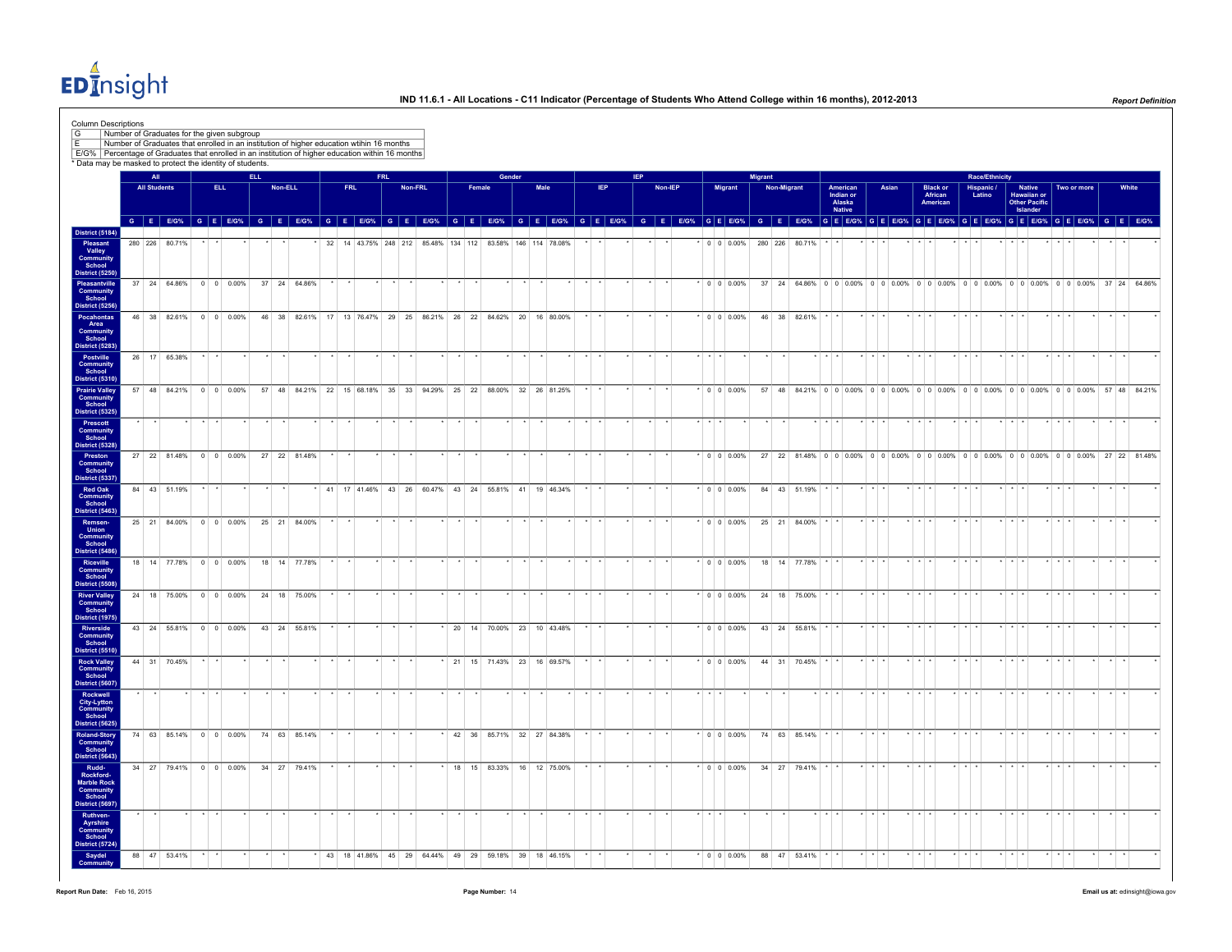EDInsight

|                                                                  | Number of Graduates for the given subgroup<br>Number of Graduates that enrolled in an institution of higher education wtihin 16 months                                                                                         |      |                    |      |         |              |                                                       |            |      |                                                                  |         |  |        |        |                                |     |            |         |                 |                     |         |             |                                                                                       |                                           |                         |       |             |                                        |             |                       |                                          |               |                         |                 |       |
|------------------------------------------------------------------|--------------------------------------------------------------------------------------------------------------------------------------------------------------------------------------------------------------------------------|------|--------------------|------|---------|--------------|-------------------------------------------------------|------------|------|------------------------------------------------------------------|---------|--|--------|--------|--------------------------------|-----|------------|---------|-----------------|---------------------|---------|-------------|---------------------------------------------------------------------------------------|-------------------------------------------|-------------------------|-------|-------------|----------------------------------------|-------------|-----------------------|------------------------------------------|---------------|-------------------------|-----------------|-------|
|                                                                  | E/G% Percentage of Graduates that enrolled in an institution of higher education within 16 months<br>* Data may be masked to protect the identity of students.                                                                 |      |                    |      |         |              |                                                       |            |      |                                                                  |         |  |        |        |                                |     |            |         |                 |                     |         |             |                                                                                       |                                           |                         |       |             |                                        |             |                       |                                          |               |                         |                 |       |
|                                                                  | All                                                                                                                                                                                                                            |      |                    | ELL. |         |              |                                                       |            | FRL. |                                                                  |         |  |        | Gender |                                |     | <b>IFP</b> |         |                 |                     | Migrant |             |                                                                                       |                                           |                         |       |             |                                        |             | <b>Race/Ethnicity</b> |                                          |               |                         |                 |       |
|                                                                  | <b>All Students</b>                                                                                                                                                                                                            | ELL. |                    |      | Non-ELL |              |                                                       | <b>FRL</b> |      |                                                                  | Non-FRL |  | Female |        | Male                           | IEP |            | Non-IEP |                 | Migrant             |         | Non-Migrant |                                                                                       | American<br>Indian or<br>Alaska<br>Native |                         | Asian |             | <b>Black or</b><br>African<br>American |             | Hispanic /<br>Latino  | Hawaiian or<br>Other Pacific<br>Islander | <b>Native</b> | Two or more             |                 | White |
|                                                                  | G E EIG% G E EIG% G E EIG% G E EIG% G E EIG% G E EIG% G E EIG% G E EIG% G E EIG% G E EIG% G E EIG% G E EIG% G E EIG% G E EIG% G E EIG% G E EIG% G E EIG% G E EIG% G E EIG% G E EIG% G E EIG% G E EIG% G E EIG% G E EIG% G E EI |      |                    |      |         |              |                                                       |            |      |                                                                  |         |  |        |        |                                |     |            |         |                 |                     |         |             |                                                                                       |                                           |                         |       |             |                                        |             |                       |                                          |               |                         |                 |       |
| <b>District (5184)</b>                                           | 280 226 80.71%                                                                                                                                                                                                                 |      |                    |      |         |              |                                                       |            |      | 32 14 43.75% 248 212 85.48% 134 112 83.58% 146 114 78.08%        |         |  |        |        |                                |     |            |         |                 | $\cdot$ 0 0 0.00%   |         |             | 280 226 80.71%                                                                        |                                           |                         |       |             |                                        |             |                       |                                          |               |                         |                 |       |
| Pleasant<br>Valley<br>Community<br>School<br>District (5250)     |                                                                                                                                                                                                                                |      |                    |      |         |              |                                                       |            |      |                                                                  |         |  |        |        |                                |     |            |         |                 |                     |         |             |                                                                                       |                                           |                         |       |             |                                        |             |                       |                                          |               |                         |                 |       |
| Pleasantville<br>Community<br>School                             | 37 24 64.86% 0 0 0.00%                                                                                                                                                                                                         |      |                    |      |         | 37 24 64.86% |                                                       |            |      |                                                                  |         |  |        |        |                                |     |            |         |                 | $*$ 0 0 0.00%       |         |             | 37 24 64.86% 0 0 0.00% 0 0 0.00% 0 0 0.00% 0 0 0.00% 0 0 0.00% 0 0 0.00% 37 24 64.86% |                                           |                         |       |             |                                        |             |                       |                                          |               |                         |                 |       |
| District (5256)<br>Pocahontas                                    | 46 38 82.61%                                                                                                                                                                                                                   |      | $0 \t 0 \t 0.00\%$ |      |         | 46 38 82.61% | 17                                                    |            |      | 13 76.47% 29 25 86.21% 26 22 84.62% 20                           |         |  |        |        | 16 80.00%                      |     |            |         |                 | $* 0 0 0.00%$       |         |             | 46 38 82.61%                                                                          |                                           |                         |       |             |                                        |             |                       |                                          |               |                         |                 |       |
| <b>Community</b><br>School<br>District (5283)                    |                                                                                                                                                                                                                                |      |                    |      |         |              |                                                       |            |      |                                                                  |         |  |        |        |                                |     |            |         |                 |                     |         |             |                                                                                       |                                           |                         |       |             |                                        |             |                       |                                          |               |                         |                 |       |
| Postville<br><b>Community</b>                                    | 26 17 65.38%                                                                                                                                                                                                                   |      |                    |      |         |              |                                                       |            |      |                                                                  |         |  |        |        |                                |     |            |         | $\cdot$ $\cdot$ |                     |         |             |                                                                                       |                                           |                         |       |             |                                        |             |                       |                                          |               |                         |                 |       |
| <b>District (5310)</b>                                           | 57 48 84.21% 0 0 0.00%                                                                                                                                                                                                         |      |                    |      |         |              |                                                       |            |      | 57 48 84.21% 22 15 68.18% 35 33 94.29% 25 22 88.00% 32 26 81.25% |         |  |        |        |                                |     |            |         |                 | $* 0 0 0.00%$       |         |             | 57 48 84.21% 0 0 0.00% 0 0 0.00% 0 0 0.00% 0 0 0.00% 0 0 0.00% 0 0 0.00% 57 48 84.21% |                                           |                         |       |             |                                        |             |                       |                                          |               |                         |                 |       |
| <b>Prairie Valley<br/>Community<br/>School</b><br>District (5325 |                                                                                                                                                                                                                                |      |                    |      |         |              |                                                       |            |      |                                                                  |         |  |        |        |                                |     |            |         |                 |                     |         |             |                                                                                       |                                           |                         |       |             |                                        |             |                       |                                          |               |                         |                 |       |
| Prescott<br><b>Community</b><br>School<br>District (5328)        |                                                                                                                                                                                                                                |      |                    |      |         |              |                                                       |            |      |                                                                  |         |  |        |        |                                |     |            |         |                 |                     |         |             |                                                                                       |                                           |                         |       |             |                                        |             |                       |                                          |               |                         |                 |       |
| Community                                                        | 27 22 81.48% 0 0 0.00%                                                                                                                                                                                                         |      |                    |      |         | 27 22 81.48% |                                                       |            |      |                                                                  |         |  |        |        |                                |     |            |         |                 | $\cdot$ 0 0 0 0 0 % |         |             | 27 22 81.48% 0 0 0.00% 0 0 0.00% 0 0 0.00% 0 0 0.00% 0 0 0.00% 0 0 0.00% 27 22 81.48% |                                           |                         |       |             |                                        |             |                       |                                          |               |                         |                 |       |
| District (5337)<br><b>Red Oak</b>                                | 84 43 51.19%                                                                                                                                                                                                                   |      |                    |      |         |              |                                                       |            |      | * 41 17 41.46% 43 26 60.47% 43 24 55.81% 41 19 46.34%            |         |  |        |        |                                |     |            |         |                 | $*$ 0 0 0.00%       |         |             | 84 43 51.19%                                                                          |                                           |                         |       |             |                                        |             |                       |                                          |               |                         |                 |       |
| Community<br>School<br>District (5463)                           |                                                                                                                                                                                                                                |      |                    |      |         |              |                                                       |            |      |                                                                  |         |  |        |        |                                |     |            |         |                 |                     |         |             |                                                                                       |                                           |                         |       |             |                                        |             |                       |                                          |               |                         |                 |       |
| Remsen-<br>Union<br>Community<br>School                          | 25 21 84.00% 0 0 0.00%                                                                                                                                                                                                         |      |                    |      |         | 25 21 84.00% |                                                       |            |      |                                                                  |         |  |        |        |                                |     |            |         |                 | $\cdot$ 0 0 0.00%   |         |             | 25 21 84.00%                                                                          |                                           |                         |       |             |                                        |             |                       |                                          |               |                         |                 |       |
| District (5486)<br>Riceville                                     | 18 14 77.78% 0 0 0.00%                                                                                                                                                                                                         |      |                    |      |         | 18 14 77.78% |                                                       |            |      |                                                                  |         |  |        |        |                                |     |            |         |                 | $ 000.00\% $        |         |             | 18 14 77.78%                                                                          |                                           |                         |       |             |                                        |             |                       |                                          |               |                         |                 |       |
| <b>Community</b><br>School<br>District (5508)                    |                                                                                                                                                                                                                                |      |                    |      |         |              |                                                       |            |      |                                                                  |         |  |        |        |                                |     |            |         |                 |                     |         |             |                                                                                       |                                           |                         |       |             |                                        |             |                       |                                          |               |                         |                 |       |
| <b>River Valley</b><br>Community<br><b>District (1975)</b>       | 24 18 75.00% 0 0 0.00%                                                                                                                                                                                                         |      |                    |      |         | 24 18 75.00% |                                                       |            |      |                                                                  |         |  |        |        |                                |     |            |         |                 | $ 0 0 0.00\%$       |         |             | 24 18 75.00%                                                                          |                                           |                         |       |             |                                        |             |                       |                                          |               |                         |                 |       |
| Riverside<br><b>Community</b><br>School                          | 43 24 55.81% 0 0 0.00%                                                                                                                                                                                                         |      |                    |      |         | 43 24 55.81% |                                                       |            |      |                                                                  |         |  |        |        | $*$ 20 14 70.00% 23 10 43.48%  |     |            |         |                 | $*$ 0 0 0.00%       |         |             | 43 24 55.81%                                                                          |                                           | $\cdot$ $\cdot$         |       |             |                                        | $+ +$       |                       | $\star$                                  |               |                         | $\cdot$ .       |       |
| District (5510)<br><b>Rock Valley</b>                            | 44 31 70.45%                                                                                                                                                                                                                   |      |                    |      |         |              |                                                       |            |      |                                                                  |         |  |        |        | * 21 15 71.43% 23 16 69.57%    |     | $\star$    |         |                 | $*$ 0 0 0.00%       |         |             | 44 31 70.45%                                                                          |                                           | $\star$ $\star$ $\star$ |       | $*$ $*$ $*$ |                                        | $+$ $+$     |                       | $\star$ $\star$ $\star$                  |               | $\star$ $\star$ $\star$ | $\star$ $\star$ |       |
| Community<br>School<br>District (5607)                           |                                                                                                                                                                                                                                |      |                    |      |         |              |                                                       |            |      |                                                                  |         |  |        |        |                                |     |            |         |                 |                     |         |             |                                                                                       |                                           |                         |       |             |                                        |             |                       |                                          |               |                         |                 |       |
| Rockwell<br><b>City-Lytton</b><br>Community<br>School            |                                                                                                                                                                                                                                |      |                    |      |         |              |                                                       |            |      |                                                                  |         |  |        |        |                                |     |            |         |                 |                     |         |             |                                                                                       |                                           |                         |       |             |                                        |             |                       |                                          |               |                         |                 |       |
| <b>District (5625)</b><br><b>Roland-Story</b>                    | 74 63 85.14% 0 0 0.00%                                                                                                                                                                                                         |      |                    |      |         | 74 63 85.14% |                                                       |            |      |                                                                  |         |  |        |        | * 42 36 85.71% 32 27 84.38%    |     |            |         |                 | $*$ 0 0 0.00%       |         |             | 74 63 85.14%                                                                          |                                           | $\star$ $\star$ $\star$ |       | $+ + + +$   |                                        | $+$ $+$ $+$ |                       | $+$ $+$ $+$                              |               | $+ + + +$               | $\cdot$ $\cdot$ |       |
| Community<br>School<br>District (5643                            |                                                                                                                                                                                                                                |      |                    |      |         |              |                                                       |            |      |                                                                  |         |  |        |        |                                |     |            |         |                 |                     |         |             |                                                                                       |                                           |                         |       |             |                                        |             |                       |                                          |               |                         |                 |       |
| Rudd-<br>Rockford-<br>Marble Rock                                | 34 27 79.41% 0 0 0.00%                                                                                                                                                                                                         |      |                    |      |         | 34 27 79.41% |                                                       |            |      |                                                                  |         |  |        |        | 18  15  83.33%  16  12  75.00% |     |            |         |                 | $* 0 0 0.00%$       |         |             | 34 27 79.41%                                                                          |                                           |                         |       |             |                                        |             |                       |                                          |               |                         |                 |       |
| Community<br>School<br>District (5697                            |                                                                                                                                                                                                                                |      |                    |      |         |              |                                                       |            |      |                                                                  |         |  |        |        |                                |     |            |         |                 |                     |         |             |                                                                                       |                                           |                         |       |             |                                        |             |                       |                                          |               |                         |                 |       |
| Ruthven-<br>Ayrshire<br>Community<br>School                      |                                                                                                                                                                                                                                |      |                    |      |         |              |                                                       |            |      |                                                                  |         |  |        |        |                                |     |            |         |                 |                     |         |             |                                                                                       |                                           |                         |       |             |                                        |             |                       |                                          |               |                         |                 |       |
| District (5724)                                                  |                                                                                                                                                                                                                                |      |                    |      |         |              | * 43 18 41.86% 45 29 64.44% 49 29 59.18% 39 18 46.15% |            |      |                                                                  |         |  |        |        |                                |     |            |         |                 |                     |         |             |                                                                                       |                                           |                         |       |             |                                        |             |                       |                                          |               |                         |                 |       |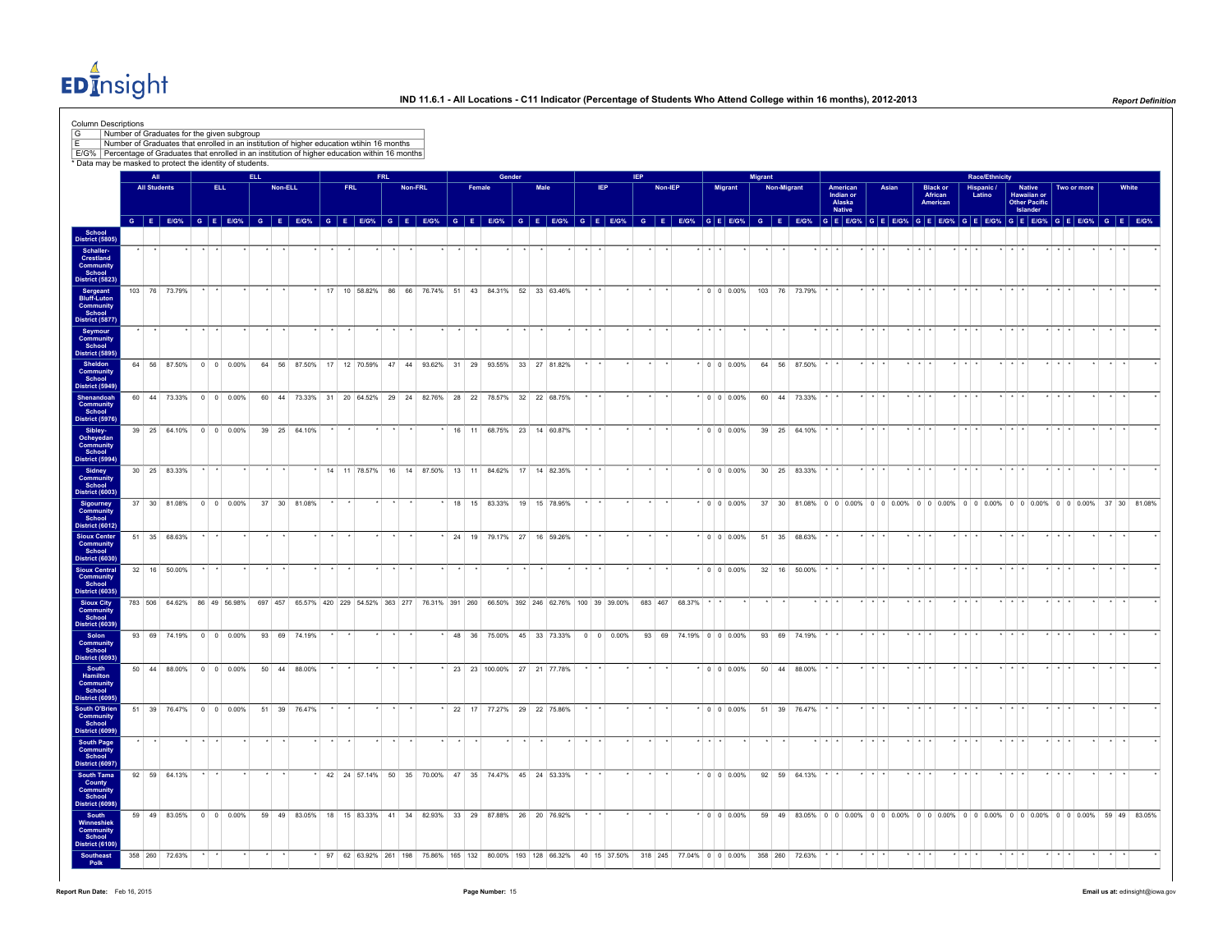

| Column Descriptions<br>Number of Graduates for the given subgroup<br>E/G% Percentage of Graduates that enrolled in an institution of higher education within 16 months<br>* Data may be masked to protect the identity of students. |                     | Number of Graduates that enrolled in an institution of higher education wtihin 16 months                                            |      |                    |      |         |              |  |            |            |         |  |    |        |        |      |                                                                        |  |            |            |         |                          |                   |                    |         |             |               |                                                  |                         |       |                         |                                        |                 |                      |                       |                         |                                               |           |             |               |                                                                                                                         |
|-------------------------------------------------------------------------------------------------------------------------------------------------------------------------------------------------------------------------------------|---------------------|-------------------------------------------------------------------------------------------------------------------------------------|------|--------------------|------|---------|--------------|--|------------|------------|---------|--|----|--------|--------|------|------------------------------------------------------------------------|--|------------|------------|---------|--------------------------|-------------------|--------------------|---------|-------------|---------------|--------------------------------------------------|-------------------------|-------|-------------------------|----------------------------------------|-----------------|----------------------|-----------------------|-------------------------|-----------------------------------------------|-----------|-------------|---------------|-------------------------------------------------------------------------------------------------------------------------|
|                                                                                                                                                                                                                                     | <b>All</b>          |                                                                                                                                     |      |                    | ELL. |         |              |  |            | <b>FRL</b> |         |  |    |        | Gender |      |                                                                        |  |            | <b>IEP</b> |         |                          |                   |                    | Migrant |             |               |                                                  |                         |       |                         |                                        |                 |                      | <b>Race/Ethnicity</b> |                         |                                               |           |             |               |                                                                                                                         |
|                                                                                                                                                                                                                                     | <b>All Students</b> |                                                                                                                                     | ELL. |                    |      | Non-ELL |              |  | <b>FRL</b> |            | Non-FRL |  |    | Female |        | Male |                                                                        |  | <b>IEP</b> |            | Non-IEP |                          |                   | <b>Migrant</b>     |         | Non-Migrant |               | American<br>Indian or<br>Alaska<br><b>Native</b> |                         | Asian |                         | <b>Black or</b><br>African<br>American |                 | Hispanic /<br>Latino |                       | Islander                | <b>Native</b><br>Hawaiian or<br>Other Pacific |           | Two or more |               | White                                                                                                                   |
| School<br>District (5805                                                                                                                                                                                                            |                     |                                                                                                                                     |      |                    |      |         |              |  |            |            |         |  |    |        |        |      |                                                                        |  |            |            |         |                          |                   |                    |         |             |               |                                                  |                         |       |                         |                                        |                 |                      |                       |                         |                                               |           |             |               | GEEOS GEEOS GEEOS GEEOS GEEOS GEEOS GEEOS GEEOS GEEOS GEEOS GEEOS GEEOS GEEOS GEEOS GEEOS GEEOS GEEOS GEEOS GEEOS GEEOS |
| Schaller-<br>Crestland                                                                                                                                                                                                              |                     |                                                                                                                                     |      |                    |      |         |              |  |            |            |         |  |    |        |        |      |                                                                        |  |            |            |         |                          |                   |                    |         |             |               |                                                  |                         |       |                         |                                        |                 |                      |                       |                         |                                               |           |             |               |                                                                                                                         |
| Community<br>School<br>District (5823)<br>Sergeant<br>Bluff-Luton                                                                                                                                                                   |                     | 103 76 73.79%                                                                                                                       |      |                    |      |         |              |  |            |            |         |  |    |        |        |      | 17 10 58.82% 86 66 76.74% 51 43 84.31% 52 33 63.46%                    |  |            |            |         |                          | $*$ 0 0 0.00%     |                    |         |             | 103 76 73.79% |                                                  | $\cdot$ $\cdot$ $\cdot$ |       |                         |                                        |                 |                      |                       |                         |                                               |           |             |               |                                                                                                                         |
| Community<br>School<br>District (5877)                                                                                                                                                                                              |                     |                                                                                                                                     |      |                    |      |         |              |  |            |            |         |  |    |        |        |      |                                                                        |  |            |            |         |                          |                   |                    |         |             |               |                                                  |                         |       |                         |                                        |                 |                      |                       |                         |                                               |           |             |               |                                                                                                                         |
| Seymour<br>Community<br>School<br>District (5895                                                                                                                                                                                    |                     |                                                                                                                                     |      |                    |      |         |              |  |            |            |         |  |    |        |        |      |                                                                        |  |            |            |         |                          |                   |                    |         |             |               |                                                  |                         |       |                         |                                        |                 |                      |                       |                         |                                               |           |             |               |                                                                                                                         |
| Sheldon<br>Community<br>School<br>District (5949)                                                                                                                                                                                   |                     | 64 56 87.50% 0 0 0.00%                                                                                                              |      |                    |      |         |              |  |            |            |         |  |    |        |        |      | 64 56 87.50% 17 12 70.59% 47 44 93.62% 31 29 93.55% 33 27 81.82%       |  |            |            |         |                          | $*$ 0 0 0.00%     |                    |         |             | 64 56 87.50%  |                                                  | $\cdot$ $\cdot$ $\cdot$ |       | $+ + + +$               |                                        | $\cdot$ $\cdot$ |                      |                       |                         |                                               |           |             |               |                                                                                                                         |
| Shenandoah<br>Community                                                                                                                                                                                                             |                     | 60 44 73.33% 0 0 0.00%                                                                                                              |      |                    |      |         |              |  |            |            |         |  |    |        |        |      | 60 44 73.33% 31 20 64.52% 29 24 82.76% 28 22 78.57% 32 22 68.75%       |  |            |            |         |                          | $\cdot$ 0 0 0.00% |                    |         |             | 60 44 73.33%  |                                                  |                         |       | $+$ $+$ $+$             |                                        |                 |                      |                       |                         |                                               |           |             |               |                                                                                                                         |
| School<br>District (5976)<br>Sibley-<br>Ocheyedan<br>Community<br>School<br>District (5994)                                                                                                                                         |                     | 39 25 64.10% 0 0 0.00%                                                                                                              |      |                    |      |         | 39 25 64.10% |  |            |            |         |  |    |        |        |      | 16 11 68.75% 23 14 60.87%                                              |  |            |            |         |                          | $*$ 0 0 0.00%     |                    |         |             | 39 25 64.10%  |                                                  |                         |       | $\star$ $\star$ $\star$ |                                        |                 |                      |                       |                         |                                               |           |             |               |                                                                                                                         |
|                                                                                                                                                                                                                                     |                     |                                                                                                                                     |      |                    |      |         |              |  |            |            |         |  |    |        |        |      |                                                                        |  |            |            |         |                          |                   |                    |         |             |               |                                                  | $\cdot$ $\cdot$ $\cdot$ |       | $+$ $+$ $+$             |                                        | $+$ $+$ $+$     |                      |                       | $\star$ $\star$ $\star$ |                                               | $+ + + +$ |             | $\rightarrow$ |                                                                                                                         |
| Sidney<br>Community<br>School<br><b>District (6003)</b>                                                                                                                                                                             |                     | 30 25 83.33%                                                                                                                        |      |                    |      |         |              |  |            |            |         |  |    |        |        |      | * 14 11 78.57% 16 14 87.50% 13 11 84.62% 17 14 82.35%                  |  |            |            |         |                          | $*$ 0 0 0.00%     |                    |         |             | 30 25 83.33%  |                                                  |                         |       |                         |                                        |                 |                      |                       |                         |                                               |           |             |               |                                                                                                                         |
| Sigourney<br>Community<br>School<br><b>District (6012)</b>                                                                                                                                                                          |                     | 37 30 81.08%                                                                                                                        |      | $0 \t 0 \t 0.00\%$ |      |         | 37 30 81.08% |  |            |            |         |  | 18 | 15     |        |      | 83.33% 19 15 78.95%                                                    |  |            |            |         |                          | $*$ 0 0 0.00%     |                    |         |             |               |                                                  |                         |       |                         |                                        |                 |                      |                       |                         |                                               |           |             |               | 37 30 81.08% 0 0 0.00% 0 0 0.00% 0 0 0.00% 0 0 0.00% 0 0 0.00% 0 0 0.00% 37 30 81.08%                                   |
| <b>Sioux Center</b><br><b>Community</b><br>School<br><b>District (6030)</b>                                                                                                                                                         |                     | 51 35 68.63%                                                                                                                        |      |                    |      |         |              |  |            |            |         |  |    |        |        |      | * 24 19 79.17% 27 16 59.26%                                            |  |            |            |         |                          | $\cdot$ 0 0 0.00% |                    |         |             | 51 35 68.63%  |                                                  |                         |       |                         |                                        |                 |                      |                       |                         |                                               |           |             |               |                                                                                                                         |
| <b>Sioux Central</b><br>Community<br>School<br><b>District (6035)</b>                                                                                                                                                               |                     | 32 16 50.00%                                                                                                                        |      |                    |      |         |              |  |            |            |         |  |    |        |        |      |                                                                        |  |            |            |         |                          |                   | $0 \t 0 \t 0.00\%$ |         |             | 32 16 50.00%  |                                                  |                         |       |                         |                                        |                 |                      |                       |                         |                                               |           |             |               |                                                                                                                         |
| <b>Sioux City</b><br>Community<br>School                                                                                                                                                                                            |                     | 783 506 64.62% 86 49 56.98% 697 457 65.57% 420 229 54.52% 363 277 76.31% 391 260 66.50% 392 246 62.76% 100 39 39.00% 683 467 68.37% |      |                    |      |         |              |  |            |            |         |  |    |        |        |      |                                                                        |  |            |            |         |                          |                   |                    |         |             |               |                                                  |                         |       | $+$ $+$ $+$             |                                        |                 |                      |                       |                         |                                               |           |             |               |                                                                                                                         |
| District (6039<br>Solon<br>Community<br>School                                                                                                                                                                                      |                     | 93 69 74.19% 0 0 0.00%                                                                                                              |      |                    |      |         | 93 69 74.19% |  |            |            |         |  |    |        |        |      | 48 36 75.00% 45 33 73.33% 0 0 0.00%                                    |  |            |            |         | 93 69 74.19% 0 0 0.00%   |                   |                    |         |             | 93 69 74.19%  |                                                  |                         |       |                         |                                        |                 |                      |                       |                         |                                               |           |             |               |                                                                                                                         |
| District (6093)<br>South<br>Hamilton<br>Community                                                                                                                                                                                   |                     | 50 44 88.00% 0 0 0.00%                                                                                                              |      |                    |      |         | 50 44 88.00% |  |            |            |         |  |    |        |        |      | * 23 23 100.00% 27 21 77.78%                                           |  |            |            |         |                          |                   | $0 \t0 \t0.00\%$   |         |             | 50 44 88.00%  |                                                  |                         |       |                         |                                        |                 |                      |                       |                         |                                               |           |             |               |                                                                                                                         |
| School<br>District (6095)                                                                                                                                                                                                           |                     |                                                                                                                                     |      |                    |      |         |              |  |            |            |         |  |    |        |        |      |                                                                        |  |            |            |         |                          | $\cdot$ 0 0 0.00% |                    |         |             |               |                                                  |                         |       |                         |                                        |                 |                      |                       |                         |                                               |           |             |               |                                                                                                                         |
| South O'Brien<br>Community<br>School<br>District (6099                                                                                                                                                                              |                     | 51 39 76.47% 0 0 0.00%                                                                                                              |      |                    |      |         | 51 39 76.47% |  |            |            |         |  |    |        |        |      | * 22 17 77.27% 29 22 75.86%                                            |  |            |            |         |                          |                   |                    |         |             | 51 39 76.47%  |                                                  |                         |       |                         |                                        |                 |                      |                       |                         |                                               |           |             |               |                                                                                                                         |
| South Page<br>Community<br>School<br><b>District (6097)</b>                                                                                                                                                                         |                     |                                                                                                                                     |      |                    |      |         |              |  |            |            |         |  |    |        |        |      |                                                                        |  |            |            |         |                          |                   |                    |         |             |               |                                                  |                         |       |                         |                                        |                 |                      |                       |                         |                                               |           |             |               |                                                                                                                         |
| South Tama<br>County<br>Community<br>School                                                                                                                                                                                         |                     | 92 59 64.13%                                                                                                                        |      |                    |      |         |              |  |            |            |         |  |    |        |        |      | 42 24 57.14% 50 35 70.00% 47 35 74.47% 45 24 53.33%                    |  |            |            |         |                          | $*$ 0 0 0.00%     |                    |         |             | 92 59 64.13%  |                                                  |                         |       |                         |                                        |                 |                      |                       |                         |                                               |           |             |               |                                                                                                                         |
| <b>District (6098)</b><br>South<br>Winneshiek                                                                                                                                                                                       |                     | 59 49 83.05%                                                                                                                        |      | $0 \t 0 \t 0.00\%$ |      |         |              |  |            |            |         |  |    |        |        |      | 59 49 83.05% 18 15 83.33% 41 34 82.93% 33 29 87.88% 26 20 76.92%       |  |            |            |         |                          | $*$ 0 0 0.00%     |                    |         |             |               |                                                  |                         |       |                         |                                        |                 |                      |                       |                         |                                               |           |             |               | 59 49 83.05% 0 0 0.00% 0 0 0.00% 0 0 0.00% 0 0 0.00% 0 0 0.00% 0 0 0.00% 59 49 83.05%                                   |
| Community<br>School<br><b>District (6100)</b>                                                                                                                                                                                       |                     |                                                                                                                                     |      |                    |      |         |              |  |            |            |         |  |    |        |        |      | 97 62 63.92% 261 198 75.86% 165 132 80.00% 193 128 66.32% 40 15 37.50% |  |            |            |         | 318 245 77 04% 0 0 0 00% |                   |                    | 358 260 |             | 72 63%        |                                                  |                         |       |                         |                                        |                 |                      |                       |                         |                                               |           |             |               |                                                                                                                         |
| Southeast<br>Polk                                                                                                                                                                                                                   |                     | 358 260 72.63%                                                                                                                      |      |                    |      |         |              |  |            |            |         |  |    |        |        |      |                                                                        |  |            |            |         |                          |                   |                    |         |             |               |                                                  |                         |       |                         |                                        |                 |                      |                       |                         |                                               |           |             |               |                                                                                                                         |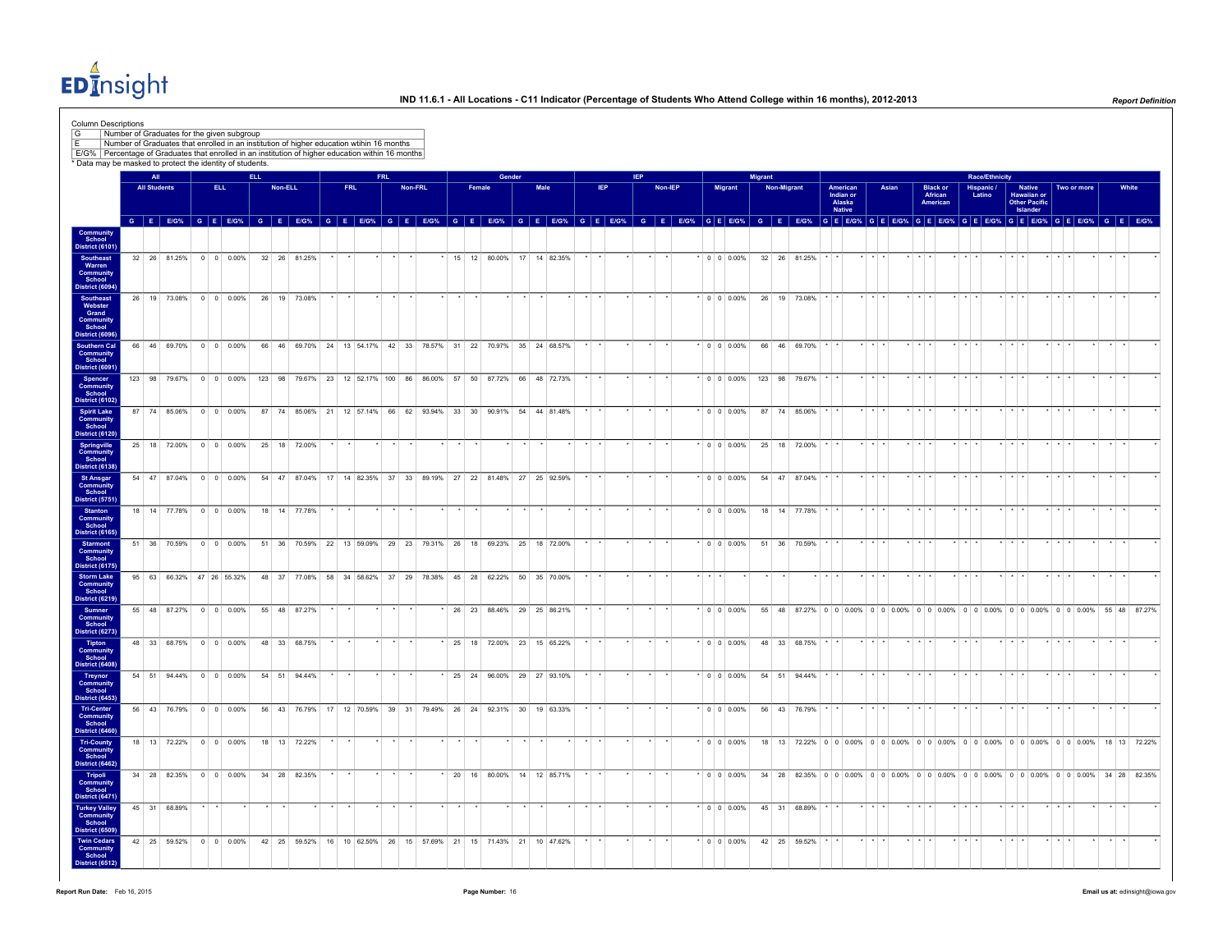EDInsight

| E/G%   Percentage of Graduates that enrolled in an institution of higher education within 16 months<br>* Data may be masked to protect the identity of students. | Number of Graduates for the given subgroup<br>Number of Graduates that enrolled in an institution of higher education wtihin 16 months |                     |                           |                          |            |         |                                                                                              |     |            |         |                                        |  |        |                             |      |  |                 |            |         |  |                   |         |                    |                                                                                                                                                                                                                               |                                                  |                         |       |                         |                                         |                         |        |                |                         |                                                    |                         |             |                      |                             |       |  |
|------------------------------------------------------------------------------------------------------------------------------------------------------------------|----------------------------------------------------------------------------------------------------------------------------------------|---------------------|---------------------------|--------------------------|------------|---------|----------------------------------------------------------------------------------------------|-----|------------|---------|----------------------------------------|--|--------|-----------------------------|------|--|-----------------|------------|---------|--|-------------------|---------|--------------------|-------------------------------------------------------------------------------------------------------------------------------------------------------------------------------------------------------------------------------|--------------------------------------------------|-------------------------|-------|-------------------------|-----------------------------------------|-------------------------|--------|----------------|-------------------------|----------------------------------------------------|-------------------------|-------------|----------------------|-----------------------------|-------|--|
|                                                                                                                                                                  |                                                                                                                                        | All                 |                           |                          | <b>ELL</b> |         |                                                                                              |     | <b>FRL</b> |         |                                        |  |        | Gender                      |      |  |                 | <b>IFP</b> |         |  |                   | Migrant |                    |                                                                                                                                                                                                                               |                                                  |                         |       |                         |                                         |                         |        | Race/Ethnicity |                         |                                                    |                         |             |                      |                             |       |  |
|                                                                                                                                                                  |                                                                                                                                        | <b>All Students</b> |                           | ELL.                     |            | Non-ELL |                                                                                              | FRL |            | Non-FRL |                                        |  | Female |                             | Male |  | IEP             |            | Non-IEP |  | Migrant           |         | <b>Non-Migrant</b> |                                                                                                                                                                                                                               | American<br>Indian or<br>Alaska<br><b>Native</b> |                         | Asian |                         | <b>Black or<br/>African</b><br>American |                         | Latino | Hispanic /     |                         | Native<br>Hawaiian or<br>Other Pacific<br>Islander |                         | Two or more |                      |                             | White |  |
| Community<br>School                                                                                                                                              |                                                                                                                                        |                     |                           |                          |            |         |                                                                                              |     |            |         |                                        |  |        |                             |      |  |                 |            |         |  |                   |         |                    | G E EIG% G E EIG% G E E EIG% G E EIG% G E EIG% G E EIG% G E EIG% G E EIG% G E EIG% G E EIG% G E EIG% G E EIG% G E EIG% G E EIG% G E EIG% G E EIG% G E EIG% G E EIG% G E EIG% G E EIG% G E EIG% G E EIG% G E EIG% G E EIG% G E |                                                  |                         |       |                         |                                         |                         |        |                |                         |                                                    |                         |             |                      |                             |       |  |
| District (6101)<br>Southeast<br>Warren<br>Community<br>School<br>District (6094)                                                                                 |                                                                                                                                        |                     | 32 26 81.25% 0 0 0.00%    |                          |            |         | 32 26 81.25%                                                                                 |     |            |         |                                        |  |        | * 15 12 80.00% 17 14 82.35% |      |  |                 |            | $\star$ |  | $\cdot$ 0 0 0.00% |         |                    | 32 26 81.25%                                                                                                                                                                                                                  |                                                  | $\cdot$ $\cdot$ $\cdot$ |       | $+ + + +$               |                                         | $+$ $+$ $+$             |        |                | $+ + +$                 |                                                    | $+ + + +$               |             | $\ddot{\phantom{1}}$ | $\cdot$ $\cdot$             |       |  |
| <b>Southeast</b><br>Webster<br>Grand<br>Community<br>School<br>District (6096                                                                                    |                                                                                                                                        |                     | 26 19 73.08% 0 0 0.00%    |                          |            |         | 26 19 73.08%                                                                                 |     |            |         |                                        |  |        |                             |      |  |                 |            |         |  | $* 0 0 0.00%$     |         |                    | 26 19 73.08%                                                                                                                                                                                                                  |                                                  |                         |       | $\star$ $\star$ $\star$ |                                         | $+$ $+$                 |        |                | $\star$ $\star$ $\star$ |                                                    | $+$ $+$ $+$             |             |                      | $\cdot$ $\cdot$             |       |  |
| <b>Southern Cal</b><br><b>Community</b><br>School<br>District (6091)                                                                                             |                                                                                                                                        |                     | 66 46 69.70% 0 0 0.00%    |                          |            |         | 66 46 69.70% 24 13 54.17% 42 33 78.57% 31 22 70.97% 35 24 68.57%                             |     |            |         |                                        |  |        |                             |      |  | $\star$ $\star$ |            |         |  | $* 0 0 0.00%$     |         |                    | 66 46 69.70% * *                                                                                                                                                                                                              |                                                  | $\star$ $\star$ $\star$ |       | $\star$ $\star$ $\star$ |                                         | $\star$ $\star$ $\star$ |        |                | $\star$ $\star$ $\star$ |                                                    | $\star$ $\star$ $\star$ |             | $\cdot$              | $\star$ $\star$             |       |  |
| Spencer<br>Community<br>School<br><b>District (6102)</b>                                                                                                         |                                                                                                                                        |                     |                           |                          |            |         | 123 98 79.67% 0 0 0 0.00% 123 98 79.67% 23 12 52.17% 100 86 86.00% 57 50 87.72% 66 48 72.73% |     |            |         |                                        |  |        |                             |      |  |                 |            |         |  |                   |         |                    | $*$ 0 0 0.00% 123 98 79.67%                                                                                                                                                                                                   |                                                  | $\cdot$ $\cdot$         |       | $*$ $*$ $*$             |                                         | $+$ $+$                 |        |                | $*$ $*$ $*$             |                                                    | $+ + + +$               |             |                      | $\cdot$ $\cdot$             |       |  |
| <b>Spirit Lake</b><br>Community<br>School<br><b>District (6120)</b>                                                                                              |                                                                                                                                        |                     | 87 74 85.06% 0 0 0.00%    |                          |            |         | 87 74 85.06% 21 12 57.14% 66 62 93.94% 33 30 90.91% 54 44 81.48%                             |     |            |         |                                        |  |        |                             |      |  |                 |            |         |  | $\cdot$ 0 0 0.00% |         |                    | 87 74 85.06%                                                                                                                                                                                                                  |                                                  |                         |       | $+ + +$                 |                                         |                         |        |                | $\cdot$ $\cdot$         |                                                    |                         |             |                      | $\cdot$ $\cdot$             |       |  |
| Springville<br>Community<br>School<br>District (6138)                                                                                                            |                                                                                                                                        |                     | 25 18 72.00% 0 0 0.00%    |                          |            |         | 25 18 72.00%                                                                                 |     |            |         |                                        |  |        |                             |      |  |                 |            |         |  | $* 0 0 0.00%$     |         |                    | 25 18 72.00%                                                                                                                                                                                                                  |                                                  |                         |       | $+ + +$                 |                                         | $-1$                    |        |                | $+ + +$                 |                                                    | $+$ $+$ $+$             |             |                      | $\rightarrow$ $\rightarrow$ |       |  |
| <b>St Ansgar</b><br><b>Community</b><br>School<br>District (5751)                                                                                                |                                                                                                                                        |                     | 54 47 87.04% 0 0 0.00%    |                          |            |         | 54 47 87.04% 17 14 82.35% 37 33 89.19% 27 22 81.48% 27 25 92.59%                             |     |            |         |                                        |  |        |                             |      |  |                 |            |         |  | $0 \t0 \t0.00\%$  |         |                    | 54 47 87.04%                                                                                                                                                                                                                  |                                                  |                         |       | . .                     |                                         |                         |        |                |                         |                                                    |                         |             |                      |                             |       |  |
| <b>Stanton</b><br><b>Community</b><br>School<br>District (6165)                                                                                                  |                                                                                                                                        |                     | 18 14 77.78% 0 0 0.00%    |                          |            |         | 18 14 77.78%                                                                                 |     |            |         |                                        |  |        |                             |      |  |                 |            |         |  | $* 0 0 0.00%$     |         |                    | 18  14  77.78%                                                                                                                                                                                                                |                                                  |                         |       |                         |                                         |                         |        |                |                         |                                                    |                         |             |                      | $\cdot$ $\cdot$             |       |  |
| <b>Starmont</b><br>Community<br>School<br>District (6175)                                                                                                        |                                                                                                                                        |                     | 51 36 70 59%              | $0 \quad 0 \quad 0.00\%$ |            |         | 51 36 70.59% 22 13 59.09%                                                                    |     |            |         | 29 23 79 31% 26 18 69 23% 25 18 72 00% |  |        |                             |      |  |                 |            |         |  | 0 0 0 0 0 %       |         |                    | 51 36 70.59%                                                                                                                                                                                                                  |                                                  |                         |       |                         |                                         |                         |        |                |                         |                                                    |                         |             |                      |                             |       |  |
| <b>Storm Lake</b><br><b>Community</b><br>School<br>District (6219)                                                                                               |                                                                                                                                        |                     | 95 63 66.32% 47 26 55.32% |                          |            |         | 48 37 77.08% 58 34 58.62% 37 29 78.38% 45 28 62.22% 50 35 70.00%                             |     |            |         |                                        |  |        |                             |      |  |                 |            |         |  |                   |         |                    |                                                                                                                                                                                                                               |                                                  |                         |       |                         |                                         |                         |        |                |                         |                                                    |                         |             |                      |                             |       |  |
| <b>Sumner</b><br>Community<br>School<br>District (6273)                                                                                                          |                                                                                                                                        |                     | 55 48 87.27% 0 0 0.00%    |                          |            |         | 55 48 87.27%                                                                                 |     |            |         |                                        |  |        | 26 23 88.46% 29 25 86.21%   |      |  |                 |            |         |  | $*$ 0 0 0.00%     |         |                    | 55 48 87.27% 0 0 0.00% 0 0 0.00% 0 0 0.00% 0 0 0.00% 0 0 0.00% 0 0 0.00% 55 48 87.27%                                                                                                                                         |                                                  |                         |       |                         |                                         |                         |        |                |                         |                                                    |                         |             |                      |                             |       |  |
| <b>Tipton</b><br>Community<br>School<br>District (6408)                                                                                                          |                                                                                                                                        |                     | 48 33 68.75% 0 0 0.00%    |                          |            |         | 48 33 68.75%                                                                                 |     |            |         |                                        |  |        | * 25 18 72.00% 23 15 65.22% |      |  |                 |            |         |  | $*$ 0 0 0.00%     |         |                    | 48 33 68.75%                                                                                                                                                                                                                  |                                                  |                         |       |                         |                                         |                         |        |                |                         |                                                    |                         |             |                      |                             |       |  |
| Treynor<br>Community<br>School<br>District (6453)                                                                                                                |                                                                                                                                        |                     | 54 51 94.44% 0 0 0.00%    |                          |            |         | 54 51 94.44%                                                                                 |     |            |         |                                        |  |        | 25 24 96.00% 29 27 93.10%   |      |  |                 |            |         |  | $\cdot$ 0 0 0.00% |         |                    | 54 51 94.44%                                                                                                                                                                                                                  |                                                  |                         |       |                         |                                         |                         |        |                |                         |                                                    |                         |             |                      |                             |       |  |
| Tri-Center<br><b>Community</b><br>School<br>District (6460                                                                                                       |                                                                                                                                        |                     | 56 43 76.79% 0 0 0.00%    |                          |            |         | 56 43 76.79% 17 12 70.59% 39 31 79.49% 26 24 92.31% 30 19 63.33%                             |     |            |         |                                        |  |        |                             |      |  |                 |            |         |  | $*$ 0 0 0.00%     |         |                    | 56 43 76.79%                                                                                                                                                                                                                  |                                                  |                         |       |                         |                                         |                         |        |                |                         |                                                    |                         |             |                      |                             |       |  |
| <b>Tri-County</b><br>Community<br>School<br><b>District (6462)</b>                                                                                               |                                                                                                                                        |                     | 18 13 72.22% 0 0 0.00%    |                          |            |         | 18  13  72.22%                                                                               |     |            |         |                                        |  |        |                             |      |  |                 |            |         |  | $*$ 0 0 0.00%     |         |                    | 18 13 72.22% 0 0 0.00% 0 0 0.00% 0 0 0.00% 0 0 0.00% 0 0 0.00% 0 0 0.00% 18 13 72.22%                                                                                                                                         |                                                  |                         |       |                         |                                         |                         |        |                |                         |                                                    |                         |             |                      |                             |       |  |
| Tripoli<br>Community<br>School<br>District (6471)                                                                                                                |                                                                                                                                        |                     | 34 28 82.35% 0 0 0.00%    |                          |            |         | 34 28 82.35%                                                                                 |     |            |         |                                        |  |        | * 20 16 80.00% 14 12 85.71% |      |  |                 |            |         |  | $*$ 0 0 0.00%     |         |                    | 34 28 82.35% 0 0 0 0.00% 0 0 0.00% 0 0 0.00% 0 0 0.00% 0 0 0.00% 0 0 0.00% 34 28 82.35%                                                                                                                                       |                                                  |                         |       |                         |                                         |                         |        |                |                         |                                                    |                         |             |                      |                             |       |  |
| <b>Turkey Valley</b><br>Community<br>School<br>District (6509                                                                                                    |                                                                                                                                        |                     | 45 31 68.89%              |                          |            |         |                                                                                              |     |            |         |                                        |  |        |                             |      |  |                 |            |         |  | $* 0 0 0.00%$     |         |                    | 45 31 68.89%                                                                                                                                                                                                                  |                                                  |                         |       |                         |                                         |                         |        |                |                         |                                                    |                         |             |                      |                             |       |  |
| <b>Twin Cedars</b><br><b>Community</b><br>School<br>District (6512)                                                                                              |                                                                                                                                        |                     | 42 25 59.52% 0 0 0.00%    |                          |            |         | 42 25 59.52% 16 10 62.50% 26 15 57.69% 21 15 71.43% 21 10 47.62%                             |     |            |         |                                        |  |        |                             |      |  |                 |            |         |  | $*$ 0 0 0.00%     |         |                    | 42 25 59.52%                                                                                                                                                                                                                  |                                                  |                         |       |                         |                                         |                         |        |                |                         |                                                    |                         |             |                      |                             |       |  |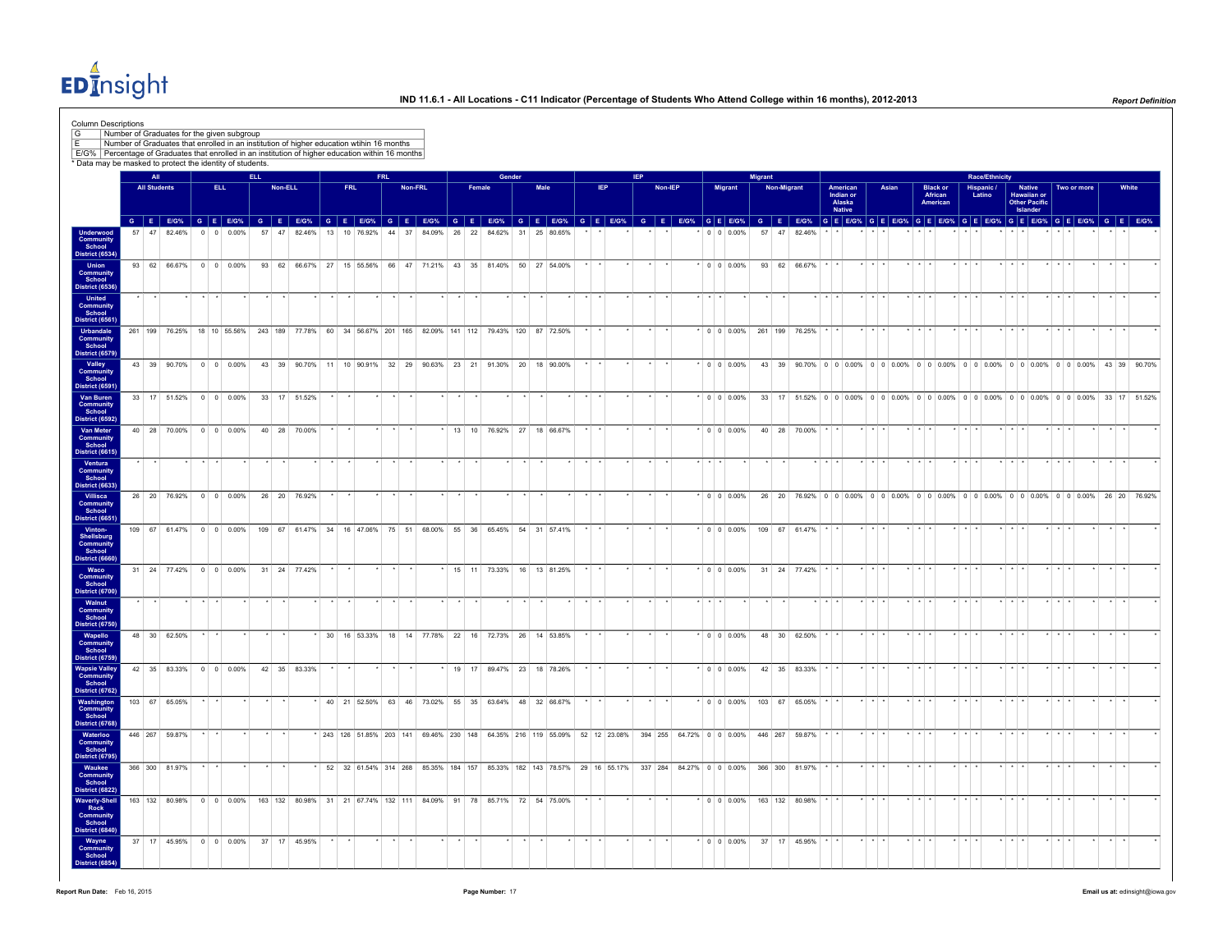EDInsight

|                                                                       | Number of Graduates for the given subgroup<br>Number of Graduates that enrolled in an institution of higher education wtihin 16 months<br>E/G% Percentage of Graduates that enrolled in an institution of higher education within 16 months |                     |                 |                                                          |            |         |              |                 |            |           |            |         |  |                                                                                                                    |        |      |  |     |            |         |  |                     |                |             |                                                                                                                                                                                                                                          |                                                  |         |       |                         |                                        |                         |                      |                         |                                                           |                         |             |        |                 |  |
|-----------------------------------------------------------------------|---------------------------------------------------------------------------------------------------------------------------------------------------------------------------------------------------------------------------------------------|---------------------|-----------------|----------------------------------------------------------|------------|---------|--------------|-----------------|------------|-----------|------------|---------|--|--------------------------------------------------------------------------------------------------------------------|--------|------|--|-----|------------|---------|--|---------------------|----------------|-------------|------------------------------------------------------------------------------------------------------------------------------------------------------------------------------------------------------------------------------------------|--------------------------------------------------|---------|-------|-------------------------|----------------------------------------|-------------------------|----------------------|-------------------------|-----------------------------------------------------------|-------------------------|-------------|--------|-----------------|--|
|                                                                       | * Data may be masked to protect the identity of students.                                                                                                                                                                                   | All                 |                 |                                                          | <b>ELL</b> |         |              |                 |            |           | <b>FRL</b> |         |  |                                                                                                                    | Gender |      |  |     | <b>IEP</b> |         |  |                     | <b>Migrant</b> |             |                                                                                                                                                                                                                                          |                                                  |         |       |                         |                                        |                         | Race/Ethnicity       |                         |                                                           |                         |             |        |                 |  |
|                                                                       |                                                                                                                                                                                                                                             | <b>All Students</b> |                 | ELL.                                                     |            | Non-ELL |              |                 | <b>FRL</b> |           |            | Non-FRL |  | Female                                                                                                             |        | Male |  | IEP |            | Non-IEP |  | <b>Migrant</b>      |                | Non-Migrant |                                                                                                                                                                                                                                          | American<br>Indian or<br>Alaska<br><b>Native</b> |         | Asian |                         | <b>Black or</b><br>African<br>American |                         | Hispanic /<br>Latino |                         | <b>Native</b><br>Hawaiian or<br>Other Pacific<br>Islander |                         | Two or more |        | White           |  |
| Underwood<br>Community<br>School<br>District (6534)                   | 57                                                                                                                                                                                                                                          | 47 82.46%           |                 | $0 \quad 0 \quad 0.00\%$                                 |            | 57      | 47 82.46%    | 13              |            | 10 76.92% | 44 37      |         |  | 84.09% 26 22 84.62% 31 25 80.65%                                                                                   |        |      |  |     |            |         |  | 0 0 0.00%           | 57 47          |             | G E EIG% G E EIG% G E EIG% G E EIG% G E EIG% G E EIG% G E EIG% G E EIG% G E EIG% G E EIG% G E EIG% G E EIG% G E EIG% G E EIG% G E EIG% G E EIG% G E EIG% G E EIG% G E EIG% G E EIG% G E EIG% G E EIG% G E EIG% G E EIG% G E EI<br>82.46% |                                                  |         |       |                         |                                        |                         |                      |                         |                                                           |                         |             |        |                 |  |
| <b>Union</b><br>Community<br>School                                   |                                                                                                                                                                                                                                             |                     |                 | 93 62 66.67% 0 0 0.00%                                   |            |         |              |                 |            |           |            |         |  | 93 62 66.67% 27 15 55.56% 66 47 71.21% 43 35 81.40% 50 27 54.00%                                                   |        |      |  |     |            |         |  | 0 0 0 0 0 0 %       |                |             | 93 62 66.67%                                                                                                                                                                                                                             |                                                  |         |       |                         |                                        |                         |                      |                         |                                                           |                         |             |        |                 |  |
| District (6536)<br><b>United</b><br>Community<br>School               |                                                                                                                                                                                                                                             |                     |                 |                                                          |            |         |              |                 |            |           |            |         |  |                                                                                                                    |        |      |  |     |            |         |  |                     |                |             |                                                                                                                                                                                                                                          |                                                  |         |       |                         |                                        |                         |                      |                         |                                                           |                         |             |        |                 |  |
| <b>District (6561)</b><br>Urbandale<br><b>Community</b><br>School     |                                                                                                                                                                                                                                             |                     |                 |                                                          |            |         |              |                 |            |           |            |         |  | 261 199 76.25% 18 10 55.56% 243 189 77.78% 60 34 56.67% 201 165 82.09% 141 112 79.43% 120 87 72.50%                |        |      |  |     |            |         |  |                     |                |             | $*$ 0 0 0.00% 261 199 76.25%                                                                                                                                                                                                             |                                                  |         |       | $+ + +$                 |                                        |                         |                      |                         |                                                           |                         |             |        | $\cdot$ $\cdot$ |  |
| <b>District (6579)</b><br>Valley<br>Community<br>School               |                                                                                                                                                                                                                                             |                     |                 | 43 39 90.70% 0 0 0.00%                                   |            |         |              |                 |            |           |            |         |  | 43 39 90.70% 11 10 90.91% 32 29 90.63% 23 21 91.30% 20 18 90.00%                                                   |        |      |  |     |            |         |  | $*$ 0 0 0.00%       |                |             | 43 39 90.70% 0 0 0.00% 0 0 0.00% 0 0 0.00% 0 0 0.00% 0 0 0.00% 0 0 0.00% 43 39 90.70%                                                                                                                                                    |                                                  |         |       |                         |                                        |                         |                      |                         |                                                           |                         |             |        |                 |  |
| District (6591<br>Van Buren<br><b>Community</b>                       |                                                                                                                                                                                                                                             |                     |                 | 33 17 51.52% 0 0 0.00% 33 17 51.52%                      |            |         |              |                 |            |           |            |         |  |                                                                                                                    |        |      |  |     |            |         |  | $\cdot$ 0 0 0.00%   |                |             | 33 17 51.52% 0 0 0.00% 0 0 0.00% 0 0 0.00% 0 0 0.00% 0 0 0.00% 0 0 0.00% 33 17 51.52%                                                                                                                                                    |                                                  |         |       |                         |                                        |                         |                      |                         |                                                           |                         |             |        |                 |  |
| School<br>District (6592)<br>Van Meter<br>Community<br>School         |                                                                                                                                                                                                                                             |                     |                 | 40 28 70.00% 0 0 0.00%                                   |            |         | 40 28 70.00% |                 |            |           |            |         |  | $*$ 13 10 76.92% 27 18 66.67%                                                                                      |        |      |  |     |            |         |  | $\cdot$ 0 0 0.00%   |                |             | 40 28 70.00%                                                                                                                                                                                                                             |                                                  |         |       |                         |                                        |                         |                      |                         |                                                           |                         |             | $\sim$ | $\rightarrow$   |  |
| District (6615)<br>Ventura<br>Community<br>School                     |                                                                                                                                                                                                                                             |                     |                 |                                                          |            |         |              |                 |            |           |            |         |  |                                                                                                                    |        |      |  |     |            |         |  |                     |                |             |                                                                                                                                                                                                                                          |                                                  |         |       |                         |                                        |                         |                      |                         |                                                           |                         |             |        |                 |  |
| <b>District (6633)</b><br>Villisca<br><b>Community</b>                |                                                                                                                                                                                                                                             | 26 20 76.92%        |                 | $0 \t 0 \t 0.00\%$                                       |            |         | 26 20 76.92% |                 |            |           |            |         |  |                                                                                                                    |        |      |  |     |            |         |  | $* 0 0 0.00%$       |                |             | 26 20 76.92% 0 0 0.00% 0 0 0.00% 0 0 0.00% 0 0 0.00% 0 0 0.00% 0 0 0.00% 26 20 76.92%                                                                                                                                                    |                                                  |         |       |                         |                                        |                         |                      |                         |                                                           |                         |             |        |                 |  |
| School<br>District (6651)<br>Vinton-<br>Shellsburg<br>Community       |                                                                                                                                                                                                                                             |                     |                 | 109 67 61.47% 0 0 0.00%                                  |            |         |              |                 |            |           |            |         |  | 109 67 61.47% 34 16 47.06% 75 51 68.00% 55 36 65.45% 54 31 57.41%                                                  |        |      |  |     |            |         |  | $\cdot$ 0 0 0.00%   |                |             | 109 67 61.47%                                                                                                                                                                                                                            |                                                  |         |       |                         |                                        |                         |                      |                         |                                                           |                         |             |        |                 |  |
| School<br>District (6660)<br>Waco                                     |                                                                                                                                                                                                                                             |                     |                 | $31 \quad 24 \quad 77.42\% \quad 0 \quad 0 \quad 0.00\%$ |            |         | 31 24 77 42% |                 |            |           |            |         |  | 15 11 73.33% 16 13 81.25%                                                                                          |        |      |  |     |            |         |  | $*$ 0 0 0 0 0 %     |                |             | 31 24 77 42%                                                                                                                                                                                                                             |                                                  |         |       |                         |                                        |                         |                      |                         |                                                           |                         |             |        |                 |  |
| Community<br>School<br>District (6700)<br>Walnut                      |                                                                                                                                                                                                                                             |                     |                 |                                                          |            |         |              |                 |            |           |            |         |  |                                                                                                                    |        |      |  |     |            |         |  |                     |                |             |                                                                                                                                                                                                                                          |                                                  |         |       |                         |                                        |                         |                      |                         |                                                           |                         |             |        |                 |  |
| Community<br>School<br>District (6750)<br>Wapello                     |                                                                                                                                                                                                                                             | 48 30 62.50%        |                 |                                                          |            |         |              | 30 <sup>1</sup> |            | 16 53.33% |            |         |  | 18 14 77.78% 22 16 72.73% 26 14 53.85%                                                                             |        |      |  |     |            |         |  | $0 \t 0 \t 0.00\%$  |                |             | 48 30 62.50%                                                                                                                                                                                                                             |                                                  |         |       |                         |                                        |                         |                      |                         |                                                           |                         |             |        |                 |  |
| Community<br>School<br>District (6759)<br><b>Wapsie Valley</b>        |                                                                                                                                                                                                                                             |                     |                 | 42 35 83.33% 0 0 0.00%                                   |            |         | 42 35 83.33% |                 |            |           |            |         |  | * 19 17 89.47% 23 18 78.26%                                                                                        |        |      |  |     |            |         |  | $\cdot$ 0 0 0.00%   |                |             | 42 35 83.33%                                                                                                                                                                                                                             |                                                  |         |       |                         |                                        |                         |                      |                         |                                                           |                         |             |        |                 |  |
| Community<br>School<br>District (6762)<br>Washington                  | 103 67 65.05%                                                                                                                                                                                                                               |                     |                 |                                                          |            |         |              |                 |            |           |            |         |  | 40 21 52.50% 63 46 73.02% 55 35 63.64% 48 32 66.67%                                                                |        |      |  |     |            |         |  | $\cdot$ 0 0 0 0 0 % |                |             | 103 67 6505%                                                                                                                                                                                                                             |                                                  |         |       |                         |                                        |                         |                      |                         |                                                           |                         |             |        |                 |  |
| Community<br>School<br><b>District (6768)</b>                         |                                                                                                                                                                                                                                             |                     |                 |                                                          |            |         |              |                 |            |           |            |         |  |                                                                                                                    |        |      |  |     |            |         |  |                     |                |             |                                                                                                                                                                                                                                          |                                                  |         |       |                         |                                        |                         |                      |                         |                                                           |                         |             |        |                 |  |
| Waterloo<br>Community<br>School<br>District (6795)                    | 446 267 59.87%                                                                                                                                                                                                                              |                     |                 |                                                          |            |         |              |                 |            |           |            |         |  | * 243 126 51.85% 203 141 69.46% 230 148 64.35% 216 119 55.09% 52 12 23.08% 394 255 64.72% 0 0 0.00% 446 267 59.87% |        |      |  |     |            |         |  |                     |                |             |                                                                                                                                                                                                                                          |                                                  |         |       |                         |                                        |                         |                      |                         |                                                           |                         |             |        |                 |  |
| Waukee<br><b>Community</b><br>School<br>District (6822)               | 366 300 81.97%                                                                                                                                                                                                                              |                     | $\cdot$ $\cdot$ |                                                          |            |         |              |                 |            |           |            |         |  | * 52 32 61.54% 314 268 85.35% 184 157 85.33% 182 143 78.57% 29 16 55.17% 337 284 84.27% 0 0 0.00%                  |        |      |  |     |            |         |  |                     |                |             | 366 300 81.97%                                                                                                                                                                                                                           |                                                  | $+$ $+$ |       | $\star$ $\star$ $\star$ |                                        | $\star$ $\star$ $\star$ |                      | $\star$ $\star$ $\star$ |                                                           | $\star$ $\star$ $\star$ |             |        | $\cdot$ $\cdot$ |  |
| <b>Waverly-Shell</b><br>Rock<br>Community<br>School<br>District (6840 |                                                                                                                                                                                                                                             |                     |                 |                                                          |            |         |              |                 |            |           |            |         |  | 163 132 80.98% 0 0 0.00% 163 132 80.98% 31 21 67.74% 132 111 84.09% 91 78 85.71% 72 54 75.00%                      |        |      |  |     |            |         |  | $\cdot$ 0 0 0.00%   |                |             | 163 132 80.98%                                                                                                                                                                                                                           |                                                  |         |       | $+$ $+$                 |                                        |                         |                      |                         |                                                           |                         |             |        |                 |  |
| Wayne<br><b>Community</b><br>School                                   |                                                                                                                                                                                                                                             |                     |                 | 37 17 45.95% 0 0 0.00% 37 17 45.95%                      |            |         |              |                 |            |           |            |         |  |                                                                                                                    |        |      |  |     |            |         |  | $*$ 0 0 0.00%       |                |             | 37 17 45 95%                                                                                                                                                                                                                             |                                                  |         |       |                         |                                        |                         |                      |                         |                                                           |                         |             |        |                 |  |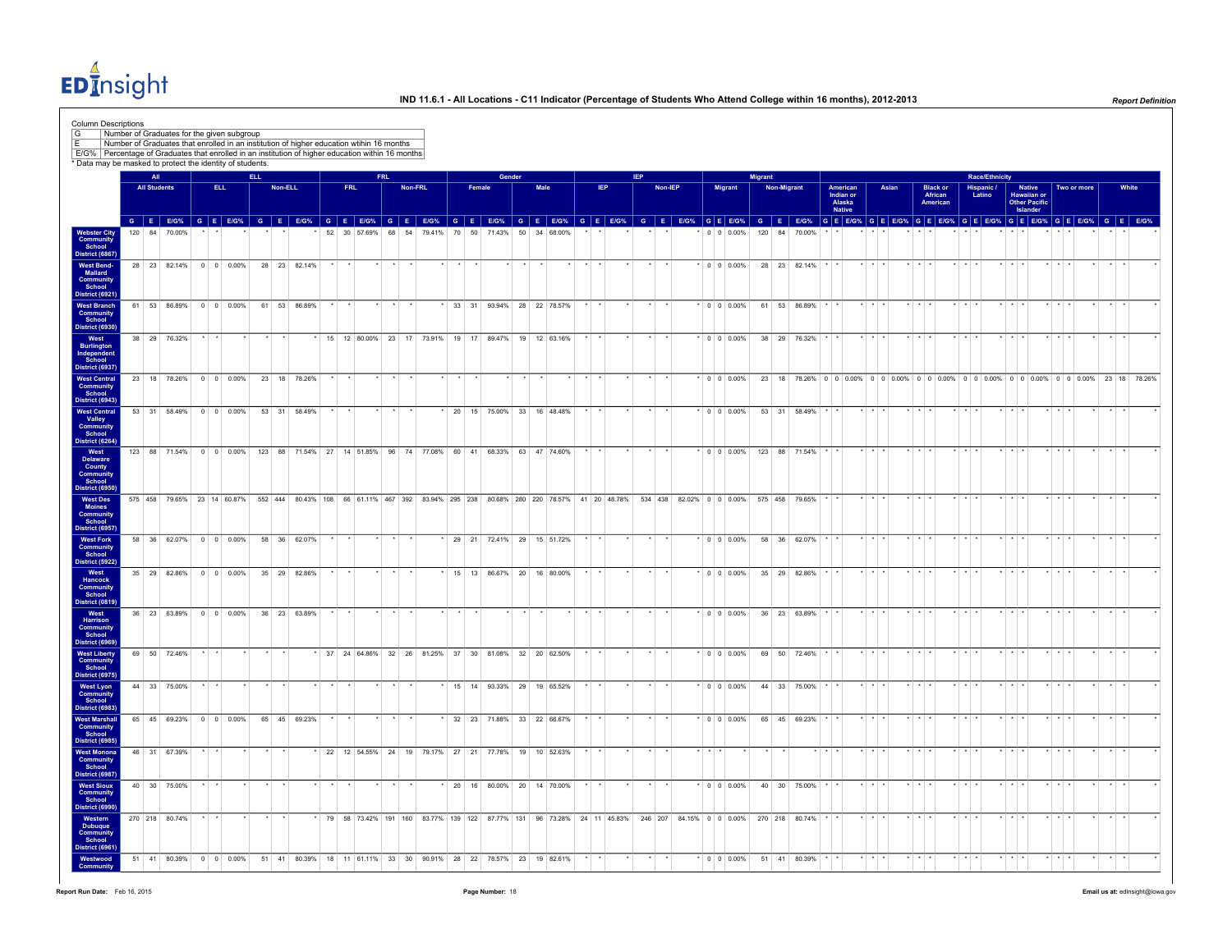EDInsight

|                                                                                  | Number of Graduates for the given subgroup<br>Number of Graduates that enrolled in an institution of higher education wtihin 16 months                           |                     |  |                        |            |         |              |            |            |         |  |        |                                                                  |      |                                                                                                       |            |            |                                  |         |                    |                   |                         |             |                                         |                                           |                         |       |                         |                                         |                         |                       |                                                    |                                                                                       |         |                             |       |
|----------------------------------------------------------------------------------|------------------------------------------------------------------------------------------------------------------------------------------------------------------|---------------------|--|------------------------|------------|---------|--------------|------------|------------|---------|--|--------|------------------------------------------------------------------|------|-------------------------------------------------------------------------------------------------------|------------|------------|----------------------------------|---------|--------------------|-------------------|-------------------------|-------------|-----------------------------------------|-------------------------------------------|-------------------------|-------|-------------------------|-----------------------------------------|-------------------------|-----------------------|----------------------------------------------------|---------------------------------------------------------------------------------------|---------|-----------------------------|-------|
|                                                                                  | E/G%   Percentage of Graduates that enrolled in an institution of higher education within 16 months<br>* Data may be masked to protect the identity of students. |                     |  |                        |            |         |              |            |            |         |  |        |                                                                  |      |                                                                                                       |            |            |                                  |         |                    |                   |                         |             |                                         |                                           |                         |       |                         |                                         |                         |                       |                                                    |                                                                                       |         |                             |       |
|                                                                                  |                                                                                                                                                                  | All                 |  |                        | <b>ELL</b> |         |              |            | <b>FRL</b> |         |  |        | Gender                                                           |      |                                                                                                       |            | <b>IEP</b> |                                  |         |                    |                   | <b>Migrant</b>          |             |                                         |                                           |                         |       |                         |                                         |                         | <b>Race/Ethnicity</b> |                                                    |                                                                                       |         |                             |       |
|                                                                                  |                                                                                                                                                                  | <b>All Students</b> |  | ELL.                   |            | Non-ELL |              | <b>FRL</b> |            | Non-FRL |  | Female |                                                                  | Male |                                                                                                       | <b>IEP</b> |            |                                  | Non-IEP | Migrant            |                   |                         | Non-Migrant |                                         | American<br>Indian or<br>Alaska<br>Native |                         | Asian |                         | <b>Black or<br/>African</b><br>American |                         | Hispanic /<br>Latino  | Native<br>Hawaiian or<br>Other Pacific<br>Islander | Two or more                                                                           |         |                             | White |
|                                                                                  | GEEOS GEEOS GEEOS GEEOS GEEOS GEEOS GEEOS GEEOS GEEOS GEEOS GEEOS GEEOS GEEOS GEEOS GEEOS GEEOS GEEOS GEEOS GEEOS GEEOS<br>120 84 70.00%                         |                     |  |                        |            |         |              |            |            |         |  |        | 52 30 57.69% 68 54 79.41% 70 50 71.43% 50 34 68.00%              |      |                                                                                                       |            |            |                                  |         |                    |                   | 0 0 0.00% 120 84 70.00% |             |                                         |                                           |                         |       |                         |                                         |                         |                       |                                                    |                                                                                       |         |                             |       |
| Webster City<br>Community<br>School<br>District (6867)                           |                                                                                                                                                                  |                     |  |                        |            |         |              |            |            |         |  |        |                                                                  |      |                                                                                                       |            |            |                                  |         |                    |                   |                         |             |                                         |                                           |                         |       |                         |                                         |                         |                       |                                                    |                                                                                       |         |                             |       |
| <b>West Bend-</b><br>Mallard<br>Community<br>School<br>District (6921)           | 28 23 82.14% 0 0 0.00%                                                                                                                                           |                     |  |                        |            |         | 28 23 82.14% |            |            |         |  |        |                                                                  |      |                                                                                                       |            |            |                                  |         | $0 \t 0 \t 0.00\%$ |                   |                         |             | 28 23 82.14%                            |                                           |                         |       |                         |                                         |                         |                       |                                                    |                                                                                       |         |                             |       |
| <b>West Branch</b><br>Community<br>School                                        | 61 53 86.89% 0 0 0.00%                                                                                                                                           |                     |  |                        |            |         | 61 53 86.89% |            |            |         |  |        |                                                                  |      | 33 31 93.94% 28 22 78.57%                                                                             |            |            |                                  |         | $0 0 0.00\%$       |                   |                         |             | 61 53 86.89%                            |                                           |                         |       |                         |                                         |                         |                       |                                                    |                                                                                       |         |                             |       |
| District (6930)<br>West<br>Burlington<br>Independent                             | 38 29 76.32%                                                                                                                                                     |                     |  |                        |            |         |              |            |            |         |  |        |                                                                  |      | 15 12 80.00% 23 17 73.91% 19 17 89.47% 19 12 63.16%                                                   |            |            |                                  |         |                    | $\cdot$ 0 0 0.00% |                         |             | 38 29 76.32%                            |                                           |                         |       |                         |                                         |                         |                       |                                                    |                                                                                       |         |                             |       |
| School<br><b>District (6937)</b><br><b>West Central</b><br>Community             |                                                                                                                                                                  |                     |  | 23 18 78.26% 0 0 0.00% |            |         | 23 18 78.26% |            |            |         |  |        |                                                                  |      |                                                                                                       |            |            |                                  |         |                    | $\cdot$ 0 0 0.00% |                         |             |                                         |                                           |                         |       |                         |                                         |                         |                       |                                                    | 23 18 78.26% 0 0 0.00% 0 0 0.00% 0 0 0.00% 0 0 0.00% 0 0 0.00% 0 0 0.00% 23 18 78.26% |         |                             |       |
| School<br>District (6943)<br><b>West Central</b>                                 | 53 31 58.49% 0 0 0.00%                                                                                                                                           |                     |  |                        |            |         | 53 31 58.49% |            |            |         |  |        |                                                                  |      | * 20 15 75.00% 33 16 48.48%                                                                           |            |            |                                  |         |                    | $*$ 0 0 0.00%     |                         |             | 53 31 58.49%                            |                                           |                         |       |                         |                                         |                         |                       |                                                    |                                                                                       |         |                             |       |
| Valley<br>Community<br>School<br>District (6264)                                 |                                                                                                                                                                  |                     |  |                        |            |         |              |            |            |         |  |        |                                                                  |      |                                                                                                       |            |            |                                  |         |                    |                   |                         |             |                                         |                                           |                         |       |                         |                                         |                         |                       |                                                    |                                                                                       |         |                             |       |
| West<br>Delaware<br>County<br>Community<br>School                                | 123 88 71.54% 0 0 0.00% 123 88 71.54% 27 14 51.85% 96 74 77.08% 60 41 68.33% 63 47 74.60%                                                                        |                     |  |                        |            |         |              |            |            |         |  |        |                                                                  |      |                                                                                                       |            |            |                                  |         |                    |                   |                         |             | $*$ 0 0 0 0.00% 123 88 71.54%           |                                           |                         |       |                         |                                         |                         |                       |                                                    |                                                                                       |         |                             |       |
| District (6950)<br><b>West Des</b><br>Moines<br>Community<br>School              | 575 458 79.65% 23 14 60.87% 552 444 80.43% 108 66 61.11% 467 392 83.94% 295 238 80.68% 280 220 78.57% 41 20 48.78%                                               |                     |  |                        |            |         |              |            |            |         |  |        |                                                                  |      |                                                                                                       |            |            |                                  |         |                    |                   |                         |             | 534 438 82.02% 0 0 0.00% 575 458 79.65% |                                           | $\star$ $\star$ $\star$ |       |                         |                                         |                         |                       |                                                    |                                                                                       |         |                             |       |
| District (6957)<br><b>West Fork</b>                                              |                                                                                                                                                                  |                     |  | 58 36 62.07% 0 0 0.00% |            |         | 58 36 62.07% |            |            |         |  |        |                                                                  |      | 29 21 72.41% 29 15 51.72%                                                                             |            |            |                                  |         | $*$ 0 0 0.00%      |                   |                         |             | 58 36 62.07%                            |                                           | $\cdot$ $\cdot$ $\cdot$ |       |                         |                                         | $\cdot$ $\cdot$         |                       |                                                    |                                                                                       |         |                             |       |
| Community<br>School<br>District (5922)                                           |                                                                                                                                                                  |                     |  | 35 29 82.86% 0 0 0.00% |            |         | 35 29 82.86% |            |            |         |  |        |                                                                  |      | 15 13 86.67% 20 16 80.00%                                                                             |            |            |                                  |         | $ 000.00\% $       |                   |                         |             | 35 29 82.86%                            |                                           |                         |       |                         |                                         |                         |                       |                                                    |                                                                                       |         |                             |       |
| West<br>Hancock<br><b>Community</b><br>School<br><b>District (0819)</b>          |                                                                                                                                                                  |                     |  |                        |            |         |              |            |            |         |  |        |                                                                  |      |                                                                                                       |            |            |                                  |         |                    |                   |                         |             |                                         |                                           |                         |       |                         |                                         |                         |                       |                                                    |                                                                                       |         |                             |       |
| West<br>Harrison<br><b>Community</b><br>School                                   |                                                                                                                                                                  |                     |  | 36 23 63.89% 0 0 0.00% |            |         | 36 23 63.89% |            |            |         |  |        |                                                                  |      |                                                                                                       |            |            |                                  |         | $ 000.00\% $       |                   |                         |             | 36 23 63.89%                            |                                           |                         |       |                         |                                         |                         |                       |                                                    |                                                                                       |         |                             |       |
| District (6969)<br><b>West Liberty</b><br>Community<br>School<br>District (6975) | 69 50 72.46%                                                                                                                                                     |                     |  |                        |            |         |              |            |            |         |  |        |                                                                  |      | 37 24 64.86% 32 26 81.25% 37 30 81.08% 32 20 62.50%                                                   |            |            |                                  |         | $\cdot$ 0 0 0.00%  |                   |                         |             | 69 50 72.46%                            |                                           |                         |       |                         |                                         |                         |                       |                                                    |                                                                                       |         |                             |       |
| <b>West Lyon</b><br>Community<br>School                                          | 44 33 75.00%                                                                                                                                                     |                     |  |                        |            |         |              |            |            |         |  |        |                                                                  |      | 15 14 93.33% 29 19 65.52%                                                                             |            |            |                                  |         | $*$ 0 0 0.00%      |                   |                         |             | 44 33 75.00%                            |                                           |                         |       |                         |                                         |                         |                       |                                                    |                                                                                       |         |                             |       |
| District (6983)<br><b>West Marshall</b><br><b>Community</b><br>School            |                                                                                                                                                                  |                     |  | 65 45 69.23% 0 0 0.00% |            |         | 65 45 69.23% |            |            |         |  |        |                                                                  |      | * 32 23 71.88% 33 22 66.67%                                                                           |            |            |                                  |         | $*$ 0 0 0.00%      |                   |                         |             | 65 45 69.23%                            |                                           |                         |       |                         |                                         |                         |                       |                                                    |                                                                                       |         |                             |       |
| <b>District (6985)</b><br><b>West Monona</b><br>Community<br>School              | 46 31 67.39%                                                                                                                                                     |                     |  |                        |            |         |              |            |            |         |  |        |                                                                  |      | 22 12 54.55% 24 19 79.17% 27 21 77.78% 19 10 52.63%                                                   |            |            |                                  |         |                    |                   |                         |             |                                         |                                           |                         |       |                         |                                         |                         |                       |                                                    |                                                                                       |         |                             |       |
| District (6987)<br><b>West Sioux</b>                                             | 40 30 75.00%                                                                                                                                                     |                     |  |                        |            |         |              |            |            |         |  |        |                                                                  |      | $*$ 20 16 80.00% 20 14 70.00%                                                                         |            |            |                                  |         |                    | $\cdot$ 0 0 0.00% |                         |             | 40 30 75.00%                            |                                           | $\star$ $\star$ $\star$ |       |                         |                                         | $\star$ $\pm$ $\pm$     |                       | $\star$ $\star$ $\star$                            | $+$ $+$ $+$                                                                           |         | $\cdot$ $\cdot$             |       |
| Community<br>School<br>District (6990)<br>Western                                | 270 218 80.74%                                                                                                                                                   |                     |  |                        |            |         |              |            |            |         |  |        |                                                                  |      | *   79   58   73.42%   191   160   83.77%   139   122   87.77%   131   96   73.28%   24   11   45.83% |            |            | 246 207 84.15% 0 0 0.00% 270 218 |         |                    |                   |                         |             | 80.74%                                  |                                           | $\star$ $\star$         |       |                         |                                         |                         |                       |                                                    |                                                                                       |         |                             |       |
| <b>Dubuque</b><br>Community<br>School<br><b>District (6961)</b>                  |                                                                                                                                                                  |                     |  |                        |            |         |              |            |            |         |  |        |                                                                  |      |                                                                                                       |            |            |                                  |         |                    |                   |                         |             |                                         |                                           |                         |       |                         |                                         |                         |                       |                                                    |                                                                                       |         |                             |       |
| Westwood                                                                         | 51 41 80.39%                                                                                                                                                     |                     |  | $0 \t 0 \t 0.00\%$     |            |         |              |            |            |         |  |        | 51 41 80.39% 18 11 61.11% 33 30 90.91% 28 22 78.57% 23 19 82.61% |      |                                                                                                       |            |            |                                  |         | $*$ 0 0 0.00%      |                   |                         |             | 51 41 80.39%                            |                                           | $\star$ $\star$ $\star$ |       | $\star$ $\star$ $\star$ |                                         | $\star$ $\star$ $\star$ |                       | $\star$ $\star$ $\star$                            | $\star$ $\star$ $\star$                                                               | $\star$ | $\rightarrow$ $\rightarrow$ |       |